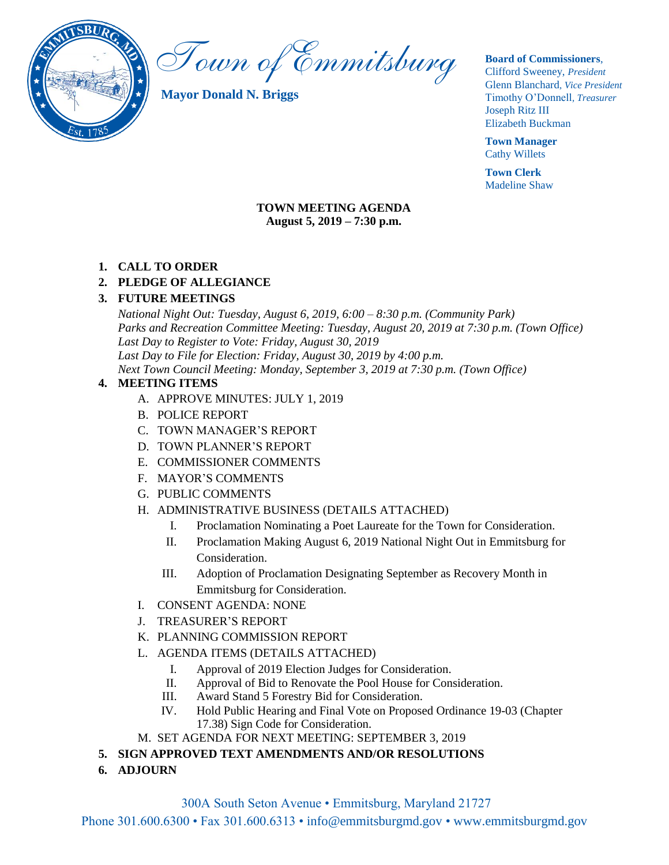

Town of Emmitsburg

**Mayor Donald N. Briggs**

#### **Board of Commissioners**,

Clifford Sweeney, *President* Glenn Blanchard*, Vice President* Timothy O'Donnell*, Treasurer*  Joseph Ritz III Elizabeth Buckman

**Town Manager** Cathy Willets

**Town Clerk** Madeline Shaw

### **TOWN MEETING AGENDA August 5, 2019 – 7:30 p.m.**

### **1. CALL TO ORDER**

### **2. PLEDGE OF ALLEGIANCE**

### **3. FUTURE MEETINGS**

*National Night Out: Tuesday, August 6, 2019, 6:00 – 8:30 p.m. (Community Park) Parks and Recreation Committee Meeting: Tuesday, August 20, 2019 at 7:30 p.m. (Town Office) Last Day to Register to Vote: Friday, August 30, 2019 Last Day to File for Election: Friday, August 30, 2019 by 4:00 p.m. Next Town Council Meeting: Monday, September 3, 2019 at 7:30 p.m. (Town Office)*

### **4. MEETING ITEMS**

- A. APPROVE MINUTES: JULY 1, 2019
- B. POLICE REPORT
- C. TOWN MANAGER'S REPORT
- D. TOWN PLANNER'S REPORT
- E. COMMISSIONER COMMENTS
- F. MAYOR'S COMMENTS
- G. PUBLIC COMMENTS
- H. ADMINISTRATIVE BUSINESS (DETAILS ATTACHED)
	- I. Proclamation Nominating a Poet Laureate for the Town for Consideration.
	- II. Proclamation Making August 6, 2019 National Night Out in Emmitsburg for Consideration.
	- III. Adoption of Proclamation Designating September as Recovery Month in Emmitsburg for Consideration.
- I. CONSENT AGENDA: NONE
- J. TREASURER'S REPORT
- K. PLANNING COMMISSION REPORT
- L. AGENDA ITEMS (DETAILS ATTACHED)
	- I. Approval of 2019 Election Judges for Consideration.
	- II. Approval of Bid to Renovate the Pool House for Consideration.
	- III. Award Stand 5 Forestry Bid for Consideration.
	- IV. Hold Public Hearing and Final Vote on Proposed Ordinance 19-03 (Chapter 17.38) Sign Code for Consideration.
- M. SET AGENDA FOR NEXT MEETING: SEPTEMBER 3, 2019
- **5. SIGN APPROVED TEXT AMENDMENTS AND/OR RESOLUTIONS**
- **6. ADJOURN**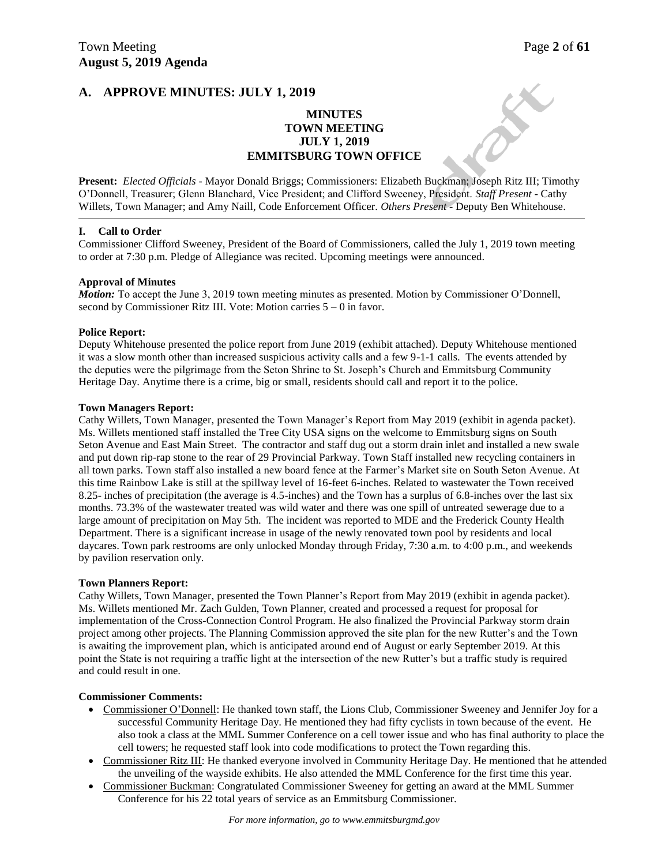### **MINUTES TOWN MEETING JULY 1, 2019 EMMITSBURG TOWN OFFICE**

**Present:** *Elected Officials* - Mayor Donald Briggs; Commissioners: Elizabeth Buckman; Joseph Ritz III; Timothy O'Donnell, Treasurer; Glenn Blanchard, Vice President; and Clifford Sweeney, President. *Staff Present* - Cathy Willets, Town Manager; and Amy Naill, Code Enforcement Officer. *Others Present* - Deputy Ben Whitehouse.

#### **I. Call to Order**

Commissioner Clifford Sweeney, President of the Board of Commissioners, called the July 1, 2019 town meeting to order at 7:30 p.m. Pledge of Allegiance was recited. Upcoming meetings were announced.

#### **Approval of Minutes**

*Motion:* To accept the June 3, 2019 town meeting minutes as presented. Motion by Commissioner O'Donnell, second by Commissioner Ritz III. Vote: Motion carries 5 – 0 in favor.

#### **Police Report:**

Deputy Whitehouse presented the police report from June 2019 (exhibit attached). Deputy Whitehouse mentioned it was a slow month other than increased suspicious activity calls and a few 9-1-1 calls. The events attended by the deputies were the pilgrimage from the Seton Shrine to St. Joseph's Church and Emmitsburg Community Heritage Day. Anytime there is a crime, big or small, residents should call and report it to the police.

#### **Town Managers Report:**

Cathy Willets, Town Manager, presented the Town Manager's Report from May 2019 (exhibit in agenda packet). Ms. Willets mentioned staff installed the Tree City USA signs on the welcome to Emmitsburg signs on South Seton Avenue and East Main Street. The contractor and staff dug out a storm drain inlet and installed a new swale and put down rip-rap stone to the rear of 29 Provincial Parkway. Town Staff installed new recycling containers in all town parks. Town staff also installed a new board fence at the Farmer's Market site on South Seton Avenue. At this time Rainbow Lake is still at the spillway level of 16-feet 6-inches. Related to wastewater the Town received 8.25- inches of precipitation (the average is 4.5-inches) and the Town has a surplus of 6.8-inches over the last six months. 73.3% of the wastewater treated was wild water and there was one spill of untreated sewerage due to a large amount of precipitation on May 5th. The incident was reported to MDE and the Frederick County Health Department. There is a significant increase in usage of the newly renovated town pool by residents and local daycares. Town park restrooms are only unlocked Monday through Friday, 7:30 a.m. to 4:00 p.m., and weekends by pavilion reservation only.

#### **Town Planners Report:**

Cathy Willets, Town Manager, presented the Town Planner's Report from May 2019 (exhibit in agenda packet). Ms. Willets mentioned Mr. Zach Gulden, Town Planner, created and processed a request for proposal for implementation of the Cross-Connection Control Program. He also finalized the Provincial Parkway storm drain project among other projects. The Planning Commission approved the site plan for the new Rutter's and the Town is awaiting the improvement plan, which is anticipated around end of August or early September 2019. At this point the State is not requiring a traffic light at the intersection of the new Rutter's but a traffic study is required and could result in one.

#### **Commissioner Comments:**

- Commissioner O'Donnell: He thanked town staff, the Lions Club, Commissioner Sweeney and Jennifer Joy for a successful Community Heritage Day. He mentioned they had fifty cyclists in town because of the event. He also took a class at the MML Summer Conference on a cell tower issue and who has final authority to place the cell towers; he requested staff look into code modifications to protect the Town regarding this.
- Commissioner Ritz III: He thanked everyone involved in Community Heritage Day. He mentioned that he attended the unveiling of the wayside exhibits. He also attended the MML Conference for the first time this year.
- Commissioner Buckman: Congratulated Commissioner Sweeney for getting an award at the MML Summer Conference for his 22 total years of service as an Emmitsburg Commissioner.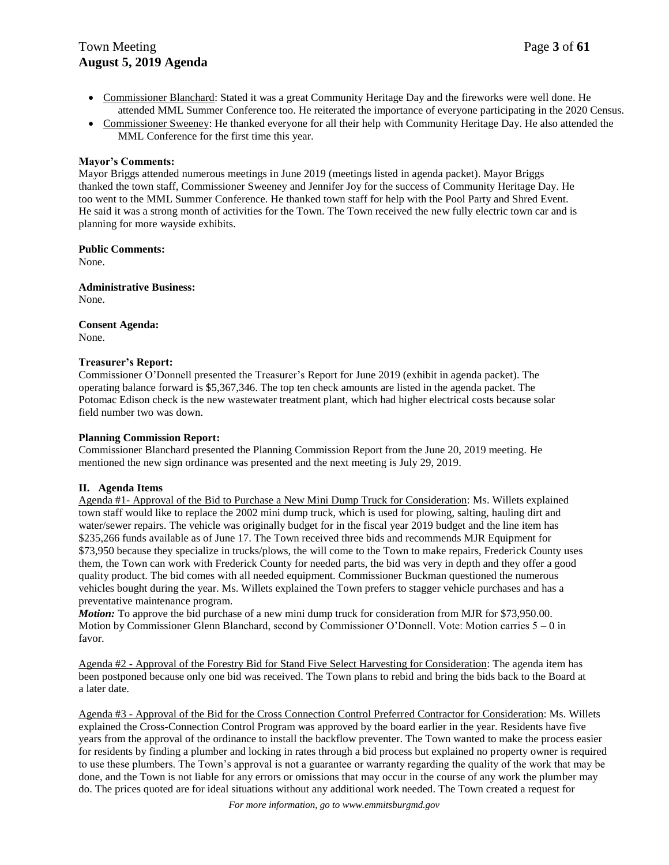# Town Meeting Page 3 of 61 **August 5, 2019 Agenda**

- Commissioner Blanchard: Stated it was a great Community Heritage Day and the fireworks were well done. He attended MML Summer Conference too. He reiterated the importance of everyone participating in the 2020 Census.
- Commissioner Sweeney: He thanked everyone for all their help with Community Heritage Day. He also attended the MML Conference for the first time this year.

#### **Mayor's Comments:**

Mayor Briggs attended numerous meetings in June 2019 (meetings listed in agenda packet). Mayor Briggs thanked the town staff, Commissioner Sweeney and Jennifer Joy for the success of Community Heritage Day. He too went to the MML Summer Conference. He thanked town staff for help with the Pool Party and Shred Event. He said it was a strong month of activities for the Town. The Town received the new fully electric town car and is planning for more wayside exhibits.

**Public Comments:**

None.

**Administrative Business:**

None.

**Consent Agenda:** None.

#### **Treasurer's Report:**

Commissioner O'Donnell presented the Treasurer's Report for June 2019 (exhibit in agenda packet). The operating balance forward is \$5,367,346. The top ten check amounts are listed in the agenda packet. The Potomac Edison check is the new wastewater treatment plant, which had higher electrical costs because solar field number two was down.

#### **Planning Commission Report:**

Commissioner Blanchard presented the Planning Commission Report from the June 20, 2019 meeting. He mentioned the new sign ordinance was presented and the next meeting is July 29, 2019.

#### **II. Agenda Items**

Agenda #1- Approval of the Bid to Purchase a New Mini Dump Truck for Consideration: Ms. Willets explained town staff would like to replace the 2002 mini dump truck, which is used for plowing, salting, hauling dirt and water/sewer repairs. The vehicle was originally budget for in the fiscal year 2019 budget and the line item has \$235,266 funds available as of June 17. The Town received three bids and recommends MJR Equipment for \$73,950 because they specialize in trucks/plows, the will come to the Town to make repairs, Frederick County uses them, the Town can work with Frederick County for needed parts, the bid was very in depth and they offer a good quality product. The bid comes with all needed equipment. Commissioner Buckman questioned the numerous vehicles bought during the year. Ms. Willets explained the Town prefers to stagger vehicle purchases and has a preventative maintenance program.

*Motion:* To approve the bid purchase of a new mini dump truck for consideration from MJR for \$73,950.00. Motion by Commissioner Glenn Blanchard, second by Commissioner O'Donnell. Vote: Motion carries 5 – 0 in favor.

Agenda #2 - Approval of the Forestry Bid for Stand Five Select Harvesting for Consideration: The agenda item has been postponed because only one bid was received. The Town plans to rebid and bring the bids back to the Board at a later date.

Agenda #3 - Approval of the Bid for the Cross Connection Control Preferred Contractor for Consideration: Ms. Willets explained the Cross-Connection Control Program was approved by the board earlier in the year. Residents have five years from the approval of the ordinance to install the backflow preventer. The Town wanted to make the process easier for residents by finding a plumber and locking in rates through a bid process but explained no property owner is required to use these plumbers. The Town's approval is not a guarantee or warranty regarding the quality of the work that may be done, and the Town is not liable for any errors or omissions that may occur in the course of any work the plumber may do. The prices quoted are for ideal situations without any additional work needed. The Town created a request for

*For more information, go to www.emmitsburgmd.gov*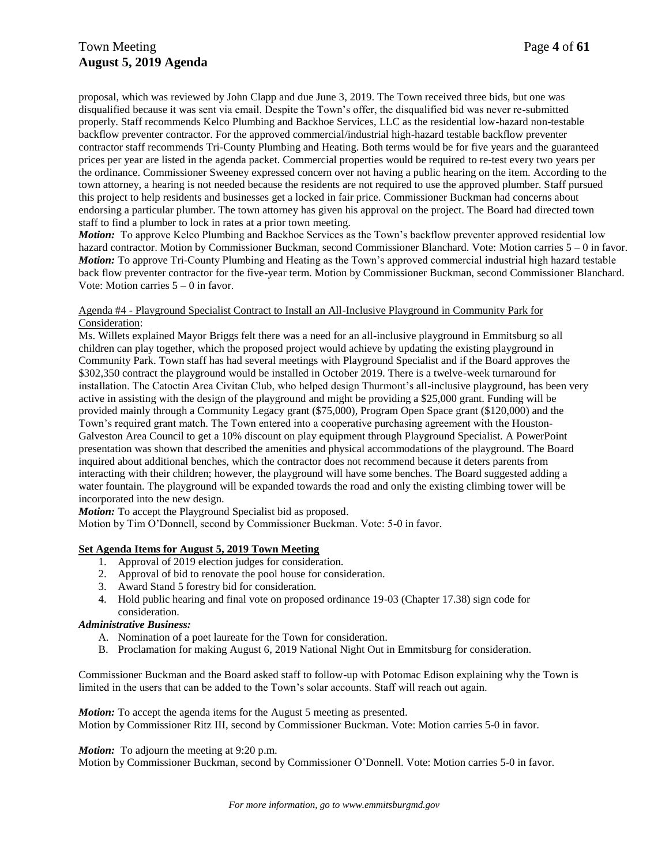# Town Meeting Page 4 of 61 **August 5, 2019 Agenda**

proposal, which was reviewed by John Clapp and due June 3, 2019. The Town received three bids, but one was disqualified because it was sent via email. Despite the Town's offer, the disqualified bid was never re-submitted properly. Staff recommends Kelco Plumbing and Backhoe Services, LLC as the residential low-hazard non-testable backflow preventer contractor. For the approved commercial/industrial high-hazard testable backflow preventer contractor staff recommends Tri-County Plumbing and Heating. Both terms would be for five years and the guaranteed prices per year are listed in the agenda packet. Commercial properties would be required to re-test every two years per the ordinance. Commissioner Sweeney expressed concern over not having a public hearing on the item. According to the town attorney, a hearing is not needed because the residents are not required to use the approved plumber. Staff pursued this project to help residents and businesses get a locked in fair price. Commissioner Buckman had concerns about endorsing a particular plumber. The town attorney has given his approval on the project. The Board had directed town staff to find a plumber to lock in rates at a prior town meeting.

*Motion:* To approve Kelco Plumbing and Backhoe Services as the Town's backflow preventer approved residential low hazard contractor. Motion by Commissioner Buckman, second Commissioner Blanchard. Vote: Motion carries 5 – 0 in favor. *Motion:* To approve Tri-County Plumbing and Heating as the Town's approved commercial industrial high hazard testable back flow preventer contractor for the five-year term. Motion by Commissioner Buckman, second Commissioner Blanchard. Vote: Motion carries  $5 - 0$  in favor.

#### Agenda #4 - Playground Specialist Contract to Install an All-Inclusive Playground in Community Park for Consideration:

Ms. Willets explained Mayor Briggs felt there was a need for an all-inclusive playground in Emmitsburg so all children can play together, which the proposed project would achieve by updating the existing playground in Community Park. Town staff has had several meetings with Playground Specialist and if the Board approves the \$302,350 contract the playground would be installed in October 2019. There is a twelve-week turnaround for installation. The Catoctin Area Civitan Club, who helped design Thurmont's all-inclusive playground, has been very active in assisting with the design of the playground and might be providing a \$25,000 grant. Funding will be provided mainly through a Community Legacy grant (\$75,000), Program Open Space grant (\$120,000) and the Town's required grant match. The Town entered into a cooperative purchasing agreement with the Houston-Galveston Area Council to get a 10% discount on play equipment through Playground Specialist. A PowerPoint presentation was shown that described the amenities and physical accommodations of the playground. The Board inquired about additional benches, which the contractor does not recommend because it deters parents from interacting with their children; however, the playground will have some benches. The Board suggested adding a water fountain. The playground will be expanded towards the road and only the existing climbing tower will be incorporated into the new design.

*Motion:* To accept the Playground Specialist bid as proposed.

Motion by Tim O'Donnell, second by Commissioner Buckman. Vote: 5-0 in favor.

### **Set Agenda Items for August 5, 2019 Town Meeting**

- 1. Approval of 2019 election judges for consideration.
- 2. Approval of bid to renovate the pool house for consideration.
- 3. Award Stand 5 forestry bid for consideration.
- 4. Hold public hearing and final vote on proposed ordinance 19-03 (Chapter 17.38) sign code for consideration.

#### *Administrative Business:*

- A. Nomination of a poet laureate for the Town for consideration.
- B. Proclamation for making August 6, 2019 National Night Out in Emmitsburg for consideration.

Commissioner Buckman and the Board asked staff to follow-up with Potomac Edison explaining why the Town is limited in the users that can be added to the Town's solar accounts. Staff will reach out again.

*Motion:* To accept the agenda items for the August 5 meeting as presented. Motion by Commissioner Ritz III, second by Commissioner Buckman. Vote: Motion carries 5-0 in favor.

#### *Motion:* To adjourn the meeting at 9:20 p.m.

Motion by Commissioner Buckman, second by Commissioner O'Donnell. Vote: Motion carries 5-0 in favor.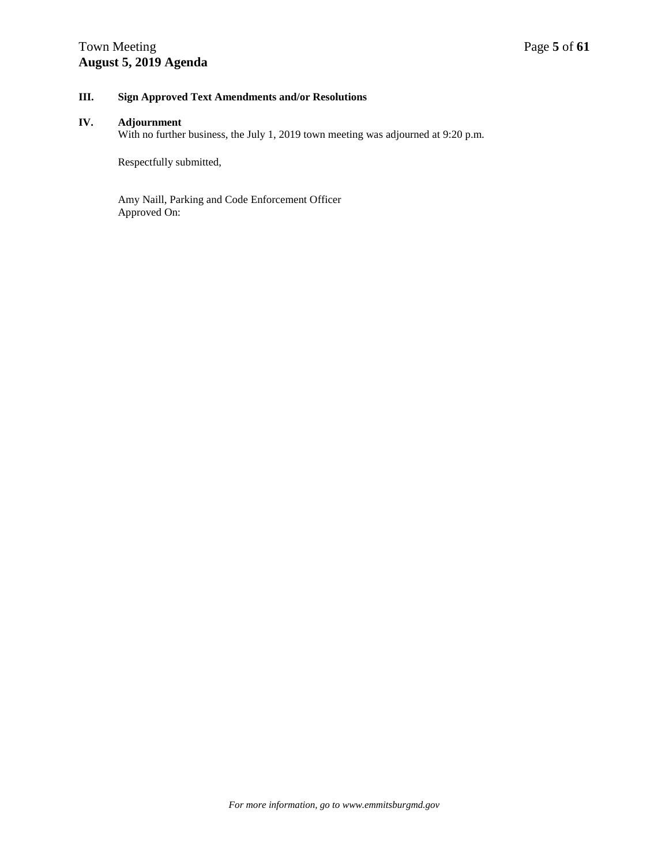# Town Meeting Page 5 of 61 **August 5, 2019 Agenda**

### **III. Sign Approved Text Amendments and/or Resolutions**

#### **IV. Adjournment**

With no further business, the July 1, 2019 town meeting was adjourned at 9:20 p.m.

Respectfully submitted,

Amy Naill, Parking and Code Enforcement Officer Approved On: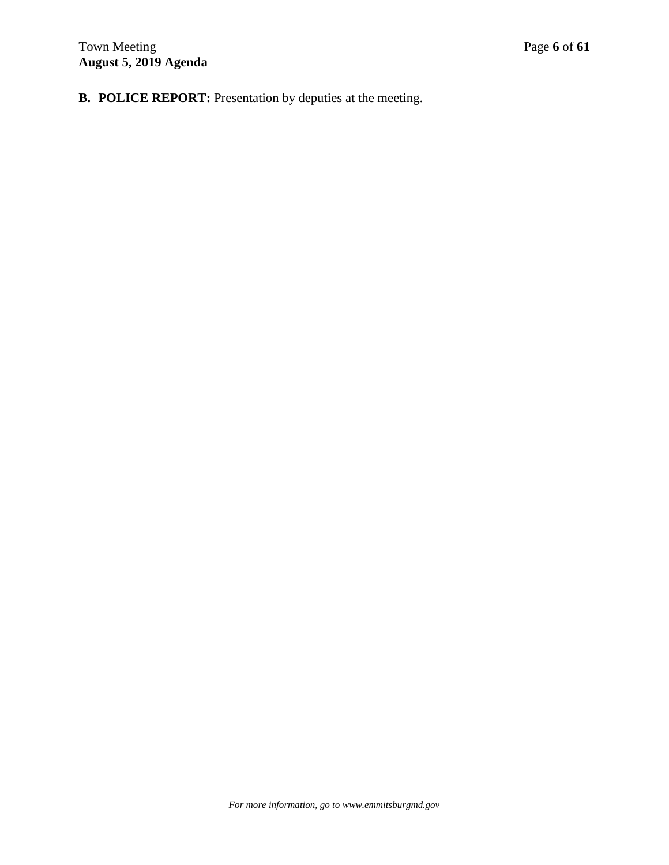**B. POLICE REPORT:** Presentation by deputies at the meeting.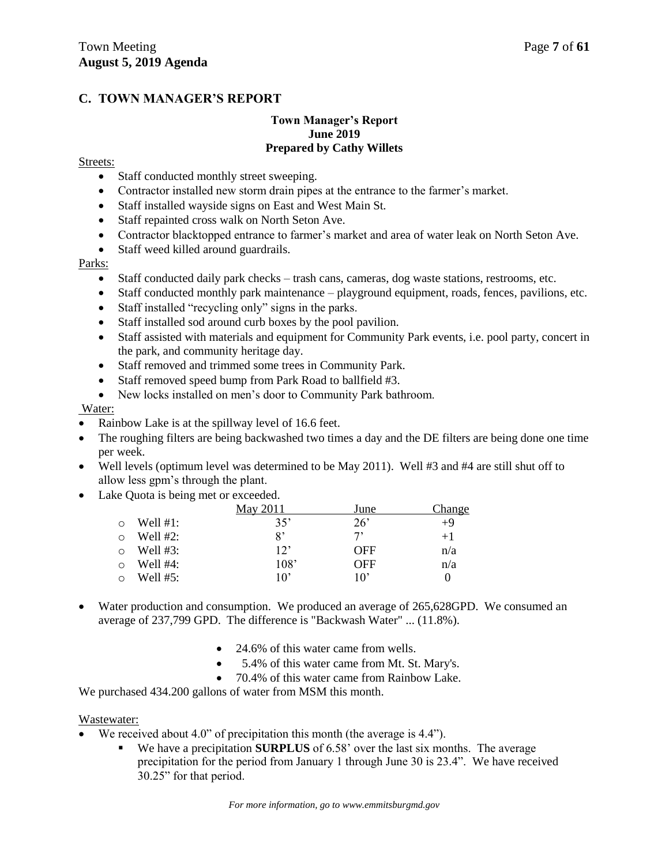# **C. TOWN MANAGER'S REPORT**

### **Town Manager's Report June 2019 Prepared by Cathy Willets**

### Streets:

- Staff conducted monthly street sweeping.
- Contractor installed new storm drain pipes at the entrance to the farmer's market.
- Staff installed wayside signs on East and West Main St.
- Staff repainted cross walk on North Seton Ave.
- Contractor blacktopped entrance to farmer's market and area of water leak on North Seton Ave.
- Staff weed killed around guardrails.

### Parks:

- Staff conducted daily park checks trash cans, cameras, dog waste stations, restrooms, etc.
- Staff conducted monthly park maintenance playground equipment, roads, fences, pavilions, etc.
- Staff installed "recycling only" signs in the parks.
- Staff installed sod around curb boxes by the pool pavilion.
- Staff assisted with materials and equipment for Community Park events, i.e. pool party, concert in the park, and community heritage day.
- Staff removed and trimmed some trees in Community Park.
- Staff removed speed bump from Park Road to ballfield #3.
- New locks installed on men's door to Community Park bathroom.

### Water:

- Rainbow Lake is at the spillway level of 16.6 feet.
- The roughing filters are being backwashed two times a day and the DE filters are being done one time per week.
- Well levels (optimum level was determined to be May 2011). Well #3 and #4 are still shut off to allow less gpm's through the plant.
- Lake Quota is being met or exceeded.

|             | May 2011     | June         | Change            |
|-------------|--------------|--------------|-------------------|
| Well $#1$ : | 35'          | $26^{\circ}$ | $+9$              |
| Well $#2$ : | 8'           | 7,           | $+1$              |
| Well $#3$ : | $12^{\circ}$ | <b>OFF</b>   | n/a               |
| Well $#4$ : | 108'         | <b>OFF</b>   | n/a               |
| Well $#5:$  | 10'          | 10'          | $\mathbf{\Omega}$ |

- Water production and consumption. We produced an average of 265,628GPD. We consumed an average of 237,799 GPD. The difference is "Backwash Water" ... (11.8%).
	- 24.6% of this water came from wells.
	- 5.4% of this water came from Mt. St. Mary's.
	- 70.4% of this water came from Rainbow Lake.

We purchased 434.200 gallons of water from MSM this month.

### Wastewater:

- We received about 4.0" of precipitation this month (the average is 4.4").
	- We have a precipitation **SURPLUS** of 6.58' over the last six months. The average precipitation for the period from January 1 through June 30 is 23.4". We have received 30.25" for that period.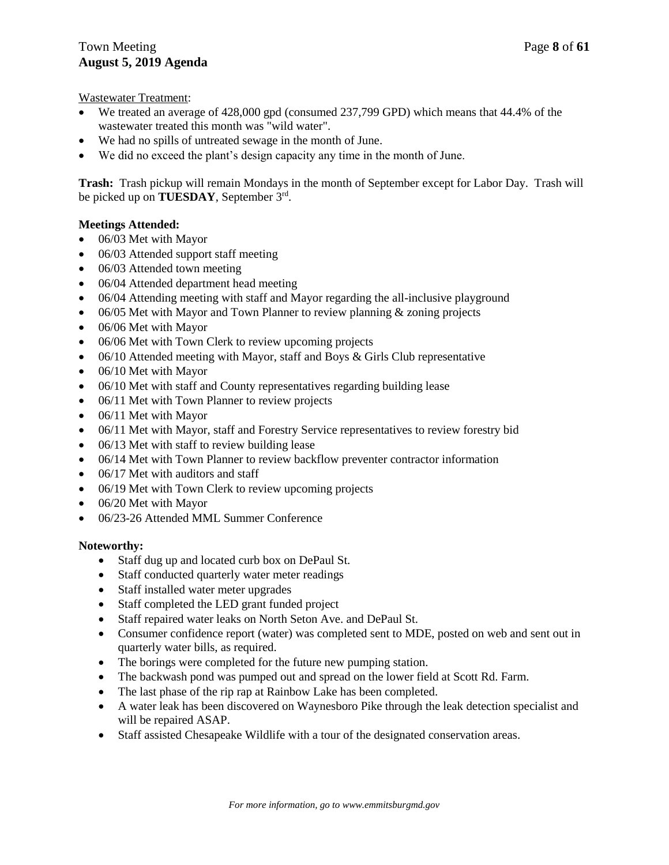Wastewater Treatment:

- We treated an average of 428,000 gpd (consumed 237,799 GPD) which means that 44.4% of the wastewater treated this month was "wild water".
- We had no spills of untreated sewage in the month of June.
- We did no exceed the plant's design capacity any time in the month of June.

**Trash:** Trash pickup will remain Mondays in the month of September except for Labor Day. Trash will be picked up on **TUESDAY**, September 3rd .

### **Meetings Attended:**

- 06/03 Met with Mayor
- 06/03 Attended support staff meeting
- 06/03 Attended town meeting
- 06/04 Attended department head meeting
- 06/04 Attending meeting with staff and Mayor regarding the all-inclusive playground
- 06/05 Met with Mayor and Town Planner to review planning & zoning projects
- 06/06 Met with Mayor
- 06/06 Met with Town Clerk to review upcoming projects
- $\bullet$  06/10 Attended meeting with Mayor, staff and Boys & Girls Club representative
- 06/10 Met with Mayor
- 06/10 Met with staff and County representatives regarding building lease
- 06/11 Met with Town Planner to review projects
- 06/11 Met with Mayor
- 06/11 Met with Mayor, staff and Forestry Service representatives to review forestry bid
- 06/13 Met with staff to review building lease
- 06/14 Met with Town Planner to review backflow preventer contractor information
- 06/17 Met with auditors and staff
- 06/19 Met with Town Clerk to review upcoming projects
- 06/20 Met with Mayor
- 06/23-26 Attended MML Summer Conference

### **Noteworthy:**

- Staff dug up and located curb box on DePaul St.
- Staff conducted quarterly water meter readings
- Staff installed water meter upgrades
- Staff completed the LED grant funded project
- Staff repaired water leaks on North Seton Ave. and DePaul St.
- Consumer confidence report (water) was completed sent to MDE, posted on web and sent out in quarterly water bills, as required.
- The borings were completed for the future new pumping station.
- The backwash pond was pumped out and spread on the lower field at Scott Rd. Farm.
- The last phase of the rip rap at Rainbow Lake has been completed.
- A water leak has been discovered on Waynesboro Pike through the leak detection specialist and will be repaired ASAP.
- Staff assisted Chesapeake Wildlife with a tour of the designated conservation areas.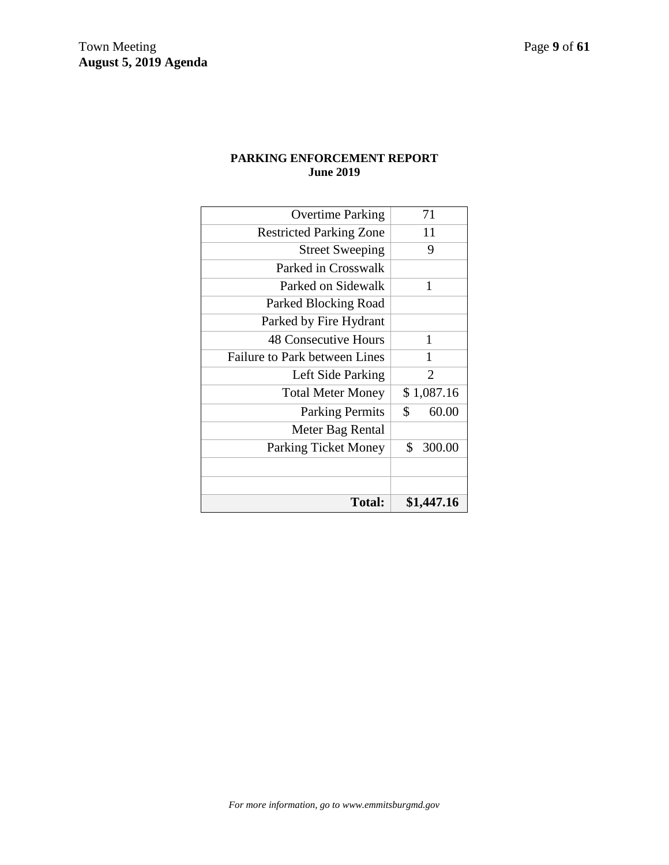# **PARKING ENFORCEMENT REPORT June 2019**

| Total:                         | \$1,447.16            |
|--------------------------------|-----------------------|
|                                |                       |
|                                |                       |
| <b>Parking Ticket Money</b>    | \$<br>300.00          |
| Meter Bag Rental               |                       |
| <b>Parking Permits</b>         | \$<br>60.00           |
| <b>Total Meter Money</b>       | \$1,087.16            |
| Left Side Parking              | $\mathcal{D}_{\cdot}$ |
| Failure to Park between Lines  | 1                     |
| <b>48 Consecutive Hours</b>    | 1                     |
| Parked by Fire Hydrant         |                       |
| Parked Blocking Road           |                       |
| Parked on Sidewalk             | 1                     |
| Parked in Crosswalk            |                       |
| <b>Street Sweeping</b>         | 9                     |
| <b>Restricted Parking Zone</b> | 11                    |
| <b>Overtime Parking</b>        | 71                    |
|                                |                       |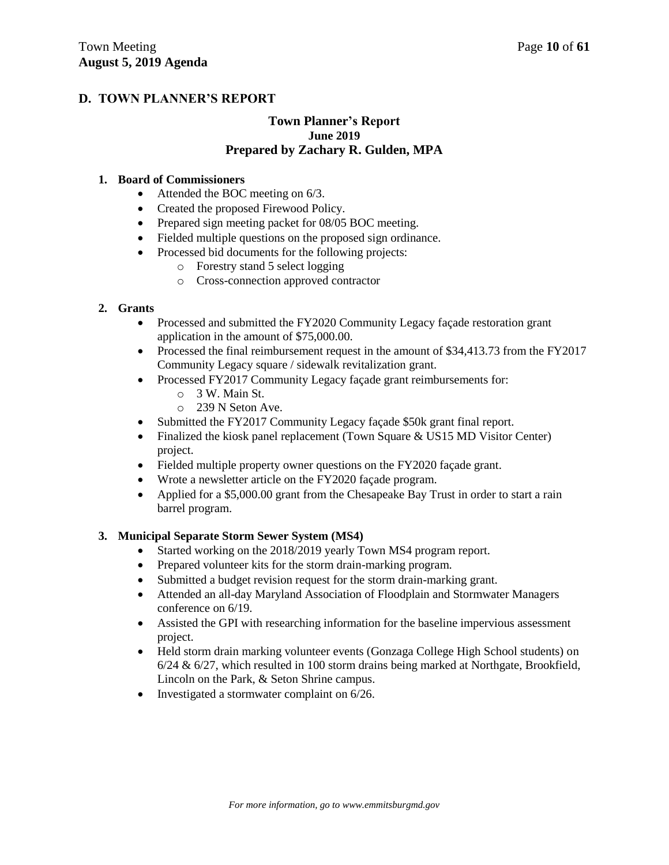# **D. TOWN PLANNER'S REPORT**

### **Town Planner's Report June 2019 Prepared by Zachary R. Gulden, MPA**

### **1. Board of Commissioners**

- Attended the BOC meeting on 6/3.
- Created the proposed Firewood Policy.
- Prepared sign meeting packet for 08/05 BOC meeting.
- Fielded multiple questions on the proposed sign ordinance.
- Processed bid documents for the following projects:
	- o Forestry stand 5 select logging
	- o Cross-connection approved contractor

### **2. Grants**

- Processed and submitted the FY2020 Community Legacy façade restoration grant application in the amount of \$75,000.00.
- Processed the final reimbursement request in the amount of \$34,413.73 from the FY2017 Community Legacy square / sidewalk revitalization grant.
- Processed FY2017 Community Legacy façade grant reimbursements for:
	- o 3 W. Main St.
	- o 239 N Seton Ave.
- Submitted the FY2017 Community Legacy façade \$50k grant final report.
- Finalized the kiosk panel replacement (Town Square & US15 MD Visitor Center) project.
- Fielded multiple property owner questions on the FY2020 façade grant.
- Wrote a newsletter article on the FY2020 façade program.
- Applied for a \$5,000.00 grant from the Chesapeake Bay Trust in order to start a rain barrel program.

### **3. Municipal Separate Storm Sewer System (MS4)**

- Started working on the 2018/2019 yearly Town MS4 program report.
- Prepared volunteer kits for the storm drain-marking program.
- Submitted a budget revision request for the storm drain-marking grant.
- Attended an all-day Maryland Association of Floodplain and Stormwater Managers conference on 6/19.
- Assisted the GPI with researching information for the baseline impervious assessment project.
- Held storm drain marking volunteer events (Gonzaga College High School students) on 6/24 & 6/27, which resulted in 100 storm drains being marked at Northgate, Brookfield, Lincoln on the Park, & Seton Shrine campus.
- Investigated a stormwater complaint on 6/26.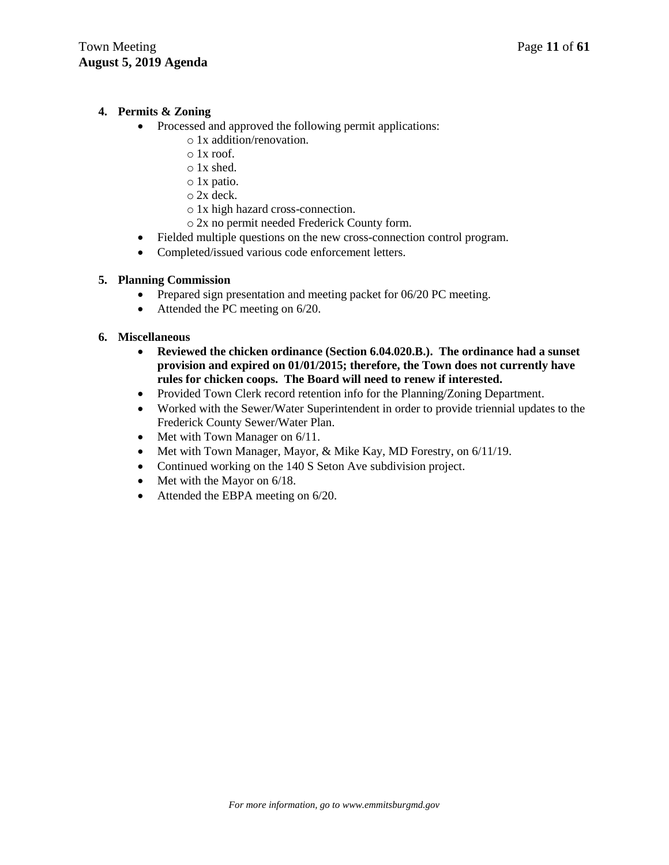# **4. Permits & Zoning**

- Processed and approved the following permit applications:
	- o 1x addition/renovation.
	- $\circ$  1x roof.
	- o 1x shed.
	- o 1x patio.
	- o 2x deck.
	- o 1x high hazard cross-connection.
	- o 2x no permit needed Frederick County form.
- Fielded multiple questions on the new cross-connection control program.
- Completed/issued various code enforcement letters.

# **5. Planning Commission**

- Prepared sign presentation and meeting packet for 06/20 PC meeting.
- Attended the PC meeting on 6/20.

### **6. Miscellaneous**

- **Reviewed the chicken ordinance (Section 6.04.020.B.). The ordinance had a sunset provision and expired on 01/01/2015; therefore, the Town does not currently have rules for chicken coops. The Board will need to renew if interested.**
- Provided Town Clerk record retention info for the Planning/Zoning Department.
- Worked with the Sewer/Water Superintendent in order to provide triennial updates to the Frederick County Sewer/Water Plan.
- Met with Town Manager on 6/11.
- Met with Town Manager, Mayor, & Mike Kay, MD Forestry, on 6/11/19.
- Continued working on the 140 S Seton Ave subdivision project.
- $\bullet$  Met with the Mayor on 6/18.
- Attended the EBPA meeting on 6/20.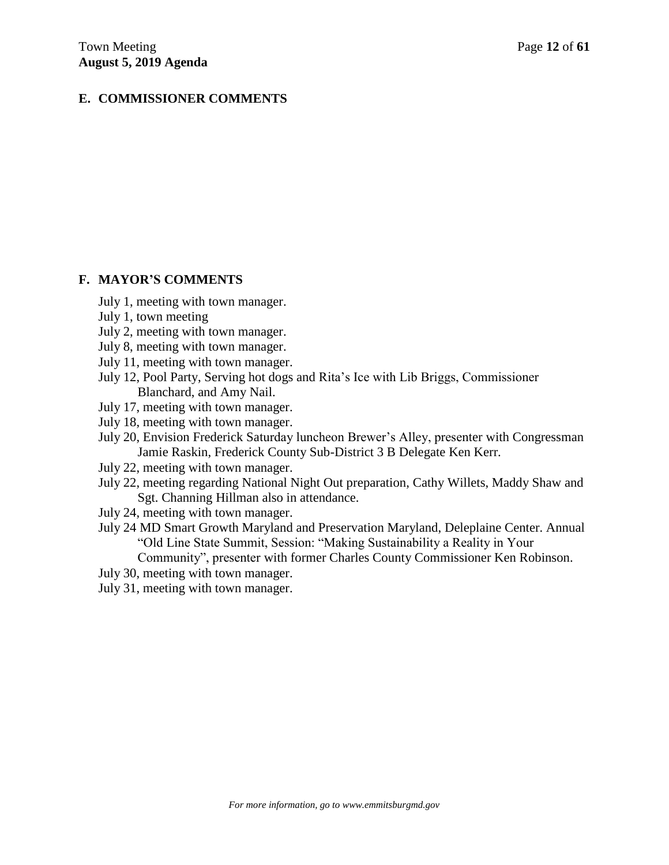# **E. COMMISSIONER COMMENTS**

### **F. MAYOR'S COMMENTS**

- July 1, meeting with town manager.
- July 1, town meeting
- July 2, meeting with town manager.
- July 8, meeting with town manager.
- July 11, meeting with town manager.
- July 12, Pool Party, Serving hot dogs and Rita's Ice with Lib Briggs, Commissioner Blanchard, and Amy Nail.
- July 17, meeting with town manager.
- July 18, meeting with town manager.
- July 20, Envision Frederick Saturday luncheon Brewer's Alley, presenter with Congressman Jamie Raskin, Frederick County Sub-District 3 B Delegate Ken Kerr.
- July 22, meeting with town manager.
- July 22, meeting regarding National Night Out preparation, Cathy Willets, Maddy Shaw and Sgt. Channing Hillman also in attendance.
- July 24, meeting with town manager.
- July 24 MD Smart Growth Maryland and Preservation Maryland, Deleplaine Center. Annual "Old Line State Summit, Session: "Making Sustainability a Reality in Your

Community", presenter with former Charles County Commissioner Ken Robinson.

- July 30, meeting with town manager.
- July 31, meeting with town manager.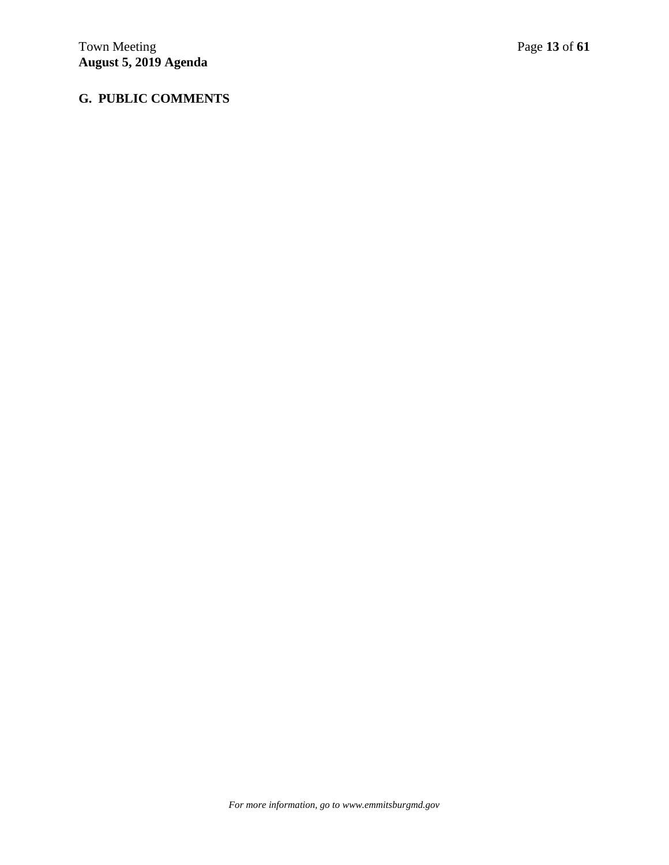# **G. PUBLIC COMMENTS**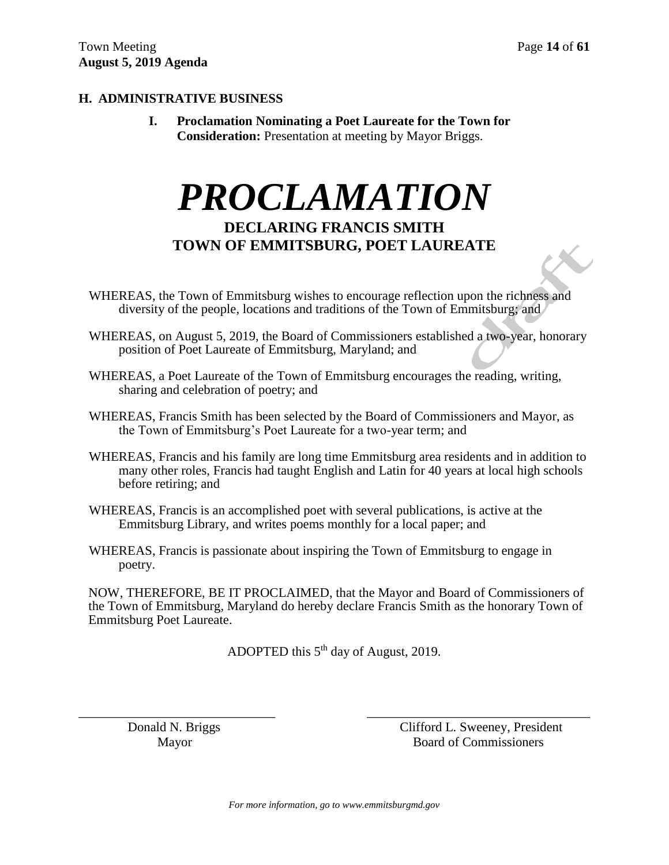X

# **H. ADMINISTRATIVE BUSINESS**

**I. Proclamation Nominating a Poet Laureate for the Town for Consideration:** Presentation at meeting by Mayor Briggs.

# *PROCLAMATION* **DECLARING FRANCIS SMITH TOWN OF EMMITSBURG, POET LAUREATE**

- WHEREAS, the Town of Emmitsburg wishes to encourage reflection upon the richness and diversity of the people, locations and traditions of the Town of Emmitsburg; and
- WHEREAS, on August 5, 2019, the Board of Commissioners established a two-year, honorary position of Poet Laureate of Emmitsburg, Maryland; and
- WHEREAS, a Poet Laureate of the Town of Emmitsburg encourages the reading, writing, sharing and celebration of poetry; and
- WHEREAS, Francis Smith has been selected by the Board of Commissioners and Mayor, as the Town of Emmitsburg's Poet Laureate for a two-year term; and
- WHEREAS, Francis and his family are long time Emmitsburg area residents and in addition to many other roles, Francis had taught English and Latin for 40 years at local high schools before retiring; and
- WHEREAS, Francis is an accomplished poet with several publications, is active at the Emmitsburg Library, and writes poems monthly for a local paper; and
- WHEREAS, Francis is passionate about inspiring the Town of Emmitsburg to engage in poetry.

NOW, THEREFORE, BE IT PROCLAIMED, that the Mayor and Board of Commissioners of the Town of Emmitsburg, Maryland do hereby declare Francis Smith as the honorary Town of Emmitsburg Poet Laureate.

ADOPTED this 5<sup>th</sup> day of August, 2019.

\_\_\_\_\_\_\_\_\_\_\_\_\_\_\_\_\_\_\_\_\_\_\_\_\_\_\_\_\_\_ \_\_\_\_\_\_\_\_\_\_\_\_\_\_\_\_\_\_\_\_\_\_\_\_\_\_\_\_\_\_\_\_\_\_

 Donald N. Briggs Clifford L. Sweeney, President Mayor Board of Commissioners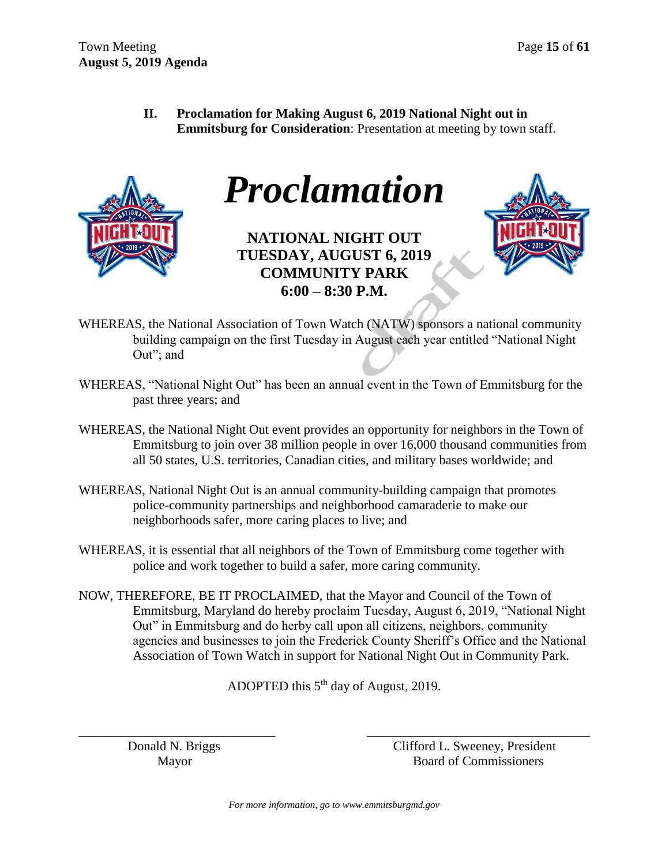**II. Proclamation for Making August 6, 2019 National Night out in Emmitsburg for Consideration**: Presentation at meeting by town staff.



*Proclamation*

**NATIONAL NIGHT OUT TUESDAY, AUGUST 6, 2019 COMMUNITY PARK 6:00 – 8:30 P.M.**



- WHEREAS, the National Association of Town Watch (NATW) sponsors a national community building campaign on the first Tuesday in August each year entitled "National Night Out"; and
- WHEREAS, "National Night Out" has been an annual event in the Town of Emmitsburg for the past three years; and
- WHEREAS, the National Night Out event provides an opportunity for neighbors in the Town of Emmitsburg to join over 38 million people in over 16,000 thousand communities from all 50 states, U.S. territories, Canadian cities, and military bases worldwide; and
- WHEREAS, National Night Out is an annual community-building campaign that promotes police-community partnerships and neighborhood camaraderie to make our neighborhoods safer, more caring places to live; and
- WHEREAS, it is essential that all neighbors of the Town of Emmitsburg come together with police and work together to build a safer, more caring community.
- NOW, THEREFORE, BE IT PROCLAIMED, that the Mayor and Council of the Town of Emmitsburg, Maryland do hereby proclaim Tuesday, August 6, 2019, "National Night Out" in Emmitsburg and do herby call upon all citizens, neighbors, community agencies and businesses to join the Frederick County Sheriff's Office and the National Association of Town Watch in support for National Night Out in Community Park.

ADOPTED this  $5<sup>th</sup>$  day of August, 2019.

\_\_\_\_\_\_\_\_\_\_\_\_\_\_\_\_\_\_\_\_\_\_\_\_\_\_\_\_\_\_ \_\_\_\_\_\_\_\_\_\_\_\_\_\_\_\_\_\_\_\_\_\_\_\_\_\_\_\_\_\_\_\_\_\_

 Donald N. Briggs Clifford L. Sweeney, President Mayor Board of Commissioners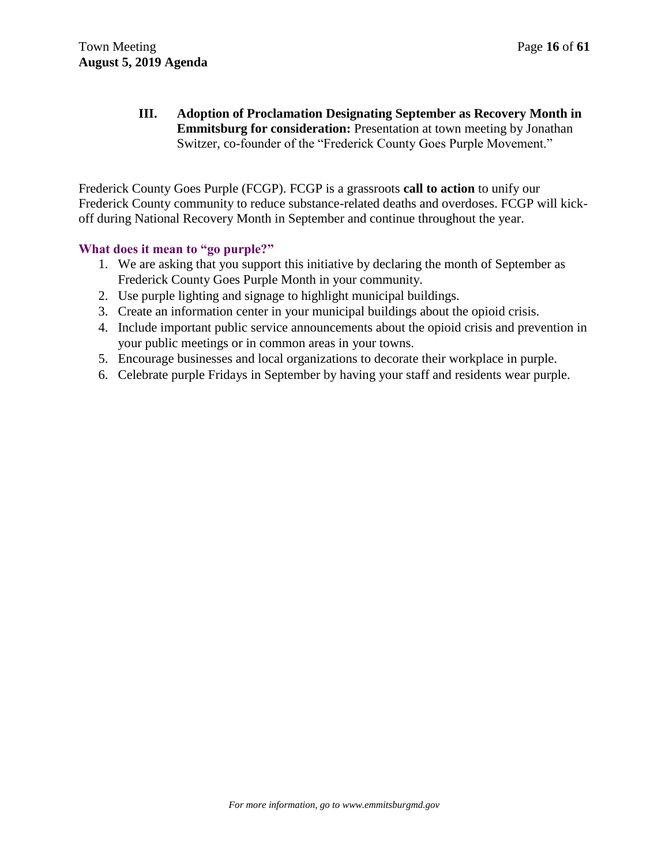**III. Adoption of Proclamation Designating September as Recovery Month in Emmitsburg for consideration:** Presentation at town meeting by Jonathan Switzer, co-founder of the "Frederick County Goes Purple Movement."

Frederick County Goes Purple (FCGP). FCGP is a grassroots **call to action** to unify our Frederick County community to reduce substance-related deaths and overdoses. FCGP will kickoff during National Recovery Month in September and continue throughout the year.

# **What does it mean to "go purple?"**

- 1. We are asking that you support this initiative by declaring the month of September as Frederick County Goes Purple Month in your community.
- 2. Use purple lighting and signage to highlight municipal buildings.
- 3. Create an information center in your municipal buildings about the opioid crisis.
- 4. Include important public service announcements about the opioid crisis and prevention in your public meetings or in common areas in your towns.
- 5. Encourage businesses and local organizations to decorate their workplace in purple.
- 6. Celebrate purple Fridays in September by having your staff and residents wear purple.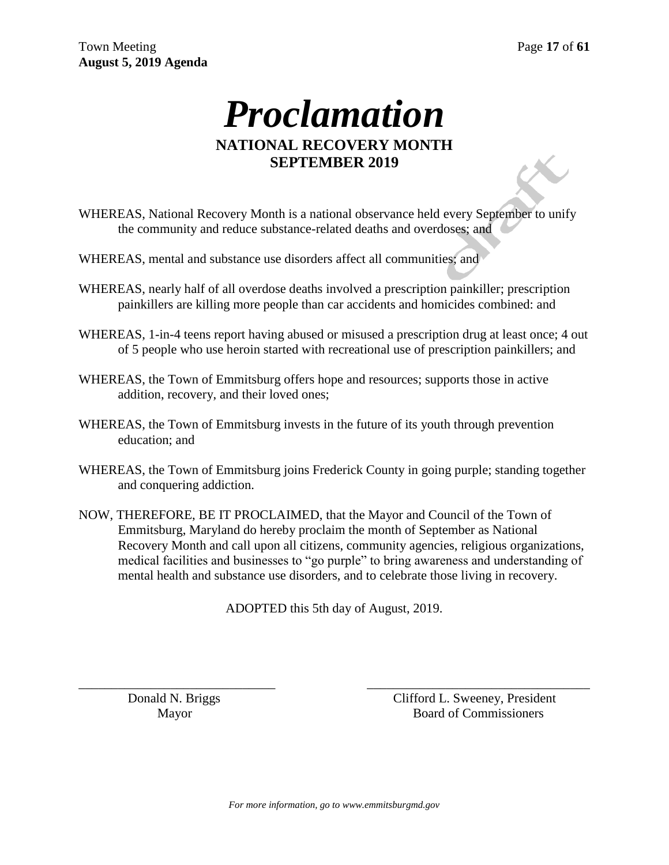# *Proclamation* **NATIONAL RECOVERY MONTH SEPTEMBER 2019**

- WHEREAS, National Recovery Month is a national observance held every September to unify the community and reduce substance-related deaths and overdoses; and
- WHEREAS, mental and substance use disorders affect all communities: and
- WHEREAS, nearly half of all overdose deaths involved a prescription painkiller; prescription painkillers are killing more people than car accidents and homicides combined: and
- WHEREAS, 1-in-4 teens report having abused or misused a prescription drug at least once; 4 out of 5 people who use heroin started with recreational use of prescription painkillers; and
- WHEREAS, the Town of Emmitsburg offers hope and resources; supports those in active addition, recovery, and their loved ones;
- WHEREAS, the Town of Emmitsburg invests in the future of its youth through prevention education; and
- WHEREAS, the Town of Emmitsburg joins Frederick County in going purple; standing together and conquering addiction.
- NOW, THEREFORE, BE IT PROCLAIMED, that the Mayor and Council of the Town of Emmitsburg, Maryland do hereby proclaim the month of September as National Recovery Month and call upon all citizens, community agencies, religious organizations, medical facilities and businesses to "go purple" to bring awareness and understanding of mental health and substance use disorders, and to celebrate those living in recovery.

ADOPTED this 5th day of August, 2019.

\_\_\_\_\_\_\_\_\_\_\_\_\_\_\_\_\_\_\_\_\_\_\_\_\_\_\_\_\_\_ \_\_\_\_\_\_\_\_\_\_\_\_\_\_\_\_\_\_\_\_\_\_\_\_\_\_\_\_\_\_\_\_\_\_

 Donald N. Briggs Clifford L. Sweeney, President Mayor Board of Commissioners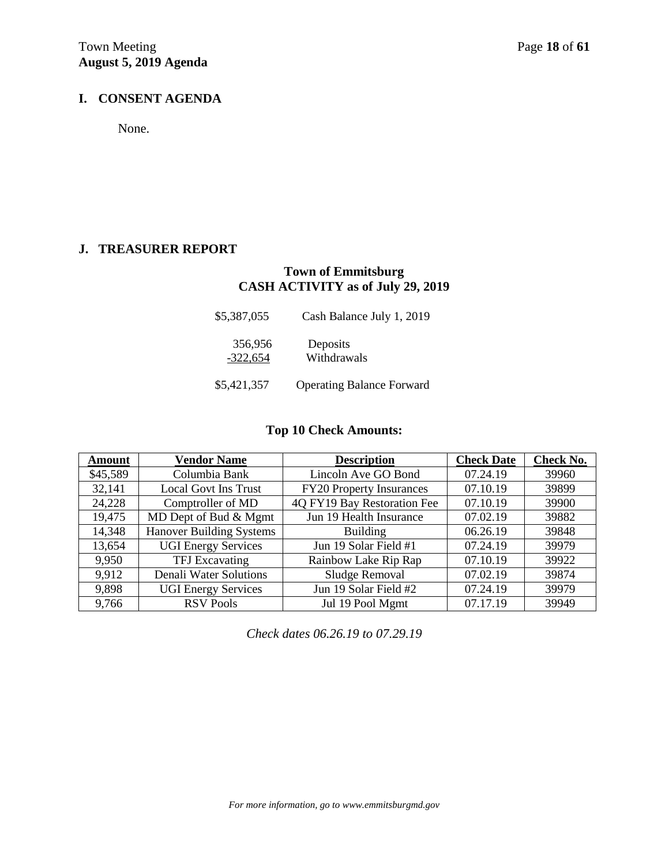# **I. CONSENT AGENDA**

None.

# **J. TREASURER REPORT**

# **Town of Emmitsburg CASH ACTIVITY as of July 29, 2019**

| \$5,387,055           | Cash Balance July 1, 2019        |
|-----------------------|----------------------------------|
| 356,956<br>$-322,654$ | Deposits<br>Withdrawals          |
| \$5,421,357           | <b>Operating Balance Forward</b> |

# **Top 10 Check Amounts:**

| <b>Amount</b> | <b>Vendor Name</b>            | <b>Description</b>              | <b>Check Date</b> | Check No. |
|---------------|-------------------------------|---------------------------------|-------------------|-----------|
| \$45,589      | Columbia Bank                 | Lincoln Ave GO Bond             | 07.24.19          | 39960     |
| 32,141        | <b>Local Govt Ins Trust</b>   | <b>FY20 Property Insurances</b> | 07.10.19          | 39899     |
| 24,228        | Comptroller of MD             | 4Q FY19 Bay Restoration Fee     | 07.10.19          | 39900     |
| 19,475        | MD Dept of Bud & Mgmt         | Jun 19 Health Insurance         | 07.02.19          | 39882     |
| 14,348        | Hanover Building Systems      | <b>Building</b>                 | 06.26.19          | 39848     |
| 13,654        | <b>UGI Energy Services</b>    | Jun 19 Solar Field #1           | 07.24.19          | 39979     |
| 9,950         | TFJ Excavating                | Rainbow Lake Rip Rap            | 07.10.19          | 39922     |
| 9,912         | <b>Denali Water Solutions</b> | Sludge Removal                  | 07.02.19          | 39874     |
| 9,898         | <b>UGI Energy Services</b>    | Jun 19 Solar Field #2           | 07.24.19          | 39979     |
| 9,766         | <b>RSV Pools</b>              | Jul 19 Pool Mgmt                | 07.17.19          | 39949     |

*Check dates 06.26.19 to 07.29.19*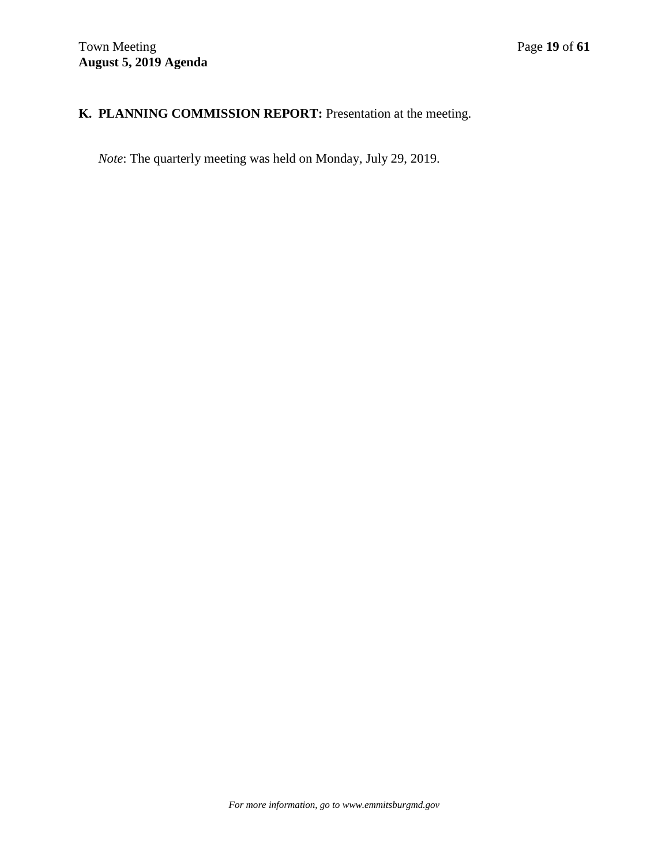# **K. PLANNING COMMISSION REPORT:** Presentation at the meeting.

*Note*: The quarterly meeting was held on Monday, July 29, 2019.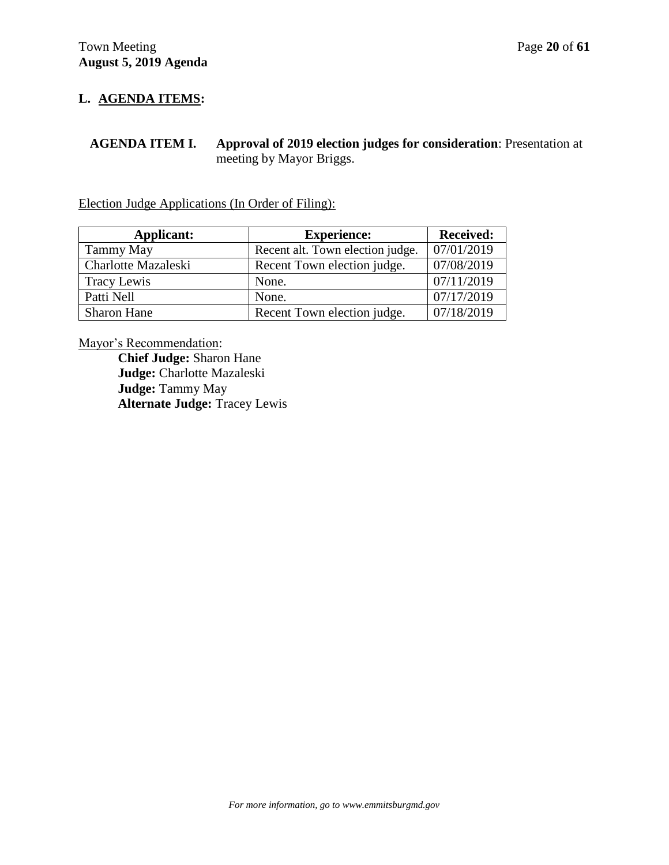# **L. AGENDA ITEMS:**

**AGENDA ITEM I. Approval of 2019 election judges for consideration**: Presentation at meeting by Mayor Briggs.

Election Judge Applications (In Order of Filing):

| Applicant:          | <b>Experience:</b>               | <b>Received:</b> |
|---------------------|----------------------------------|------------------|
| Tammy May           | Recent alt. Town election judge. | 07/01/2019       |
| Charlotte Mazaleski | Recent Town election judge.      | 07/08/2019       |
| Tracy Lewis         | None.                            | 07/11/2019       |
| Patti Nell          | None.                            | 07/17/2019       |
| <b>Sharon Hane</b>  | Recent Town election judge.      | 07/18/2019       |

Mayor's Recommendation:

**Chief Judge:** Sharon Hane **Judge:** Charlotte Mazaleski **Judge:** Tammy May **Alternate Judge:** Tracey Lewis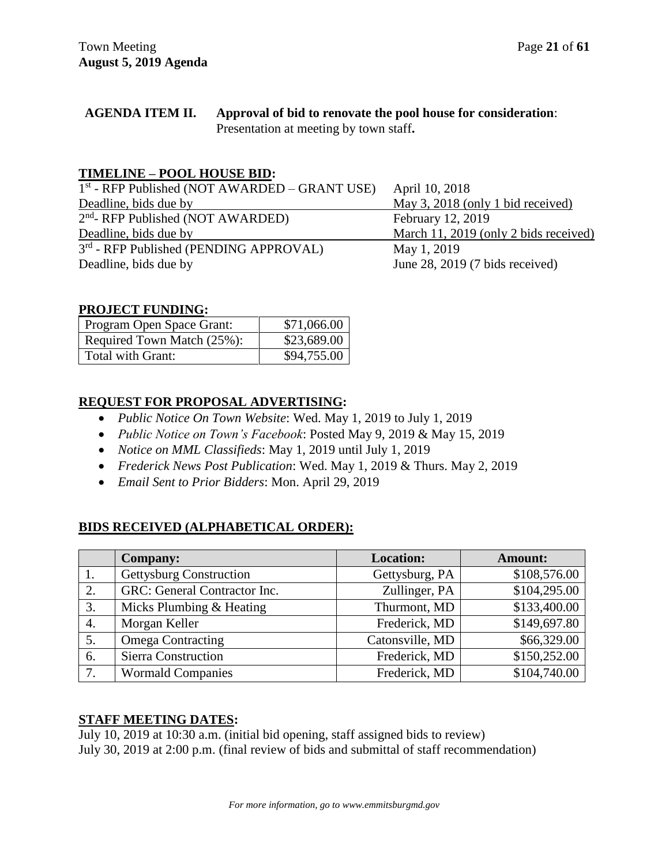### **AGENDA ITEM II. Approval of bid to renovate the pool house for consideration**: Presentation at meeting by town staff**.**

# **TIMELINE – POOL HOUSE BID:**

| $1st$ - RFP Published (NOT AWARDED – GRANT USE) | April 10, 2018                            |
|-------------------------------------------------|-------------------------------------------|
| Deadline, bids due by                           | May 3, 2018 (only 1 bid received)         |
| 2 <sup>nd</sup> - RFP Published (NOT AWARDED)   | February 12, 2019                         |
| Deadline, bids due by                           | March 11, 2019 (only 2 bids received)     |
| 3rd - RFP Published (PENDING APPROVAL)          | May 1, 2019                               |
| Deadline, bids due by                           | June 28, 2019 $(7 \text{ bids received})$ |

# **PROJECT FUNDING:**

| Program Open Space Grant:  | \$71,066.00 |
|----------------------------|-------------|
| Required Town Match (25%): | \$23,689.00 |
| Total with Grant:          | \$94,755.00 |

# **REQUEST FOR PROPOSAL ADVERTISING:**

- *Public Notice On Town Website*: Wed. May 1, 2019 to July 1, 2019
- *Public Notice on Town's Facebook*: Posted May 9, 2019 & May 15, 2019
- *Notice on MML Classifieds*: May 1, 2019 until July 1, 2019
- *Frederick News Post Publication*: Wed. May 1, 2019 & Thurs. May 2, 2019
- *Email Sent to Prior Bidders*: Mon. April 29, 2019

# **BIDS RECEIVED (ALPHABETICAL ORDER):**

|    | <b>Company:</b>                | <b>Location:</b> | <b>Amount:</b> |
|----|--------------------------------|------------------|----------------|
|    | <b>Gettysburg Construction</b> | Gettysburg, PA   | \$108,576.00   |
| 2. | GRC: General Contractor Inc.   | Zullinger, PA    | \$104,295.00   |
| 3. | Micks Plumbing & Heating       | Thurmont, MD     | \$133,400.00   |
| 4. | Morgan Keller                  | Frederick, MD    | \$149,697.80   |
| 5. | <b>Omega Contracting</b>       | Catonsville, MD  | \$66,329.00    |
| 6. | <b>Sierra Construction</b>     | Frederick, MD    | \$150,252.00   |
| 7. | <b>Wormald Companies</b>       | Frederick, MD    | \$104,740.00   |

# **STAFF MEETING DATES:**

July 10, 2019 at 10:30 a.m. (initial bid opening, staff assigned bids to review) July 30, 2019 at 2:00 p.m. (final review of bids and submittal of staff recommendation)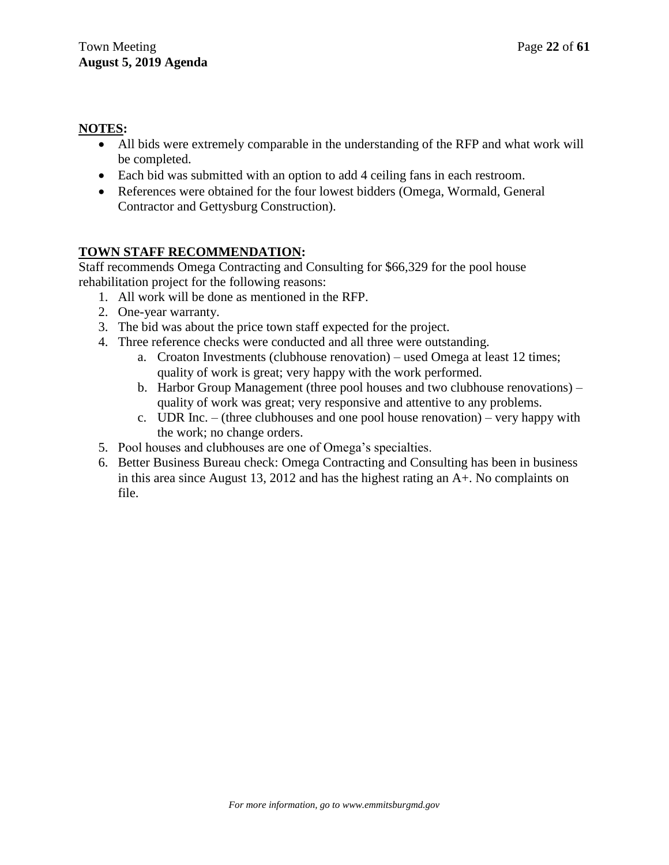# **NOTES:**

- All bids were extremely comparable in the understanding of the RFP and what work will be completed.
- Each bid was submitted with an option to add 4 ceiling fans in each restroom.
- References were obtained for the four lowest bidders (Omega, Wormald, General Contractor and Gettysburg Construction).

# **TOWN STAFF RECOMMENDATION:**

Staff recommends Omega Contracting and Consulting for \$66,329 for the pool house rehabilitation project for the following reasons:

- 1. All work will be done as mentioned in the RFP.
- 2. One-year warranty.
- 3. The bid was about the price town staff expected for the project.
- 4. Three reference checks were conducted and all three were outstanding.
	- a. Croaton Investments (clubhouse renovation) used Omega at least 12 times; quality of work is great; very happy with the work performed.
	- b. Harbor Group Management (three pool houses and two clubhouse renovations) quality of work was great; very responsive and attentive to any problems.
	- c. UDR Inc. (three clubhouses and one pool house renovation) very happy with the work; no change orders.
- 5. Pool houses and clubhouses are one of Omega's specialties.
- 6. Better Business Bureau check: Omega Contracting and Consulting has been in business in this area since August 13, 2012 and has the highest rating an A+. No complaints on file.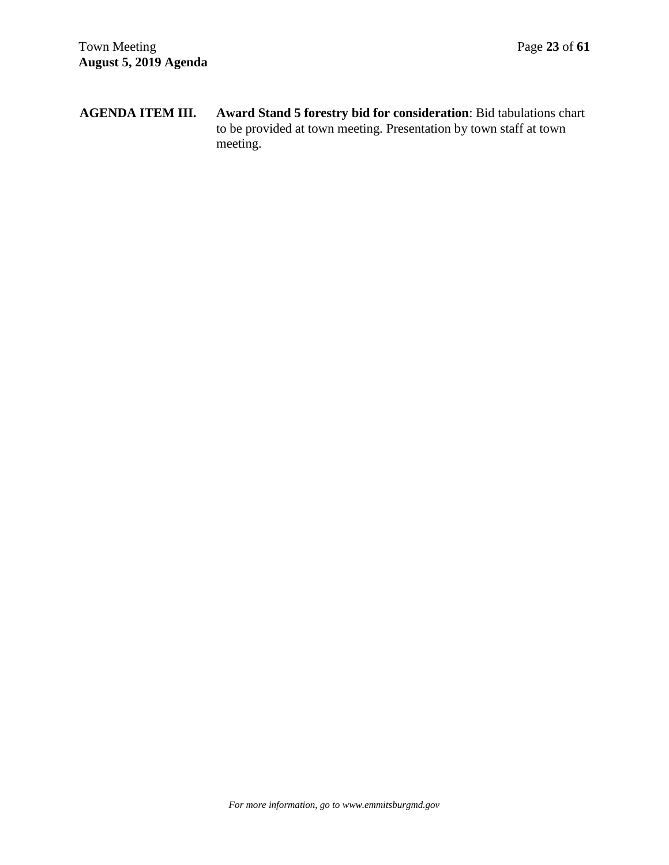**AGENDA ITEM III. Award Stand 5 forestry bid for consideration**: Bid tabulations chart to be provided at town meeting. Presentation by town staff at town meeting.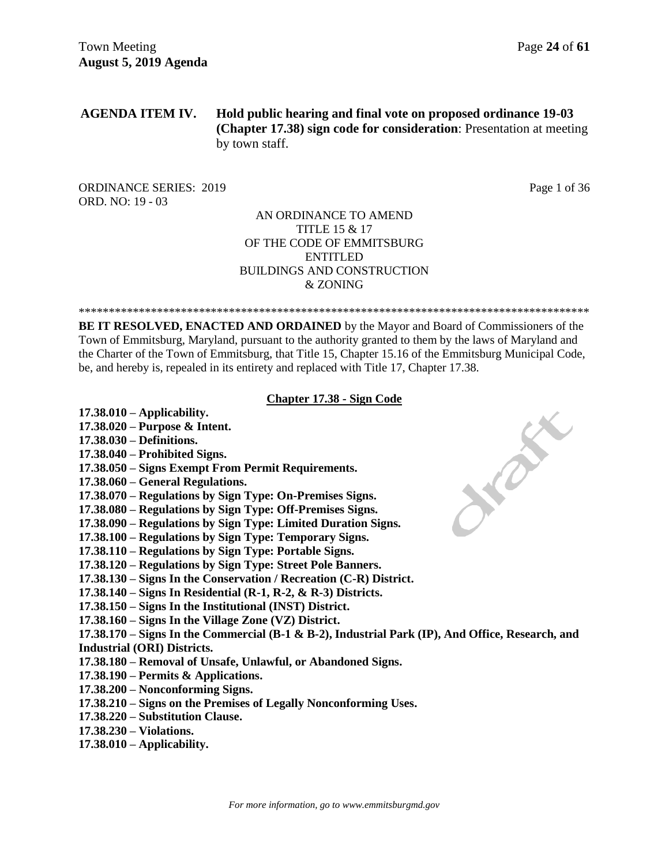### **AGENDA ITEM IV. Hold public hearing and final vote on proposed ordinance 19-03 (Chapter 17.38) sign code for consideration**: Presentation at meeting by town staff.

ORDINANCE SERIES: 2019 Page 1 of 36 ORD. NO: 19 - 03

### AN ORDINANCE TO AMEND TITLE 15 & 17 OF THE CODE OF EMMITSBURG ENTITLED BUILDINGS AND CONSTRUCTION & ZONING

\*\*\*\*\*\*\*\*\*\*\*\*\*\*\*\*\*\*\*\*\*\*\*\*\*\*\*\*\*\*\*\*\*\*\*\*\*\*\*\*\*\*\*\*\*\*\*\*\*\*\*\*\*\*\*\*\*\*\*\*\*\*\*\*\*\*\*\*\*\*\*\*\*\*\*\*\*\*\*\*\*\*\*\*\*

**BE IT RESOLVED, ENACTED AND ORDAINED** by the Mayor and Board of Commissioners of the Town of Emmitsburg, Maryland, pursuant to the authority granted to them by the laws of Maryland and the Charter of the Town of Emmitsburg, that Title 15, Chapter 15.16 of the Emmitsburg Municipal Code, be, and hereby is, repealed in its entirety and replaced with Title 17, Chapter 17.38.

### **Chapter 17.38 - Sign Code**

- **17.38.010 – Applicability.**
- **17.38.020 – Purpose & Intent.**
- **17.38.030 – Definitions.**
- **17.38.040 – Prohibited Signs.**
- **17.38.050 – Signs Exempt From Permit Requirements.**
- **17.38.060 – General Regulations.**
- **17.38.070 – Regulations by Sign Type: On-Premises Signs.**
- **17.38.080 – Regulations by Sign Type: Off-Premises Signs.**
- **17.38.090 – Regulations by Sign Type: Limited Duration Signs.**
- **17.38.100 – Regulations by Sign Type: Temporary Signs.**
- **17.38.110 – Regulations by Sign Type: Portable Signs.**
- **17.38.120 – Regulations by Sign Type: Street Pole Banners.**
- **17.38.130 – Signs In the Conservation / Recreation (C-R) District.**
- **17.38.140 – Signs In Residential (R-1, R-2, & R-3) Districts.**
- **17.38.150 – Signs In the Institutional (INST) District.**
- **17.38.160 – Signs In the Village Zone (VZ) District.**
- **17.38.170 – Signs In the Commercial (B-1 & B-2), Industrial Park (IP), And Office, Research, and Industrial (ORI) Districts.**
- **17.38.180 – Removal of Unsafe, Unlawful, or Abandoned Signs.**
- **17.38.190 – Permits & Applications.**
- **17.38.200 – Nonconforming Signs.**
- **17.38.210 – Signs on the Premises of Legally Nonconforming Uses.**
- **17.38.220 – Substitution Clause.**
- **17.38.230 – Violations.**
- **17.38.010 – Applicability.**

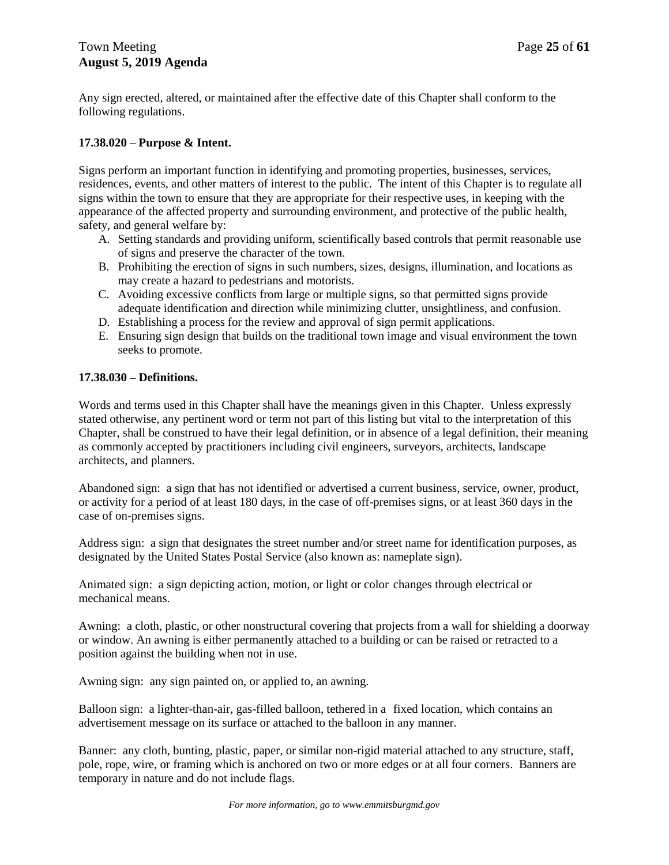Any sign erected, altered, or maintained after the effective date of this Chapter shall conform to the following regulations.

### **17.38.020 – Purpose & Intent.**

Signs perform an important function in identifying and promoting properties, businesses, services, residences, events, and other matters of interest to the public. The intent of this Chapter is to regulate all signs within the town to ensure that they are appropriate for their respective uses, in keeping with the appearance of the affected property and surrounding environment, and protective of the public health, safety, and general welfare by:

- A. Setting standards and providing uniform, scientifically based controls that permit reasonable use of signs and preserve the character of the town.
- B. Prohibiting the erection of signs in such numbers, sizes, designs, illumination, and locations as may create a hazard to pedestrians and motorists.
- C. Avoiding excessive conflicts from large or multiple signs, so that permitted signs provide adequate identification and direction while minimizing clutter, unsightliness, and confusion.
- D. Establishing a process for the review and approval of sign permit applications.
- E. Ensuring sign design that builds on the traditional town image and visual environment the town seeks to promote.

### **17.38.030 – Definitions.**

Words and terms used in this Chapter shall have the meanings given in this Chapter. Unless expressly stated otherwise, any pertinent word or term not part of this listing but vital to the interpretation of this Chapter, shall be construed to have their legal definition, or in absence of a legal definition, their meaning as commonly accepted by practitioners including civil engineers, surveyors, architects, landscape architects, and planners.

Abandoned sign: a sign that has not identified or advertised a current business, service, owner, product, or activity for a period of at least 180 days, in the case of off-premises signs, or at least 360 days in the case of on-premises signs.

Address sign: a sign that designates the street number and/or street name for identification purposes, as designated by the United States Postal Service (also known as: nameplate sign).

Animated sign: a sign depicting action, motion, or light or color changes through electrical or mechanical means.

Awning: a cloth, plastic, or other nonstructural covering that projects from a wall for shielding a doorway or window. An awning is either permanently attached to a building or can be raised or retracted to a position against the building when not in use.

Awning sign: any sign painted on, or applied to, an awning.

Balloon sign: a lighter-than-air, gas-filled balloon, tethered in a fixed location, which contains an advertisement message on its surface or attached to the balloon in any manner.

Banner: any cloth, bunting, plastic, paper, or similar non-rigid material attached to any structure, staff, pole, rope, wire, or framing which is anchored on two or more edges or at all four corners. Banners are temporary in nature and do not include flags.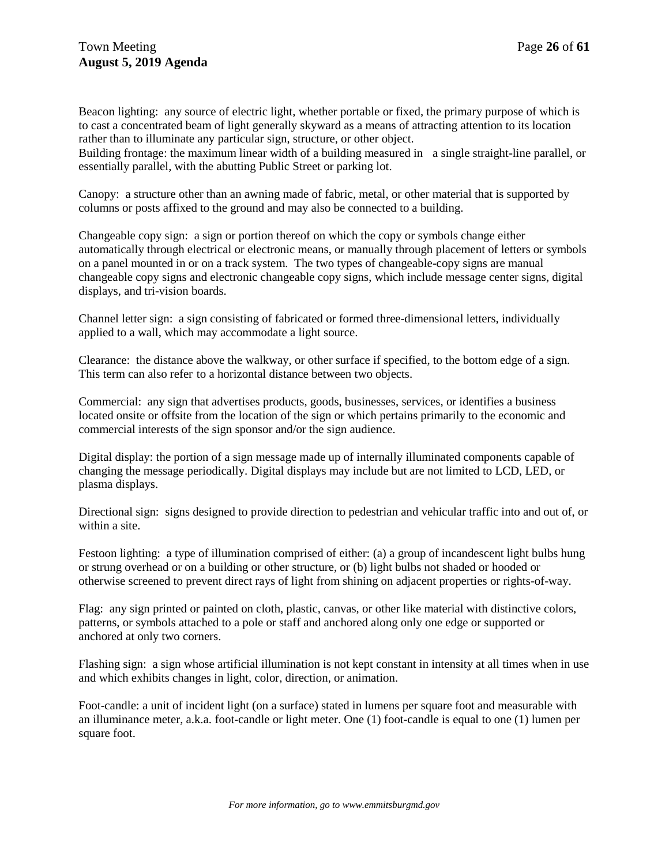Beacon lighting: any source of electric light, whether portable or fixed, the primary purpose of which is to cast a concentrated beam of light generally skyward as a means of attracting attention to its location rather than to illuminate any particular sign, structure, or other object.

Building frontage: the maximum linear width of a building measured in a single straight-line parallel, or essentially parallel, with the abutting Public Street or parking lot.

Canopy: a structure other than an awning made of fabric, metal, or other material that is supported by columns or posts affixed to the ground and may also be connected to a building.

Changeable copy sign: a sign or portion thereof on which the copy or symbols change either automatically through electrical or electronic means, or manually through placement of letters or symbols on a panel mounted in or on a track system. The two types of changeable-copy signs are manual changeable copy signs and electronic changeable copy signs, which include message center signs, digital displays, and tri-vision boards.

Channel letter sign: a sign consisting of fabricated or formed three-dimensional letters, individually applied to a wall, which may accommodate a light source.

Clearance: the distance above the walkway, or other surface if specified, to the bottom edge of a sign. This term can also refer to a horizontal distance between two objects.

Commercial: any sign that advertises products, goods, businesses, services, or identifies a business located onsite or offsite from the location of the sign or which pertains primarily to the economic and commercial interests of the sign sponsor and/or the sign audience.

Digital display: the portion of a sign message made up of internally illuminated components capable of changing the message periodically. Digital displays may include but are not limited to LCD, LED, or plasma displays.

Directional sign: signs designed to provide direction to pedestrian and vehicular traffic into and out of, or within a site.

Festoon lighting: a type of illumination comprised of either: (a) a group of incandescent light bulbs hung or strung overhead or on a building or other structure, or (b) light bulbs not shaded or hooded or otherwise screened to prevent direct rays of light from shining on adjacent properties or rights-of-way.

Flag: any sign printed or painted on cloth, plastic, canvas, or other like material with distinctive colors, patterns, or symbols attached to a pole or staff and anchored along only one edge or supported or anchored at only two corners.

Flashing sign: a sign whose artificial illumination is not kept constant in intensity at all times when in use and which exhibits changes in light, color, direction, or animation.

Foot-candle: a unit of incident light (on a surface) stated in lumens per square foot and measurable with an illuminance meter, a.k.a. foot-candle or light meter. One (1) foot-candle is equal to one (1) lumen per square foot.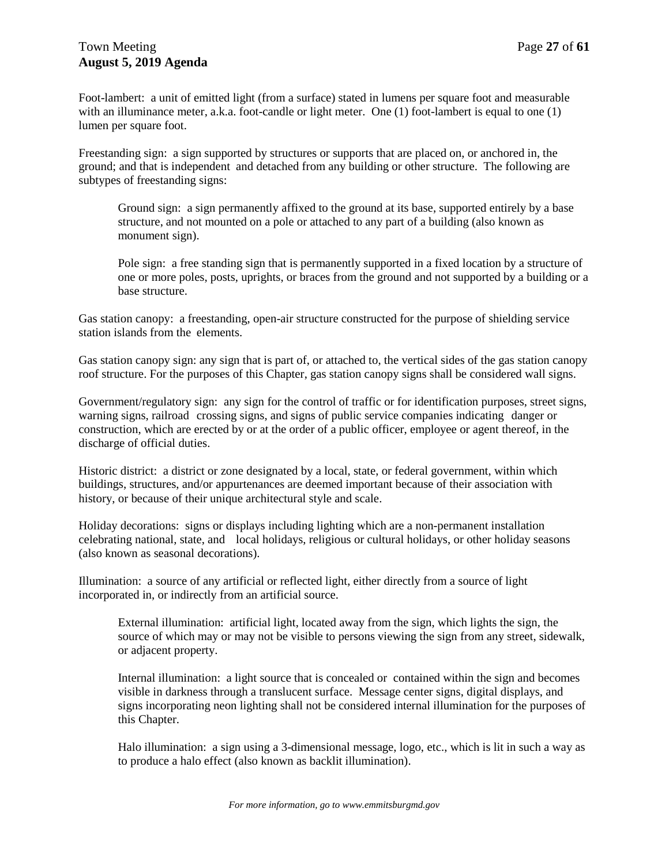Foot-lambert: a unit of emitted light (from a surface) stated in lumens per square foot and measurable with an illuminance meter, a.k.a. foot-candle or light meter. One (1) foot-lambert is equal to one (1) lumen per square foot.

Freestanding sign: a sign supported by structures or supports that are placed on, or anchored in, the ground; and that is independent and detached from any building or other structure. The following are subtypes of freestanding signs:

Ground sign: a sign permanently affixed to the ground at its base, supported entirely by a base structure, and not mounted on a pole or attached to any part of a building (also known as monument sign).

Pole sign: a free standing sign that is permanently supported in a fixed location by a structure of one or more poles, posts, uprights, or braces from the ground and not supported by a building or a base structure.

Gas station canopy: a freestanding, open-air structure constructed for the purpose of shielding service station islands from the elements.

Gas station canopy sign: any sign that is part of, or attached to, the vertical sides of the gas station canopy roof structure. For the purposes of this Chapter, gas station canopy signs shall be considered wall signs.

Government/regulatory sign: any sign for the control of traffic or for identification purposes, street signs, warning signs, railroad crossing signs, and signs of public service companies indicating danger or construction, which are erected by or at the order of a public officer, employee or agent thereof, in the discharge of official duties.

Historic district: a district or zone designated by a local, state, or federal government, within which buildings, structures, and/or appurtenances are deemed important because of their association with history, or because of their unique architectural style and scale.

Holiday decorations: signs or displays including lighting which are a non-permanent installation celebrating national, state, and local holidays, religious or cultural holidays, or other holiday seasons (also known as seasonal decorations).

Illumination: a source of any artificial or reflected light, either directly from a source of light incorporated in, or indirectly from an artificial source.

External illumination: artificial light, located away from the sign, which lights the sign, the source of which may or may not be visible to persons viewing the sign from any street, sidewalk, or adjacent property.

Internal illumination: a light source that is concealed or contained within the sign and becomes visible in darkness through a translucent surface. Message center signs, digital displays, and signs incorporating neon lighting shall not be considered internal illumination for the purposes of this Chapter.

Halo illumination: a sign using a 3-dimensional message, logo, etc., which is lit in such a way as to produce a halo effect (also known as backlit illumination).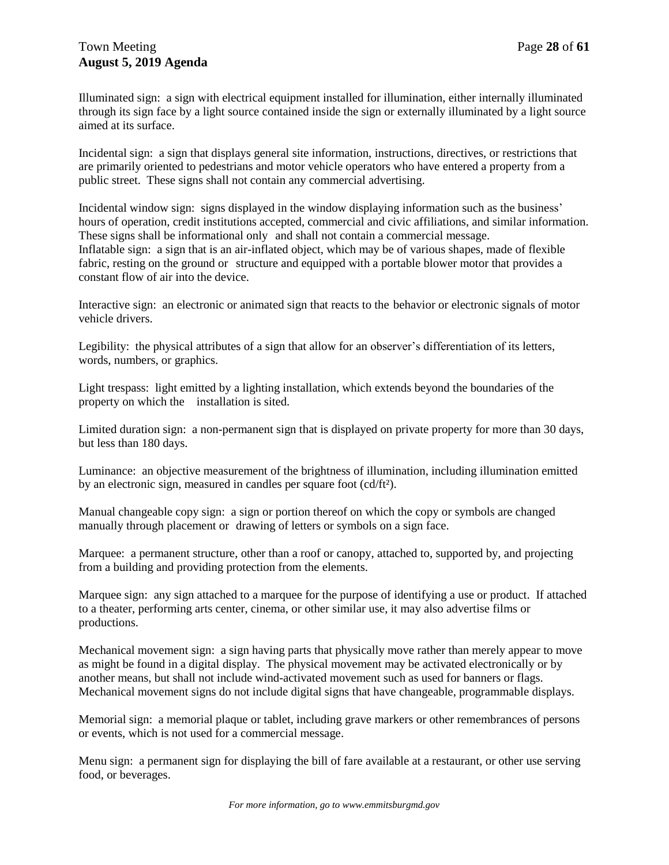Illuminated sign: a sign with electrical equipment installed for illumination, either internally illuminated through its sign face by a light source contained inside the sign or externally illuminated by a light source aimed at its surface.

Incidental sign: a sign that displays general site information, instructions, directives, or restrictions that are primarily oriented to pedestrians and motor vehicle operators who have entered a property from a public street. These signs shall not contain any commercial advertising.

Incidental window sign: signs displayed in the window displaying information such as the business' hours of operation, credit institutions accepted, commercial and civic affiliations, and similar information. These signs shall be informational only and shall not contain a commercial message. Inflatable sign: a sign that is an air-inflated object, which may be of various shapes, made of flexible fabric, resting on the ground or structure and equipped with a portable blower motor that provides a constant flow of air into the device.

Interactive sign: an electronic or animated sign that reacts to the behavior or electronic signals of motor vehicle drivers.

Legibility: the physical attributes of a sign that allow for an observer's differentiation of its letters, words, numbers, or graphics.

Light trespass: light emitted by a lighting installation, which extends beyond the boundaries of the property on which the installation is sited.

Limited duration sign: a non-permanent sign that is displayed on private property for more than 30 days, but less than 180 days.

Luminance: an objective measurement of the brightness of illumination, including illumination emitted by an electronic sign, measured in candles per square foot (cd/ft²).

Manual changeable copy sign: a sign or portion thereof on which the copy or symbols are changed manually through placement or drawing of letters or symbols on a sign face.

Marquee: a permanent structure, other than a roof or canopy, attached to, supported by, and projecting from a building and providing protection from the elements.

Marquee sign: any sign attached to a marquee for the purpose of identifying a use or product. If attached to a theater, performing arts center, cinema, or other similar use, it may also advertise films or productions.

Mechanical movement sign: a sign having parts that physically move rather than merely appear to move as might be found in a digital display. The physical movement may be activated electronically or by another means, but shall not include wind-activated movement such as used for banners or flags. Mechanical movement signs do not include digital signs that have changeable, programmable displays.

Memorial sign: a memorial plaque or tablet, including grave markers or other remembrances of persons or events, which is not used for a commercial message.

Menu sign: a permanent sign for displaying the bill of fare available at a restaurant, or other use serving food, or beverages.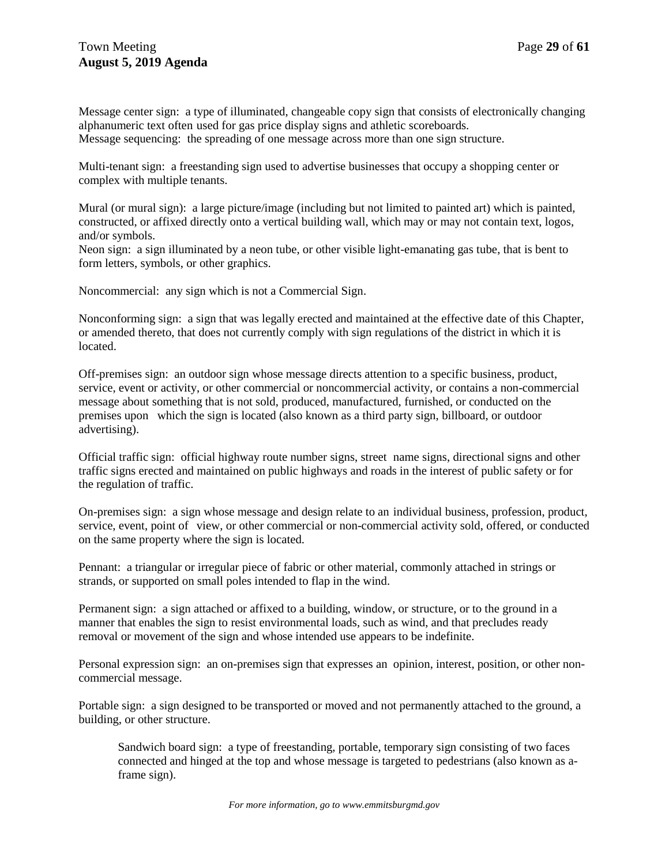Message center sign: a type of illuminated, changeable copy sign that consists of electronically changing alphanumeric text often used for gas price display signs and athletic scoreboards. Message sequencing: the spreading of one message across more than one sign structure.

Multi-tenant sign: a freestanding sign used to advertise businesses that occupy a shopping center or complex with multiple tenants.

Mural (or mural sign): a large picture/image (including but not limited to painted art) which is painted, constructed, or affixed directly onto a vertical building wall, which may or may not contain text, logos, and/or symbols.

Neon sign: a sign illuminated by a neon tube, or other visible light-emanating gas tube, that is bent to form letters, symbols, or other graphics.

Noncommercial: any sign which is not a Commercial Sign.

Nonconforming sign: a sign that was legally erected and maintained at the effective date of this Chapter, or amended thereto, that does not currently comply with sign regulations of the district in which it is located.

Off-premises sign: an outdoor sign whose message directs attention to a specific business, product, service, event or activity, or other commercial or noncommercial activity, or contains a non-commercial message about something that is not sold, produced, manufactured, furnished, or conducted on the premises upon which the sign is located (also known as a third party sign, billboard, or outdoor advertising).

Official traffic sign: official highway route number signs, street name signs, directional signs and other traffic signs erected and maintained on public highways and roads in the interest of public safety or for the regulation of traffic.

On-premises sign: a sign whose message and design relate to an individual business, profession, product, service, event, point of view, or other commercial or non-commercial activity sold, offered, or conducted on the same property where the sign is located.

Pennant: a triangular or irregular piece of fabric or other material, commonly attached in strings or strands, or supported on small poles intended to flap in the wind.

Permanent sign: a sign attached or affixed to a building, window, or structure, or to the ground in a manner that enables the sign to resist environmental loads, such as wind, and that precludes ready removal or movement of the sign and whose intended use appears to be indefinite.

Personal expression sign: an on-premises sign that expresses an opinion, interest, position, or other noncommercial message.

Portable sign: a sign designed to be transported or moved and not permanently attached to the ground, a building, or other structure.

Sandwich board sign: a type of freestanding, portable, temporary sign consisting of two faces connected and hinged at the top and whose message is targeted to pedestrians (also known as aframe sign).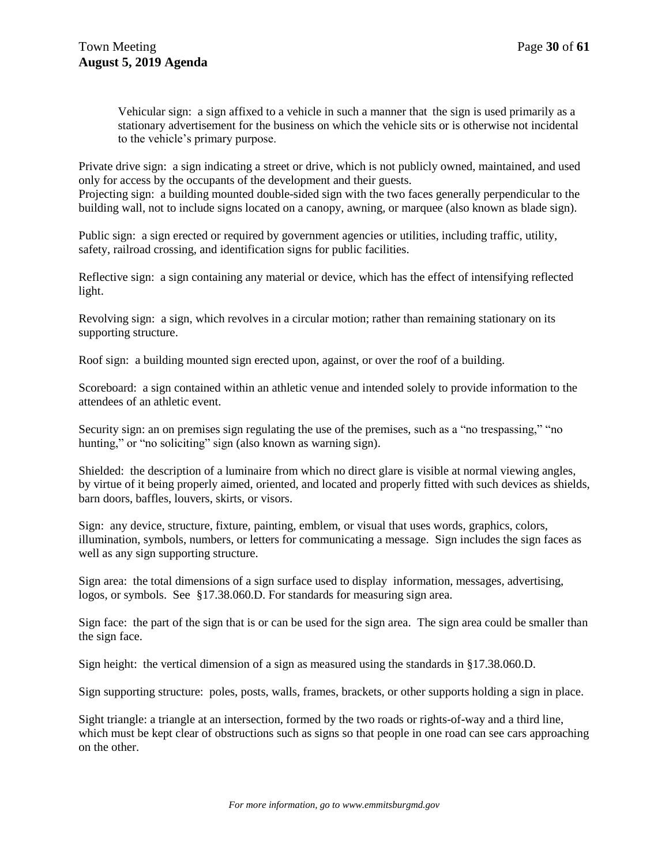Vehicular sign: a sign affixed to a vehicle in such a manner that the sign is used primarily as a stationary advertisement for the business on which the vehicle sits or is otherwise not incidental to the vehicle's primary purpose.

Private drive sign: a sign indicating a street or drive, which is not publicly owned, maintained, and used only for access by the occupants of the development and their guests. Projecting sign: a building mounted double-sided sign with the two faces generally perpendicular to the

building wall, not to include signs located on a canopy, awning, or marquee (also known as blade sign).

Public sign: a sign erected or required by government agencies or utilities, including traffic, utility, safety, railroad crossing, and identification signs for public facilities.

Reflective sign: a sign containing any material or device, which has the effect of intensifying reflected light.

Revolving sign: a sign, which revolves in a circular motion; rather than remaining stationary on its supporting structure.

Roof sign: a building mounted sign erected upon, against, or over the roof of a building.

Scoreboard: a sign contained within an athletic venue and intended solely to provide information to the attendees of an athletic event.

Security sign: an on premises sign regulating the use of the premises, such as a "no trespassing," "no hunting," or "no soliciting" sign (also known as warning sign).

Shielded: the description of a luminaire from which no direct glare is visible at normal viewing angles, by virtue of it being properly aimed, oriented, and located and properly fitted with such devices as shields, barn doors, baffles, louvers, skirts, or visors.

Sign: any device, structure, fixture, painting, emblem, or visual that uses words, graphics, colors, illumination, symbols, numbers, or letters for communicating a message. Sign includes the sign faces as well as any sign supporting structure.

Sign area: the total dimensions of a sign surface used to display information, messages, advertising, logos, or symbols. See §17.38.060.D. For standards for measuring sign area.

Sign face: the part of the sign that is or can be used for the sign area. The sign area could be smaller than the sign face.

Sign height: the vertical dimension of a sign as measured using the standards in §17.38.060.D.

Sign supporting structure: poles, posts, walls, frames, brackets, or other supports holding a sign in place.

Sight triangle: a triangle at an intersection, formed by the two roads or rights-of-way and a third line, which must be kept clear of obstructions such as signs so that people in one road can see cars approaching on the other.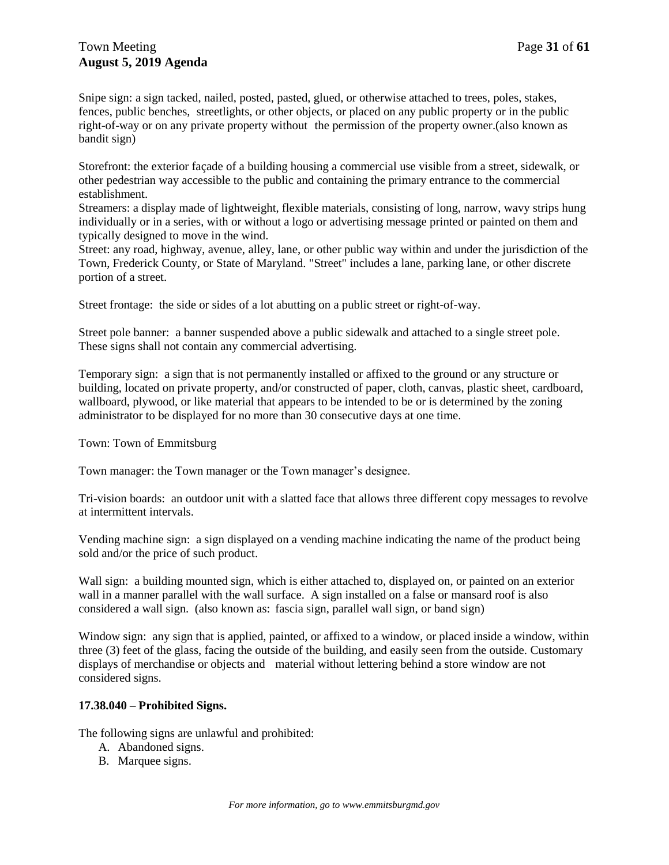Snipe sign: a sign tacked, nailed, posted, pasted, glued, or otherwise attached to trees, poles, stakes, fences, public benches, streetlights, or other objects, or placed on any public property or in the public right-of-way or on any private property without the permission of the property owner.(also known as bandit sign)

Storefront: the exterior façade of a building housing a commercial use visible from a street, sidewalk, or other pedestrian way accessible to the public and containing the primary entrance to the commercial establishment.

Streamers: a display made of lightweight, flexible materials, consisting of long, narrow, wavy strips hung individually or in a series, with or without a logo or advertising message printed or painted on them and typically designed to move in the wind.

Street: any road, highway, avenue, alley, lane, or other public way within and under the jurisdiction of the Town, Frederick County, or State of Maryland. "Street" includes a lane, parking lane, or other discrete portion of a street.

Street frontage: the side or sides of a lot abutting on a public street or right-of-way.

Street pole banner: a banner suspended above a public sidewalk and attached to a single street pole. These signs shall not contain any commercial advertising.

Temporary sign: a sign that is not permanently installed or affixed to the ground or any structure or building, located on private property, and/or constructed of paper, cloth, canvas, plastic sheet, cardboard, wallboard, plywood, or like material that appears to be intended to be or is determined by the zoning administrator to be displayed for no more than 30 consecutive days at one time.

Town: Town of Emmitsburg

Town manager: the Town manager or the Town manager's designee.

Tri-vision boards: an outdoor unit with a slatted face that allows three different copy messages to revolve at intermittent intervals.

Vending machine sign: a sign displayed on a vending machine indicating the name of the product being sold and/or the price of such product.

Wall sign: a building mounted sign, which is either attached to, displayed on, or painted on an exterior wall in a manner parallel with the wall surface. A sign installed on a false or mansard roof is also considered a wall sign. (also known as: fascia sign, parallel wall sign, or band sign)

Window sign: any sign that is applied, painted, or affixed to a window, or placed inside a window, within three (3) feet of the glass, facing the outside of the building, and easily seen from the outside. Customary displays of merchandise or objects and material without lettering behind a store window are not considered signs.

### **17.38.040 – Prohibited Signs.**

The following signs are unlawful and prohibited:

- A. Abandoned signs.
- B. Marquee signs.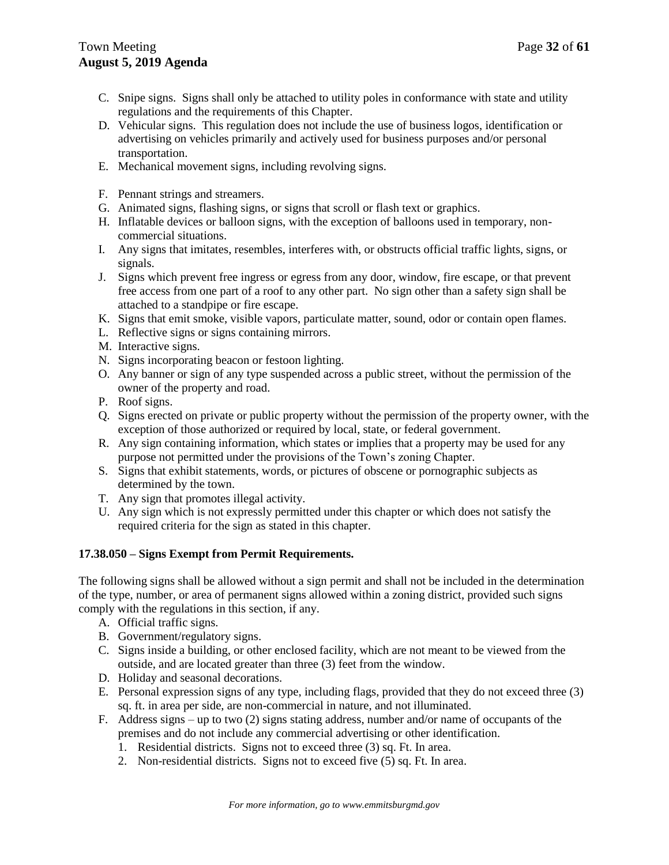- C. Snipe signs. Signs shall only be attached to utility poles in conformance with state and utility regulations and the requirements of this Chapter.
- D. Vehicular signs. This regulation does not include the use of business logos, identification or advertising on vehicles primarily and actively used for business purposes and/or personal transportation.
- E. Mechanical movement signs, including revolving signs.
- F. Pennant strings and streamers.
- G. Animated signs, flashing signs, or signs that scroll or flash text or graphics.
- H. Inflatable devices or balloon signs, with the exception of balloons used in temporary, noncommercial situations.
- I. Any signs that imitates, resembles, interferes with, or obstructs official traffic lights, signs, or signals.
- J. Signs which prevent free ingress or egress from any door, window, fire escape, or that prevent free access from one part of a roof to any other part. No sign other than a safety sign shall be attached to a standpipe or fire escape.
- K. Signs that emit smoke, visible vapors, particulate matter, sound, odor or contain open flames.
- L. Reflective signs or signs containing mirrors.
- M. Interactive signs.
- N. Signs incorporating beacon or festoon lighting.
- O. Any banner or sign of any type suspended across a public street, without the permission of the owner of the property and road.
- P. Roof signs.
- Q. Signs erected on private or public property without the permission of the property owner, with the exception of those authorized or required by local, state, or federal government.
- R. Any sign containing information, which states or implies that a property may be used for any purpose not permitted under the provisions of the Town's zoning Chapter.
- S. Signs that exhibit statements, words, or pictures of obscene or pornographic subjects as determined by the town.
- T. Any sign that promotes illegal activity.
- U. Any sign which is not expressly permitted under this chapter or which does not satisfy the required criteria for the sign as stated in this chapter.

### **17.38.050 – Signs Exempt from Permit Requirements.**

The following signs shall be allowed without a sign permit and shall not be included in the determination of the type, number, or area of permanent signs allowed within a zoning district, provided such signs comply with the regulations in this section, if any.

- A. Official traffic signs.
- B. Government/regulatory signs.
- C. Signs inside a building, or other enclosed facility, which are not meant to be viewed from the outside, and are located greater than three (3) feet from the window.
- D. Holiday and seasonal decorations.
- E. Personal expression signs of any type, including flags, provided that they do not exceed three (3) sq. ft. in area per side, are non-commercial in nature, and not illuminated.
- F. Address signs up to two (2) signs stating address, number and/or name of occupants of the premises and do not include any commercial advertising or other identification.
	- 1. Residential districts. Signs not to exceed three (3) sq. Ft. In area.
	- 2. Non-residential districts. Signs not to exceed five (5) sq. Ft. In area.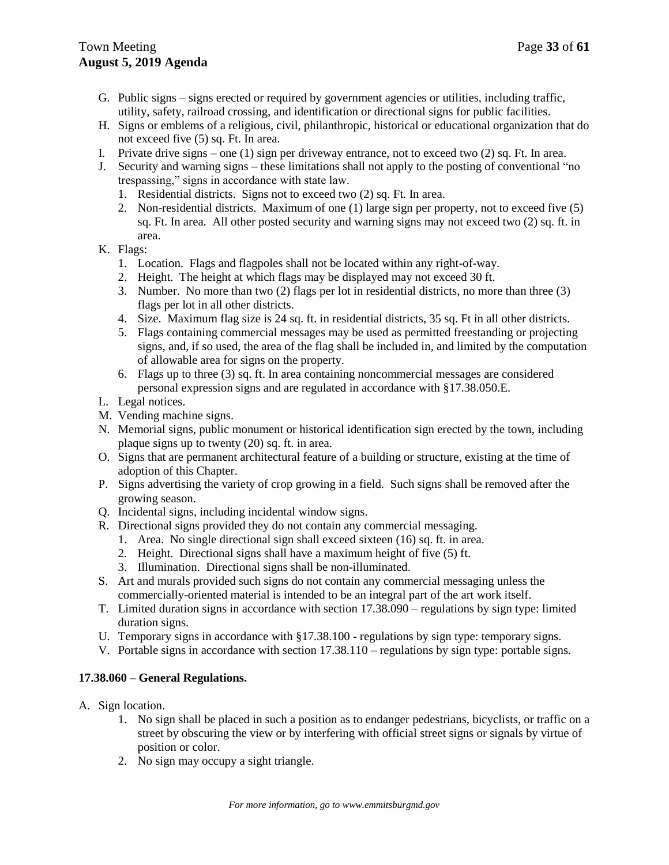- G. Public signs signs erected or required by government agencies or utilities, including traffic, utility, safety, railroad crossing, and identification or directional signs for public facilities.
- H. Signs or emblems of a religious, civil, philanthropic, historical or educational organization that do not exceed five (5) sq. Ft. In area.
- I. Private drive signs one  $(1)$  sign per driveway entrance, not to exceed two  $(2)$  sq. Ft. In area.
- J. Security and warning signs these limitations shall not apply to the posting of conventional "no trespassing," signs in accordance with state law.
	- 1. Residential districts. Signs not to exceed two (2) sq. Ft. In area.
	- 2. Non-residential districts. Maximum of one (1) large sign per property, not to exceed five (5) sq. Ft. In area. All other posted security and warning signs may not exceed two (2) sq. ft. in area.
- K. Flags:
	- 1. Location. Flags and flagpoles shall not be located within any right-of-way.
	- 2. Height. The height at which flags may be displayed may not exceed 30 ft.
	- 3. Number. No more than two (2) flags per lot in residential districts, no more than three (3) flags per lot in all other districts.
	- 4. Size. Maximum flag size is 24 sq. ft. in residential districts, 35 sq. Ft in all other districts.
	- 5. Flags containing commercial messages may be used as permitted freestanding or projecting signs, and, if so used, the area of the flag shall be included in, and limited by the computation of allowable area for signs on the property.
	- 6. Flags up to three (3) sq. ft. In area containing noncommercial messages are considered personal expression signs and are regulated in accordance with §17.38.050.E.
- L. Legal notices.
- M. Vending machine signs.
- N. Memorial signs, public monument or historical identification sign erected by the town, including plaque signs up to twenty (20) sq. ft. in area.
- O. Signs that are permanent architectural feature of a building or structure, existing at the time of adoption of this Chapter.
- P. Signs advertising the variety of crop growing in a field. Such signs shall be removed after the growing season.
- Q. Incidental signs, including incidental window signs.
- R. Directional signs provided they do not contain any commercial messaging.
	- 1. Area. No single directional sign shall exceed sixteen (16) sq. ft. in area.
	- 2. Height. Directional signs shall have a maximum height of five (5) ft.
	- 3. Illumination. Directional signs shall be non-illuminated.
- S. Art and murals provided such signs do not contain any commercial messaging unless the commercially-oriented material is intended to be an integral part of the art work itself.
- T. Limited duration signs in accordance with section 17.38.090 regulations by sign type: limited duration signs.
- U. Temporary signs in accordance with §17.38.100 regulations by sign type: temporary signs.
- V. Portable signs in accordance with section 17.38.110 regulations by sign type: portable signs.

### **17.38.060 – General Regulations.**

- A. Sign location.
	- 1. No sign shall be placed in such a position as to endanger pedestrians, bicyclists, or traffic on a street by obscuring the view or by interfering with official street signs or signals by virtue of position or color.
	- 2. No sign may occupy a sight triangle.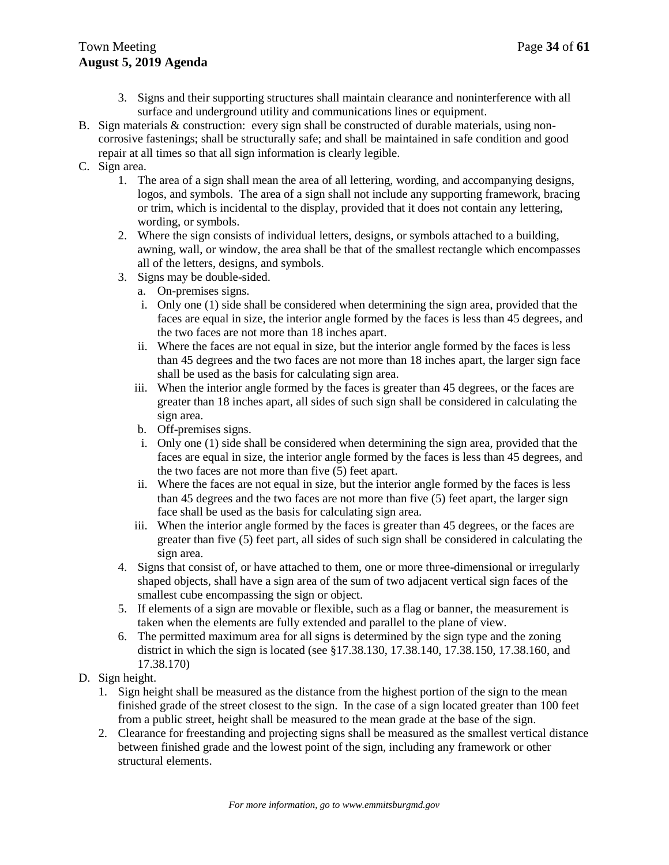- 3. Signs and their supporting structures shall maintain clearance and noninterference with all surface and underground utility and communications lines or equipment.
- B. Sign materials & construction: every sign shall be constructed of durable materials, using noncorrosive fastenings; shall be structurally safe; and shall be maintained in safe condition and good repair at all times so that all sign information is clearly legible.
- C. Sign area.
	- 1. The area of a sign shall mean the area of all lettering, wording, and accompanying designs, logos, and symbols. The area of a sign shall not include any supporting framework, bracing or trim, which is incidental to the display, provided that it does not contain any lettering, wording, or symbols.
	- 2. Where the sign consists of individual letters, designs, or symbols attached to a building, awning, wall, or window, the area shall be that of the smallest rectangle which encompasses all of the letters, designs, and symbols.
	- 3. Signs may be double-sided.
		- a. On-premises signs.
		- i. Only one (1) side shall be considered when determining the sign area, provided that the faces are equal in size, the interior angle formed by the faces is less than 45 degrees, and the two faces are not more than 18 inches apart.
		- ii. Where the faces are not equal in size, but the interior angle formed by the faces is less than 45 degrees and the two faces are not more than 18 inches apart, the larger sign face shall be used as the basis for calculating sign area.
		- iii. When the interior angle formed by the faces is greater than 45 degrees, or the faces are greater than 18 inches apart, all sides of such sign shall be considered in calculating the sign area.
		- b. Off-premises signs.
		- i. Only one (1) side shall be considered when determining the sign area, provided that the faces are equal in size, the interior angle formed by the faces is less than 45 degrees, and the two faces are not more than five (5) feet apart.
		- ii. Where the faces are not equal in size, but the interior angle formed by the faces is less than 45 degrees and the two faces are not more than five (5) feet apart, the larger sign face shall be used as the basis for calculating sign area.
		- iii. When the interior angle formed by the faces is greater than 45 degrees, or the faces are greater than five (5) feet part, all sides of such sign shall be considered in calculating the sign area.
	- 4. Signs that consist of, or have attached to them, one or more three-dimensional or irregularly shaped objects, shall have a sign area of the sum of two adjacent vertical sign faces of the smallest cube encompassing the sign or object.
	- 5. If elements of a sign are movable or flexible, such as a flag or banner, the measurement is taken when the elements are fully extended and parallel to the plane of view.
	- 6. The permitted maximum area for all signs is determined by the sign type and the zoning district in which the sign is located (see §17.38.130, 17.38.140, 17.38.150, 17.38.160, and 17.38.170)
- D. Sign height.
	- 1. Sign height shall be measured as the distance from the highest portion of the sign to the mean finished grade of the street closest to the sign. In the case of a sign located greater than 100 feet from a public street, height shall be measured to the mean grade at the base of the sign.
	- 2. Clearance for freestanding and projecting signs shall be measured as the smallest vertical distance between finished grade and the lowest point of the sign, including any framework or other structural elements.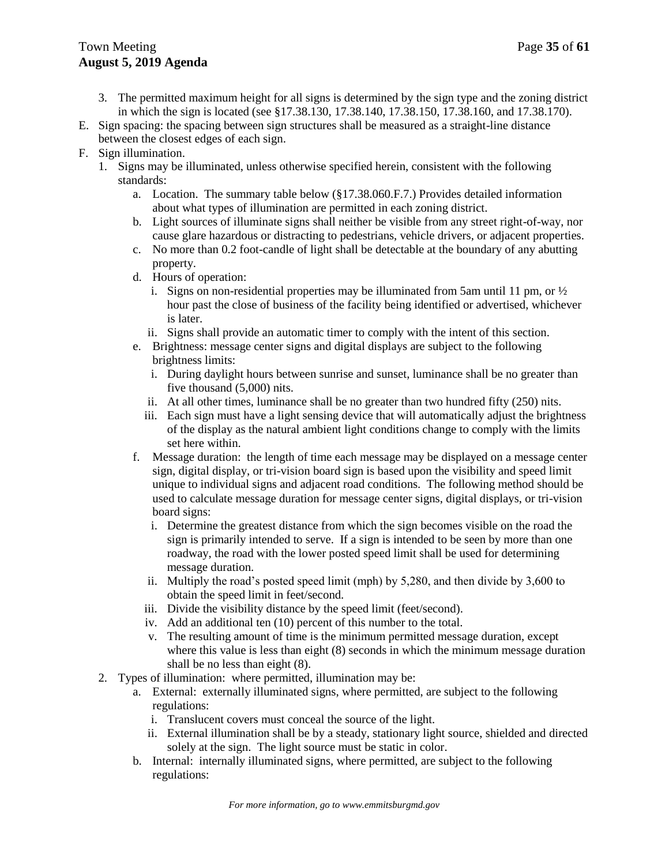# Town Meeting **Page 35** of **61 August 5, 2019 Agenda**

- 3. The permitted maximum height for all signs is determined by the sign type and the zoning district in which the sign is located (see §17.38.130, 17.38.140, 17.38.150, 17.38.160, and 17.38.170).
- E. Sign spacing: the spacing between sign structures shall be measured as a straight-line distance between the closest edges of each sign.
- F. Sign illumination.
	- 1. Signs may be illuminated, unless otherwise specified herein, consistent with the following standards:
		- a. Location. The summary table below (§17.38.060.F.7.) Provides detailed information about what types of illumination are permitted in each zoning district.
		- b. Light sources of illuminate signs shall neither be visible from any street right-of-way, nor cause glare hazardous or distracting to pedestrians, vehicle drivers, or adjacent properties.
		- c. No more than 0.2 foot-candle of light shall be detectable at the boundary of any abutting property.
		- d. Hours of operation:
			- i. Signs on non-residential properties may be illuminated from 5am until 11 pm, or  $\frac{1}{2}$ hour past the close of business of the facility being identified or advertised, whichever is later.
			- ii. Signs shall provide an automatic timer to comply with the intent of this section.
		- e. Brightness: message center signs and digital displays are subject to the following brightness limits:
			- i. During daylight hours between sunrise and sunset, luminance shall be no greater than five thousand (5,000) nits.
			- ii. At all other times, luminance shall be no greater than two hundred fifty (250) nits.
			- iii. Each sign must have a light sensing device that will automatically adjust the brightness of the display as the natural ambient light conditions change to comply with the limits set here within.
		- f. Message duration: the length of time each message may be displayed on a message center sign, digital display, or tri-vision board sign is based upon the visibility and speed limit unique to individual signs and adjacent road conditions. The following method should be used to calculate message duration for message center signs, digital displays, or tri-vision board signs:
			- i. Determine the greatest distance from which the sign becomes visible on the road the sign is primarily intended to serve. If a sign is intended to be seen by more than one roadway, the road with the lower posted speed limit shall be used for determining message duration.
			- ii. Multiply the road's posted speed limit (mph) by 5,280, and then divide by 3,600 to obtain the speed limit in feet/second.
			- iii. Divide the visibility distance by the speed limit (feet/second).
			- iv. Add an additional ten (10) percent of this number to the total.
			- v. The resulting amount of time is the minimum permitted message duration, except where this value is less than eight (8) seconds in which the minimum message duration shall be no less than eight (8).
	- 2. Types of illumination: where permitted, illumination may be:
		- a. External: externally illuminated signs, where permitted, are subject to the following regulations:
			- i. Translucent covers must conceal the source of the light.
			- ii. External illumination shall be by a steady, stationary light source, shielded and directed solely at the sign. The light source must be static in color.
		- b. Internal: internally illuminated signs, where permitted, are subject to the following regulations: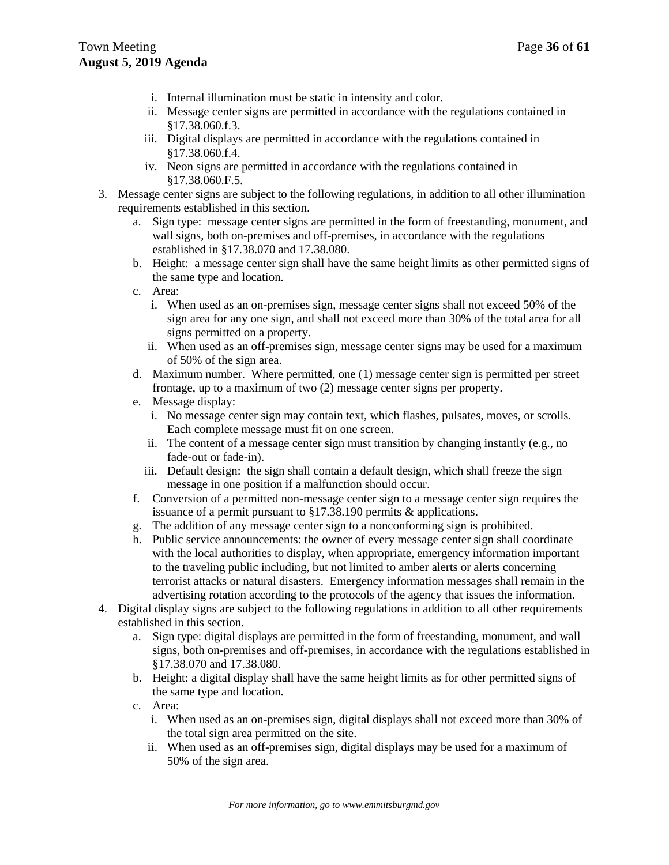- i. Internal illumination must be static in intensity and color.
- ii. Message center signs are permitted in accordance with the regulations contained in §17.38.060.f.3.
- iii. Digital displays are permitted in accordance with the regulations contained in §17.38.060.f.4.
- iv. Neon signs are permitted in accordance with the regulations contained in §17.38.060.F.5.
- 3. Message center signs are subject to the following regulations, in addition to all other illumination requirements established in this section.
	- a. Sign type: message center signs are permitted in the form of freestanding, monument, and wall signs, both on-premises and off-premises, in accordance with the regulations established in §17.38.070 and 17.38.080.
	- b. Height: a message center sign shall have the same height limits as other permitted signs of the same type and location.
	- c. Area:
		- i. When used as an on-premises sign, message center signs shall not exceed 50% of the sign area for any one sign, and shall not exceed more than 30% of the total area for all signs permitted on a property.
		- ii. When used as an off-premises sign, message center signs may be used for a maximum of 50% of the sign area.
	- d. Maximum number. Where permitted, one (1) message center sign is permitted per street frontage, up to a maximum of two (2) message center signs per property.
	- e. Message display:
		- i. No message center sign may contain text, which flashes, pulsates, moves, or scrolls. Each complete message must fit on one screen.
		- ii. The content of a message center sign must transition by changing instantly (e.g., no fade-out or fade-in).
		- iii. Default design: the sign shall contain a default design, which shall freeze the sign message in one position if a malfunction should occur.
	- f. Conversion of a permitted non-message center sign to a message center sign requires the issuance of a permit pursuant to §17.38.190 permits & applications.
	- g. The addition of any message center sign to a nonconforming sign is prohibited.
	- h. Public service announcements: the owner of every message center sign shall coordinate with the local authorities to display, when appropriate, emergency information important to the traveling public including, but not limited to amber alerts or alerts concerning terrorist attacks or natural disasters. Emergency information messages shall remain in the advertising rotation according to the protocols of the agency that issues the information.
- 4. Digital display signs are subject to the following regulations in addition to all other requirements established in this section.
	- a. Sign type: digital displays are permitted in the form of freestanding, monument, and wall signs, both on-premises and off-premises, in accordance with the regulations established in §17.38.070 and 17.38.080.
	- b. Height: a digital display shall have the same height limits as for other permitted signs of the same type and location.
	- c. Area:
		- i. When used as an on-premises sign, digital displays shall not exceed more than 30% of the total sign area permitted on the site.
		- ii. When used as an off-premises sign, digital displays may be used for a maximum of 50% of the sign area.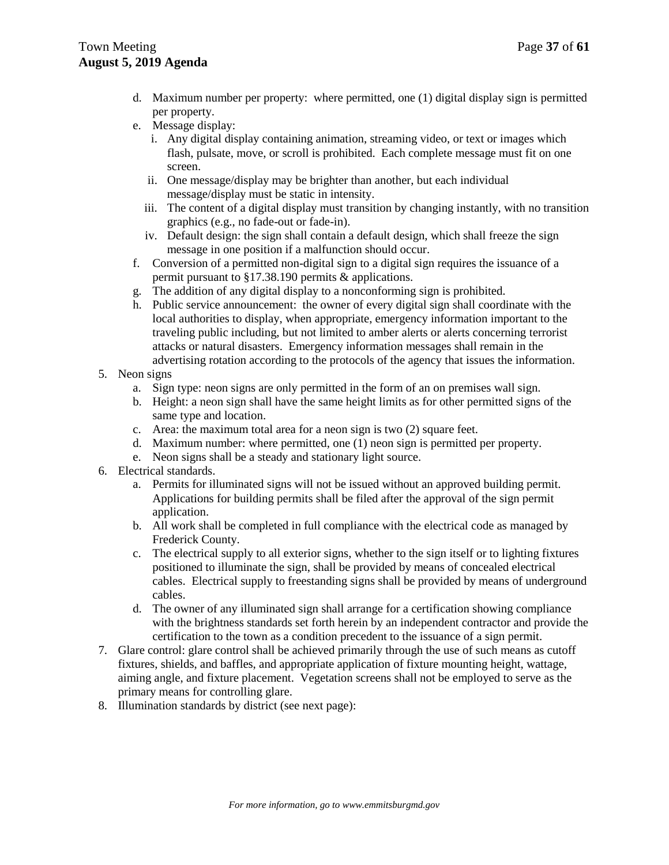- d. Maximum number per property: where permitted, one (1) digital display sign is permitted per property.
- e. Message display:
	- i. Any digital display containing animation, streaming video, or text or images which flash, pulsate, move, or scroll is prohibited. Each complete message must fit on one screen.
	- ii. One message/display may be brighter than another, but each individual message/display must be static in intensity.
	- iii. The content of a digital display must transition by changing instantly, with no transition graphics (e.g., no fade-out or fade-in).
	- iv. Default design: the sign shall contain a default design, which shall freeze the sign message in one position if a malfunction should occur.
- f. Conversion of a permitted non-digital sign to a digital sign requires the issuance of a permit pursuant to §17.38.190 permits & applications.
- g. The addition of any digital display to a nonconforming sign is prohibited.
- h. Public service announcement: the owner of every digital sign shall coordinate with the local authorities to display, when appropriate, emergency information important to the traveling public including, but not limited to amber alerts or alerts concerning terrorist attacks or natural disasters. Emergency information messages shall remain in the advertising rotation according to the protocols of the agency that issues the information.
- 5. Neon signs
	- a. Sign type: neon signs are only permitted in the form of an on premises wall sign.
	- b. Height: a neon sign shall have the same height limits as for other permitted signs of the same type and location.
	- c. Area: the maximum total area for a neon sign is two (2) square feet.
	- d. Maximum number: where permitted, one (1) neon sign is permitted per property.
	- e. Neon signs shall be a steady and stationary light source.
- 6. Electrical standards.
	- a. Permits for illuminated signs will not be issued without an approved building permit. Applications for building permits shall be filed after the approval of the sign permit application.
	- b. All work shall be completed in full compliance with the electrical code as managed by Frederick County.
	- c. The electrical supply to all exterior signs, whether to the sign itself or to lighting fixtures positioned to illuminate the sign, shall be provided by means of concealed electrical cables. Electrical supply to freestanding signs shall be provided by means of underground cables.
	- d. The owner of any illuminated sign shall arrange for a certification showing compliance with the brightness standards set forth herein by an independent contractor and provide the certification to the town as a condition precedent to the issuance of a sign permit.
- 7. Glare control: glare control shall be achieved primarily through the use of such means as cutoff fixtures, shields, and baffles, and appropriate application of fixture mounting height, wattage, aiming angle, and fixture placement. Vegetation screens shall not be employed to serve as the primary means for controlling glare.
- 8. Illumination standards by district (see next page):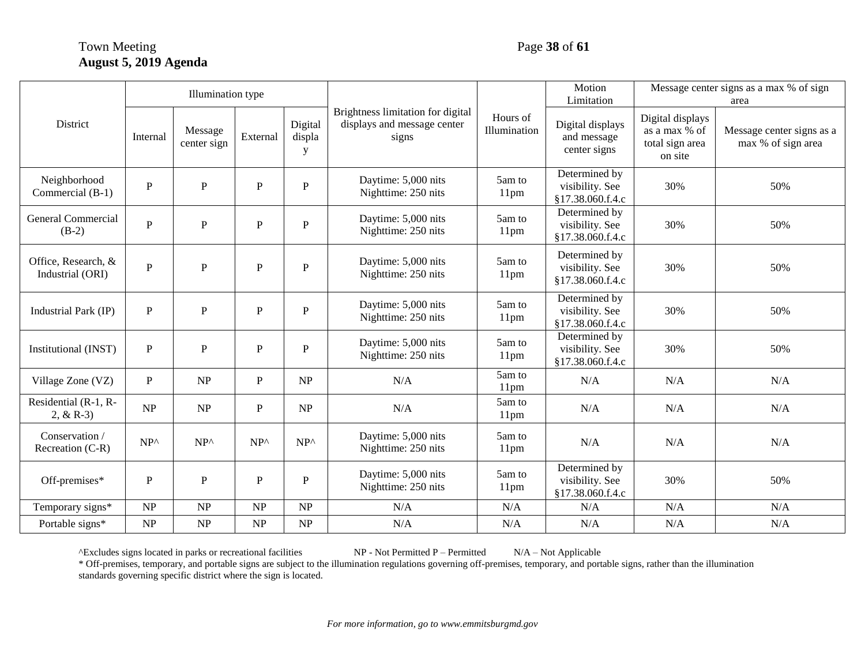# Town Meeting Page 38 of 61 **August 5, 2019 Agenda**

|                                         |               | Illumination type      |               |                        | Brightness limitation for digital<br>displays and message center<br>signs |                            | Motion<br>Limitation                                 | Message center signs as a max % of sign<br>area                 |                                                 |
|-----------------------------------------|---------------|------------------------|---------------|------------------------|---------------------------------------------------------------------------|----------------------------|------------------------------------------------------|-----------------------------------------------------------------|-------------------------------------------------|
| District                                | Internal      | Message<br>center sign | External      | Digital<br>displa<br>y |                                                                           | Hours of<br>Illumination   | Digital displays<br>and message<br>center signs      | Digital displays<br>as a max % of<br>total sign area<br>on site | Message center signs as a<br>max % of sign area |
| Neighborhood<br>Commercial (B-1)        | $\mathbf{P}$  | $\mathbf{P}$           | P             | $\mathbf{P}$           | Daytime: 5,000 nits<br>Nighttime: 250 nits                                | 5am to<br>11 <sub>pm</sub> | Determined by<br>visibility. See<br>§17.38.060.f.4.c | 30%                                                             | 50%                                             |
| General Commercial<br>$(B-2)$           | $\mathbf{P}$  | $\mathbf{P}$           | $\mathbf{P}$  | $\mathbf{P}$           | Daytime: 5,000 nits<br>Nighttime: 250 nits                                | 5am to<br>11 <sub>pm</sub> | Determined by<br>visibility. See<br>§17.38.060.f.4.c | 30%                                                             | 50%                                             |
| Office, Research, &<br>Industrial (ORI) | $\mathbf{P}$  | ${\bf P}$              | ${\bf P}$     | $\mathbf{P}$           | Daytime: 5,000 nits<br>Nighttime: 250 nits                                | 5am to<br>11 <sub>pm</sub> | Determined by<br>visibility. See<br>§17.38.060.f.4.c | 30%                                                             | 50%                                             |
| Industrial Park (IP)                    | P             | $\mathbf{P}$           | P             | $\mathbf{P}$           | Daytime: 5,000 nits<br>Nighttime: 250 nits                                | 5am to<br>11pm             | Determined by<br>visibility. See<br>§17.38.060.f.4.c | 30%                                                             | 50%                                             |
| Institutional (INST)                    | $\mathbf{P}$  | $\mathbf{P}$           | $\mathbf{p}$  | P                      | Daytime: 5,000 nits<br>Nighttime: 250 nits                                | 5am to<br>11 <sub>pm</sub> | Determined by<br>visibility. See<br>§17.38.060.f.4.c | 30%                                                             | 50%                                             |
| Village Zone (VZ)                       | $\mathbf{P}$  | NP                     | $\mathbf{P}$  | NP                     | N/A                                                                       | 5am to<br>11 <sub>pm</sub> | N/A                                                  | N/A                                                             | N/A                                             |
| Residential (R-1, R-<br>2, $& R-3)$     | NP            | NP                     | $\mathbf{P}$  | NP                     | N/A                                                                       | 5am to<br>11pm             | N/A                                                  | N/A                                                             | N/A                                             |
| Conservation /<br>Recreation (C-R)      | $NP^{\wedge}$ | $NP^{\wedge}$          | $NP^{\wedge}$ | $NP^{\wedge}$          | Daytime: 5,000 nits<br>Nighttime: 250 nits                                | 5am to<br>11 <sub>pm</sub> | N/A                                                  | N/A                                                             | N/A                                             |
| Off-premises*                           | $\mathbf{P}$  | ${\bf P}$              | P             | P                      | Daytime: 5,000 nits<br>Nighttime: 250 nits                                | 5am to<br>11 <sub>pm</sub> | Determined by<br>visibility. See<br>§17.38.060.f.4.c | 30%                                                             | 50%                                             |
| Temporary signs*                        | NP            | NP                     | NP            | NP                     | N/A                                                                       | N/A                        | N/A                                                  | N/A                                                             | N/A                                             |
| Portable signs*                         | NP            | NP                     | NP            | NP                     | N/A                                                                       | N/A                        | N/A                                                  | N/A                                                             | N/A                                             |

^Excludes signs located in parks or recreational facilities  $NP - Not Permitted P - Permitted$   $N/A - Not Applied be$ 

\* Off-premises, temporary, and portable signs are subject to the illumination regulations governing off-premises, temporary, and portable signs, rather than the illumination standards governing specific district where the sign is located.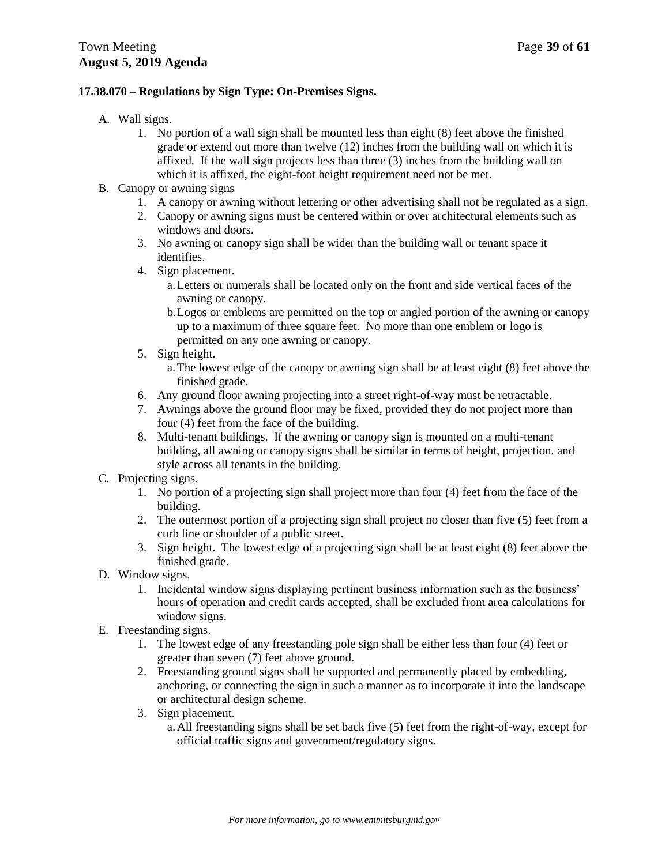### **17.38.070 – Regulations by Sign Type: On-Premises Signs.**

- A. Wall signs.
	- 1. No portion of a wall sign shall be mounted less than eight (8) feet above the finished grade or extend out more than twelve (12) inches from the building wall on which it is affixed. If the wall sign projects less than three (3) inches from the building wall on which it is affixed, the eight-foot height requirement need not be met.
- B. Canopy or awning signs
	- 1. A canopy or awning without lettering or other advertising shall not be regulated as a sign.
	- 2. Canopy or awning signs must be centered within or over architectural elements such as windows and doors.
	- 3. No awning or canopy sign shall be wider than the building wall or tenant space it identifies.
	- 4. Sign placement.
		- a.Letters or numerals shall be located only on the front and side vertical faces of the awning or canopy.
		- b.Logos or emblems are permitted on the top or angled portion of the awning or canopy up to a maximum of three square feet. No more than one emblem or logo is permitted on any one awning or canopy.
	- 5. Sign height.
		- a.The lowest edge of the canopy or awning sign shall be at least eight (8) feet above the finished grade.
	- 6. Any ground floor awning projecting into a street right-of-way must be retractable.
	- 7. Awnings above the ground floor may be fixed, provided they do not project more than four (4) feet from the face of the building.
	- 8. Multi-tenant buildings. If the awning or canopy sign is mounted on a multi-tenant building, all awning or canopy signs shall be similar in terms of height, projection, and style across all tenants in the building.
- C. Projecting signs.
	- 1. No portion of a projecting sign shall project more than four (4) feet from the face of the building.
	- 2. The outermost portion of a projecting sign shall project no closer than five (5) feet from a curb line or shoulder of a public street.
	- 3. Sign height. The lowest edge of a projecting sign shall be at least eight (8) feet above the finished grade.
- D. Window signs.
	- 1. Incidental window signs displaying pertinent business information such as the business' hours of operation and credit cards accepted, shall be excluded from area calculations for window signs.
- E. Freestanding signs.
	- 1. The lowest edge of any freestanding pole sign shall be either less than four (4) feet or greater than seven (7) feet above ground.
	- 2. Freestanding ground signs shall be supported and permanently placed by embedding, anchoring, or connecting the sign in such a manner as to incorporate it into the landscape or architectural design scheme.
	- 3. Sign placement.

a.All freestanding signs shall be set back five (5) feet from the right-of-way, except for official traffic signs and government/regulatory signs.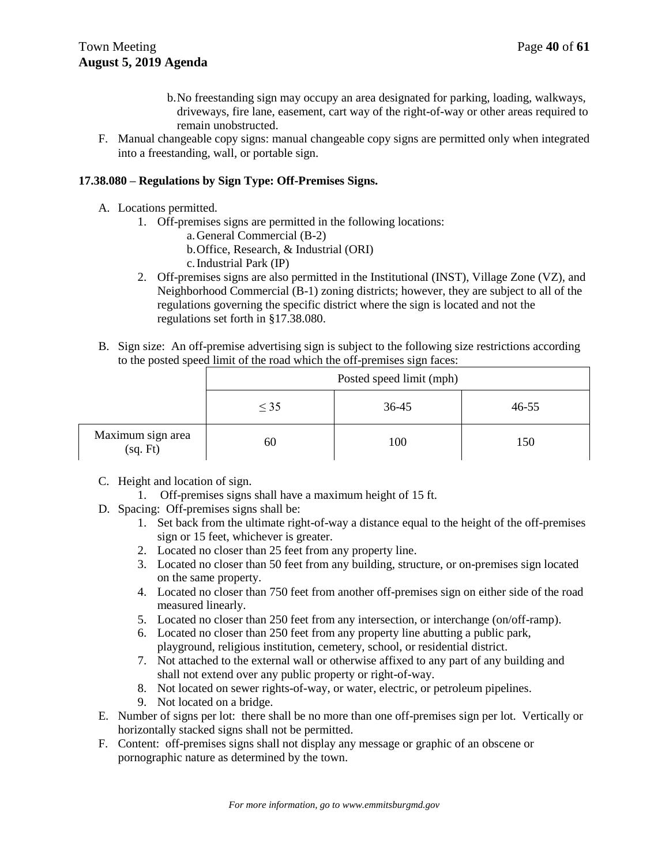- b.No freestanding sign may occupy an area designated for parking, loading, walkways, driveways, fire lane, easement, cart way of the right-of-way or other areas required to remain unobstructed.
- F. Manual changeable copy signs: manual changeable copy signs are permitted only when integrated into a freestanding, wall, or portable sign.

# **17.38.080 – Regulations by Sign Type: Off-Premises Signs.**

- A. Locations permitted.
	- 1. Off-premises signs are permitted in the following locations:
		- a.General Commercial (B-2)
		- b.Office, Research, & Industrial (ORI)
		- c.Industrial Park (IP)
	- 2. Off-premises signs are also permitted in the Institutional (INST), Village Zone (VZ), and Neighborhood Commercial (B-1) zoning districts; however, they are subject to all of the regulations governing the specific district where the sign is located and not the regulations set forth in §17.38.080.
- B. Sign size: An off-premise advertising sign is subject to the following size restrictions according to the posted speed limit of the road which the off-premises sign faces:

|                               | Posted speed limit (mph) |       |           |
|-------------------------------|--------------------------|-------|-----------|
|                               | $\leq$ 35                | 36-45 | $46 - 55$ |
| Maximum sign area<br>(sq. Ft) | 60                       | 100   | 150       |

- C. Height and location of sign.
	- 1. Off-premises signs shall have a maximum height of 15 ft.
- D. Spacing: Off-premises signs shall be:
	- 1. Set back from the ultimate right-of-way a distance equal to the height of the off-premises sign or 15 feet, whichever is greater.
	- 2. Located no closer than 25 feet from any property line.
	- 3. Located no closer than 50 feet from any building, structure, or on-premises sign located on the same property.
	- 4. Located no closer than 750 feet from another off-premises sign on either side of the road measured linearly.
	- 5. Located no closer than 250 feet from any intersection, or interchange (on/off-ramp).
	- 6. Located no closer than 250 feet from any property line abutting a public park, playground, religious institution, cemetery, school, or residential district.
	- 7. Not attached to the external wall or otherwise affixed to any part of any building and shall not extend over any public property or right-of-way.
	- 8. Not located on sewer rights-of-way, or water, electric, or petroleum pipelines.
	- 9. Not located on a bridge.
- E. Number of signs per lot: there shall be no more than one off-premises sign per lot. Vertically or horizontally stacked signs shall not be permitted.
- F. Content: off-premises signs shall not display any message or graphic of an obscene or pornographic nature as determined by the town.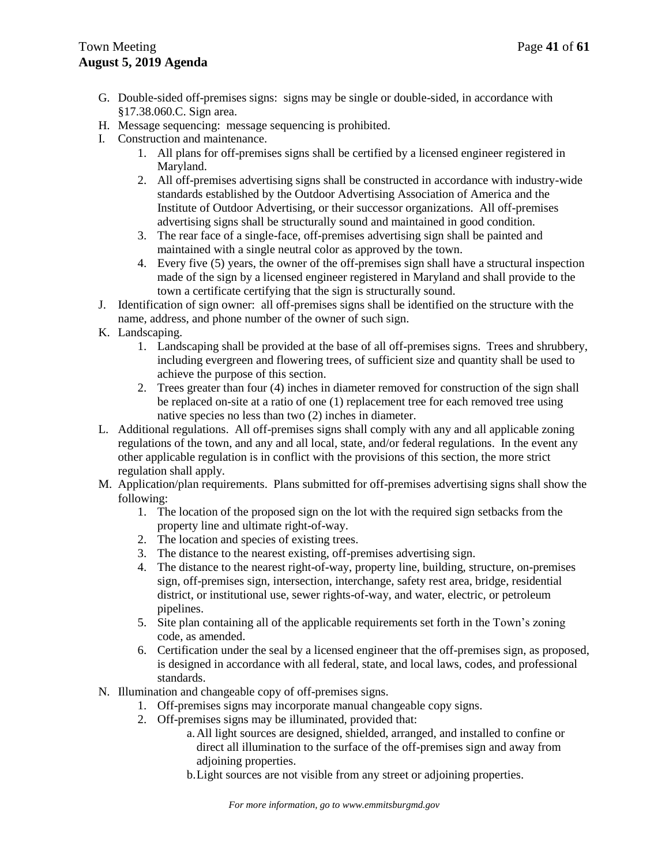- G. Double-sided off-premises signs: signs may be single or double-sided, in accordance with §17.38.060.C. Sign area.
- H. Message sequencing: message sequencing is prohibited.
- I. Construction and maintenance.
	- 1. All plans for off-premises signs shall be certified by a licensed engineer registered in Maryland.
	- 2. All off-premises advertising signs shall be constructed in accordance with industry-wide standards established by the Outdoor Advertising Association of America and the Institute of Outdoor Advertising, or their successor organizations. All off-premises advertising signs shall be structurally sound and maintained in good condition.
	- 3. The rear face of a single-face, off-premises advertising sign shall be painted and maintained with a single neutral color as approved by the town.
	- 4. Every five (5) years, the owner of the off-premises sign shall have a structural inspection made of the sign by a licensed engineer registered in Maryland and shall provide to the town a certificate certifying that the sign is structurally sound.
- J. Identification of sign owner: all off-premises signs shall be identified on the structure with the name, address, and phone number of the owner of such sign.
- K. Landscaping.
	- 1. Landscaping shall be provided at the base of all off-premises signs. Trees and shrubbery, including evergreen and flowering trees, of sufficient size and quantity shall be used to achieve the purpose of this section.
	- 2. Trees greater than four (4) inches in diameter removed for construction of the sign shall be replaced on-site at a ratio of one (1) replacement tree for each removed tree using native species no less than two (2) inches in diameter.
- L. Additional regulations. All off-premises signs shall comply with any and all applicable zoning regulations of the town, and any and all local, state, and/or federal regulations. In the event any other applicable regulation is in conflict with the provisions of this section, the more strict regulation shall apply.
- M. Application/plan requirements. Plans submitted for off-premises advertising signs shall show the following:
	- 1. The location of the proposed sign on the lot with the required sign setbacks from the property line and ultimate right-of-way.
	- 2. The location and species of existing trees.
	- 3. The distance to the nearest existing, off-premises advertising sign.
	- 4. The distance to the nearest right-of-way, property line, building, structure, on-premises sign, off-premises sign, intersection, interchange, safety rest area, bridge, residential district, or institutional use, sewer rights-of-way, and water, electric, or petroleum pipelines.
	- 5. Site plan containing all of the applicable requirements set forth in the Town's zoning code, as amended.
	- 6. Certification under the seal by a licensed engineer that the off-premises sign, as proposed, is designed in accordance with all federal, state, and local laws, codes, and professional standards.
- N. Illumination and changeable copy of off-premises signs.
	- 1. Off-premises signs may incorporate manual changeable copy signs.
	- 2. Off-premises signs may be illuminated, provided that:
		- a.All light sources are designed, shielded, arranged, and installed to confine or direct all illumination to the surface of the off-premises sign and away from adjoining properties.
		- b.Light sources are not visible from any street or adjoining properties.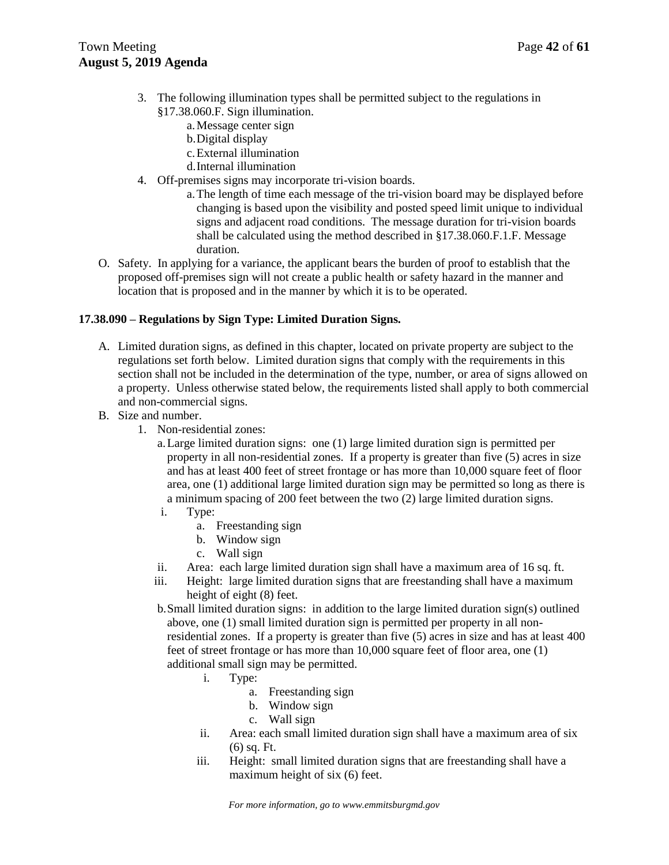- 3. The following illumination types shall be permitted subject to the regulations in §17.38.060.F. Sign illumination.
	- a.Message center sign
	- b.Digital display
	- c.External illumination
	- d.Internal illumination
- 4. Off-premises signs may incorporate tri-vision boards.
	- a.The length of time each message of the tri-vision board may be displayed before changing is based upon the visibility and posted speed limit unique to individual signs and adjacent road conditions. The message duration for tri-vision boards shall be calculated using the method described in §17.38.060.F.1.F. Message duration.
- O. Safety. In applying for a variance, the applicant bears the burden of proof to establish that the proposed off-premises sign will not create a public health or safety hazard in the manner and location that is proposed and in the manner by which it is to be operated.

### **17.38.090 – Regulations by Sign Type: Limited Duration Signs.**

- A. Limited duration signs, as defined in this chapter, located on private property are subject to the regulations set forth below. Limited duration signs that comply with the requirements in this section shall not be included in the determination of the type, number, or area of signs allowed on a property. Unless otherwise stated below, the requirements listed shall apply to both commercial and non-commercial signs.
- B. Size and number.
	- 1. Non-residential zones:
		- a.Large limited duration signs: one (1) large limited duration sign is permitted per property in all non-residential zones. If a property is greater than five (5) acres in size and has at least 400 feet of street frontage or has more than 10,000 square feet of floor area, one (1) additional large limited duration sign may be permitted so long as there is a minimum spacing of 200 feet between the two (2) large limited duration signs.
		- i. Type:
			- a. Freestanding sign
			- b. Window sign
			- c. Wall sign
		- ii. Area: each large limited duration sign shall have a maximum area of 16 sq. ft.
		- iii. Height: large limited duration signs that are freestanding shall have a maximum height of eight (8) feet.
		- b.Small limited duration signs: in addition to the large limited duration sign(s) outlined above, one (1) small limited duration sign is permitted per property in all nonresidential zones. If a property is greater than five (5) acres in size and has at least 400 feet of street frontage or has more than 10,000 square feet of floor area, one (1) additional small sign may be permitted.
			- i. Type:
				- a. Freestanding sign
				- b. Window sign
				- c. Wall sign
			- ii. Area: each small limited duration sign shall have a maximum area of six  $(6)$  sq. Ft.
			- iii. Height: small limited duration signs that are freestanding shall have a maximum height of six (6) feet.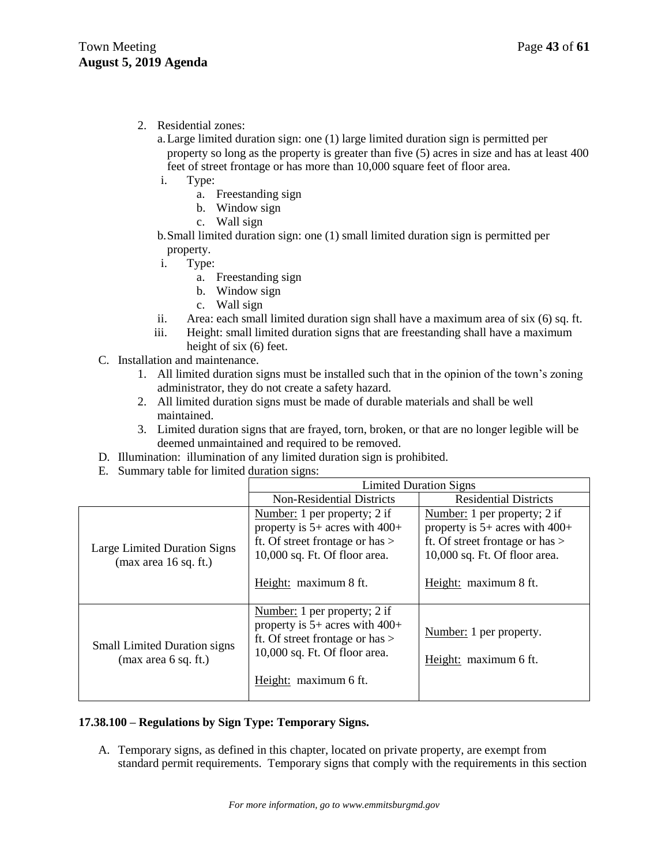# 2. Residential zones:

- a.Large limited duration sign: one (1) large limited duration sign is permitted per property so long as the property is greater than five (5) acres in size and has at least 400 feet of street frontage or has more than 10,000 square feet of floor area.
- i. Type:
	- a. Freestanding sign
	- b. Window sign
	- c. Wall sign
- b.Small limited duration sign: one (1) small limited duration sign is permitted per property.
- i. Type:
	- a. Freestanding sign
	- b. Window sign
	- c. Wall sign
- ii. Area: each small limited duration sign shall have a maximum area of six (6) sq. ft.
- iii. Height: small limited duration signs that are freestanding shall have a maximum height of six (6) feet.
- C. Installation and maintenance.
	- 1. All limited duration signs must be installed such that in the opinion of the town's zoning administrator, they do not create a safety hazard.
	- 2. All limited duration signs must be made of durable materials and shall be well maintained.
	- 3. Limited duration signs that are frayed, torn, broken, or that are no longer legible will be deemed unmaintained and required to be removed.
- D. Illumination: illumination of any limited duration sign is prohibited.
- E. Summary table for limited duration signs:

|                                                             | <b>Limited Duration Signs</b>                                                                                                                                       |                                                                                                                                                                   |  |
|-------------------------------------------------------------|---------------------------------------------------------------------------------------------------------------------------------------------------------------------|-------------------------------------------------------------------------------------------------------------------------------------------------------------------|--|
|                                                             | <b>Non-Residential Districts</b>                                                                                                                                    | <b>Residential Districts</b>                                                                                                                                      |  |
| Large Limited Duration Signs<br>(max area 16 sq. ft.)       | Number: 1 per property; 2 if<br>property is $5+$ acres with $400+$<br>ft. Of street frontage or has $>$<br>10,000 sq. Ft. Of floor area.<br>Height: maximum 8 ft.   | Number: 1 per property; 2 if<br>property is $5+$ acres with $400+$<br>ft. Of street frontage or has $>$<br>10,000 sq. Ft. Of floor area.<br>Height: maximum 8 ft. |  |
| <b>Small Limited Duration signs</b><br>(max area 6 sq. ft.) | Number: 1 per property; 2 if<br>property is $5+$ acres with $400+$<br>ft. Of street frontage or has $>$<br>$10,000$ sq. Ft. Of floor area.<br>Height: maximum 6 ft. | Number: 1 per property.<br>Height: maximum 6 ft.                                                                                                                  |  |

### **17.38.100 – Regulations by Sign Type: Temporary Signs.**

A. Temporary signs, as defined in this chapter, located on private property, are exempt from standard permit requirements. Temporary signs that comply with the requirements in this section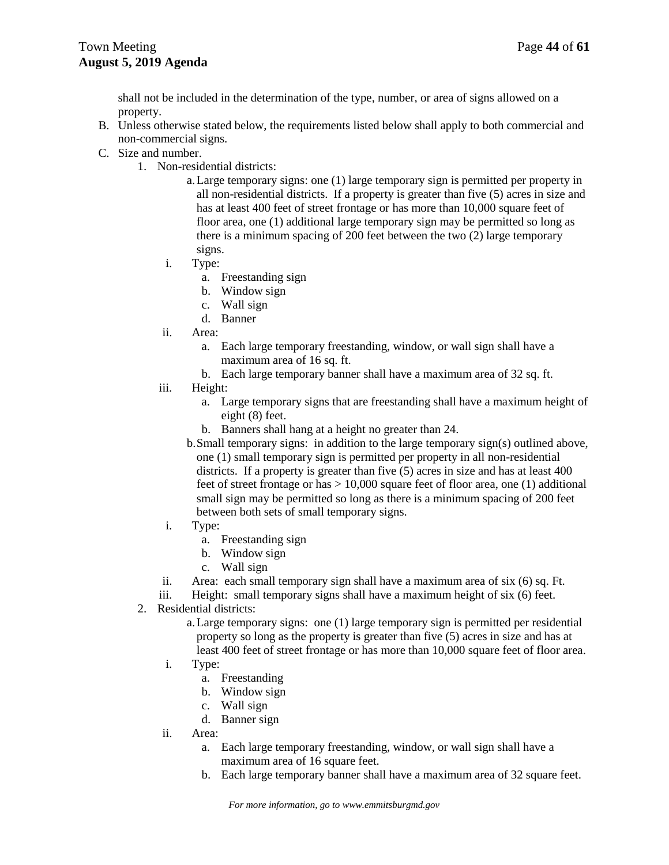shall not be included in the determination of the type, number, or area of signs allowed on a property.

- B. Unless otherwise stated below, the requirements listed below shall apply to both commercial and non-commercial signs.
- C. Size and number.
	- 1. Non-residential districts:
		- a.Large temporary signs: one (1) large temporary sign is permitted per property in all non-residential districts. If a property is greater than five (5) acres in size and has at least 400 feet of street frontage or has more than 10,000 square feet of floor area, one (1) additional large temporary sign may be permitted so long as there is a minimum spacing of 200 feet between the two (2) large temporary signs.
		- i. Type:
			- a. Freestanding sign
			- b. Window sign
			- c. Wall sign
			- d. Banner
		- ii. Area:
			- a. Each large temporary freestanding, window, or wall sign shall have a maximum area of 16 sq. ft.
			- b. Each large temporary banner shall have a maximum area of 32 sq. ft.
		- iii. Height:
			- a. Large temporary signs that are freestanding shall have a maximum height of eight (8) feet.
			- b. Banners shall hang at a height no greater than 24.
			- b.Small temporary signs: in addition to the large temporary sign(s) outlined above, one (1) small temporary sign is permitted per property in all non-residential districts. If a property is greater than five (5) acres in size and has at least 400 feet of street frontage or has  $> 10,000$  square feet of floor area, one (1) additional small sign may be permitted so long as there is a minimum spacing of 200 feet between both sets of small temporary signs.
		- i. Type:
			- a. Freestanding sign
			- b. Window sign
			- c. Wall sign
		- ii. Area: each small temporary sign shall have a maximum area of six  $(6)$  sq. Ft.
		- iii. Height: small temporary signs shall have a maximum height of six (6) feet.
	- 2. Residential districts:
		- a.Large temporary signs: one (1) large temporary sign is permitted per residential property so long as the property is greater than five (5) acres in size and has at least 400 feet of street frontage or has more than 10,000 square feet of floor area.
		- i. Type:
			- a. Freestanding
			- b. Window sign
			- c. Wall sign
			- d. Banner sign
		- ii. Area:
			- a. Each large temporary freestanding, window, or wall sign shall have a maximum area of 16 square feet.
			- b. Each large temporary banner shall have a maximum area of 32 square feet.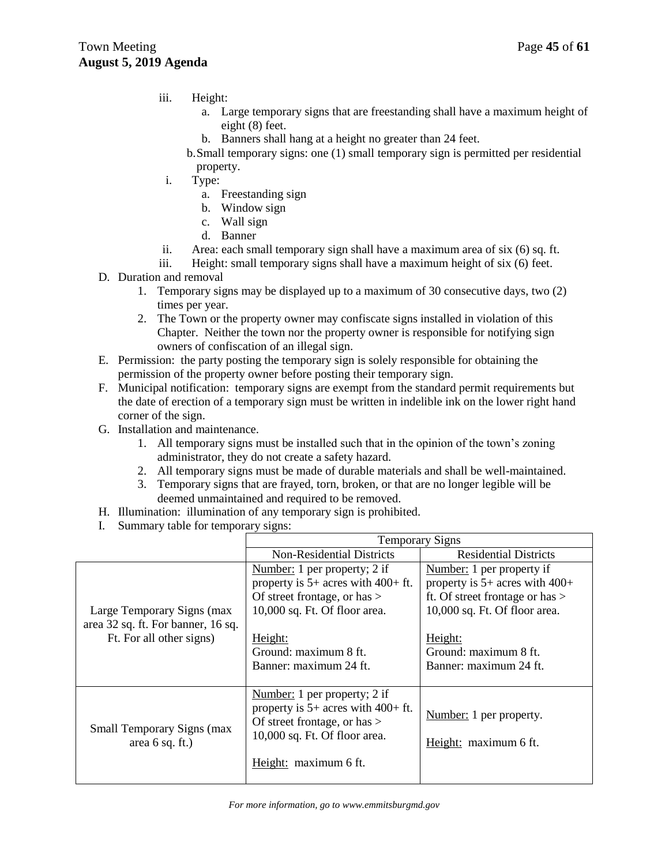- iii. Height:
	- a. Large temporary signs that are freestanding shall have a maximum height of eight (8) feet.
	- b. Banners shall hang at a height no greater than 24 feet.
	- b.Small temporary signs: one (1) small temporary sign is permitted per residential property.
- i. Type:
	- a. Freestanding sign
	- b. Window sign
	- c. Wall sign
	- d. Banner
- ii. Area: each small temporary sign shall have a maximum area of six (6) sq. ft.
- iii. Height: small temporary signs shall have a maximum height of six (6) feet.
- D. Duration and removal
	- 1. Temporary signs may be displayed up to a maximum of 30 consecutive days, two (2) times per year.
	- 2. The Town or the property owner may confiscate signs installed in violation of this Chapter. Neither the town nor the property owner is responsible for notifying sign owners of confiscation of an illegal sign.
- E. Permission: the party posting the temporary sign is solely responsible for obtaining the permission of the property owner before posting their temporary sign.
- F. Municipal notification: temporary signs are exempt from the standard permit requirements but the date of erection of a temporary sign must be written in indelible ink on the lower right hand corner of the sign.
- G. Installation and maintenance.
	- 1. All temporary signs must be installed such that in the opinion of the town's zoning administrator, they do not create a safety hazard.
	- 2. All temporary signs must be made of durable materials and shall be well-maintained.
	- 3. Temporary signs that are frayed, torn, broken, or that are no longer legible will be deemed unmaintained and required to be removed.
- H. Illumination: illumination of any temporary sign is prohibited.
- I. Summary table for temporary signs:

|                                    | <b>Temporary Signs</b>                                                   |                                    |  |
|------------------------------------|--------------------------------------------------------------------------|------------------------------------|--|
|                                    | Non-Residential Districts                                                | <b>Residential Districts</b>       |  |
|                                    | Number: 1 per property; 2 if                                             | Number: 1 per property if          |  |
|                                    | property is $5+$ acres with $400+$ ft.                                   | property is $5+$ acres with $400+$ |  |
|                                    | Of street frontage, or has $>$                                           | ft. Of street frontage or has $>$  |  |
| Large Temporary Signs (max         | 10,000 sq. Ft. Of floor area.                                            | 10,000 sq. Ft. Of floor area.      |  |
| area 32 sq. ft. For banner, 16 sq. |                                                                          |                                    |  |
| Ft. For all other signs)           | Height:                                                                  | Height:                            |  |
|                                    | Ground: maximum 8 ft.                                                    | Ground: maximum 8 ft.              |  |
|                                    | Banner: maximum 24 ft.                                                   | Banner: maximum 24 ft.             |  |
|                                    |                                                                          |                                    |  |
|                                    | Number: 1 per property; 2 if                                             |                                    |  |
| <b>Small Temporary Signs (max</b>  | property is $5+$ acres with $400+$ ft.<br>Of street frontage, or has $>$ | Number: 1 per property.            |  |
| area $6$ sq. ft.)                  | 10,000 sq. Ft. Of floor area.                                            | Height: maximum 6 ft.              |  |
|                                    | Height: maximum 6 ft.                                                    |                                    |  |
|                                    |                                                                          |                                    |  |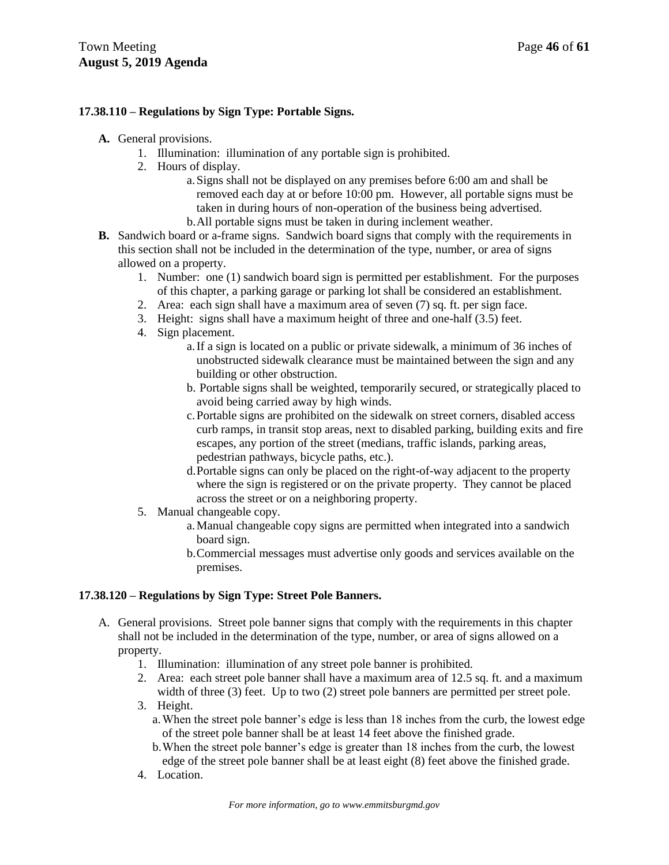### **17.38.110 – Regulations by Sign Type: Portable Signs.**

- **A.** General provisions.
	- 1. Illumination: illumination of any portable sign is prohibited.
	- 2. Hours of display.
		- a.Signs shall not be displayed on any premises before 6:00 am and shall be removed each day at or before 10:00 pm. However, all portable signs must be taken in during hours of non-operation of the business being advertised. b.All portable signs must be taken in during inclement weather.
- **B.** Sandwich board or a-frame signs. Sandwich board signs that comply with the requirements in this section shall not be included in the determination of the type, number, or area of signs allowed on a property.
	- 1. Number: one (1) sandwich board sign is permitted per establishment. For the purposes of this chapter, a parking garage or parking lot shall be considered an establishment.
	- 2. Area: each sign shall have a maximum area of seven (7) sq. ft. per sign face.
	- 3. Height: signs shall have a maximum height of three and one-half (3.5) feet.
	- 4. Sign placement.
		- a.If a sign is located on a public or private sidewalk, a minimum of 36 inches of unobstructed sidewalk clearance must be maintained between the sign and any building or other obstruction.
		- b. Portable signs shall be weighted, temporarily secured, or strategically placed to avoid being carried away by high winds.
		- c.Portable signs are prohibited on the sidewalk on street corners, disabled access curb ramps, in transit stop areas, next to disabled parking, building exits and fire escapes, any portion of the street (medians, traffic islands, parking areas, pedestrian pathways, bicycle paths, etc.).
		- d.Portable signs can only be placed on the right-of-way adjacent to the property where the sign is registered or on the private property. They cannot be placed across the street or on a neighboring property.
	- 5. Manual changeable copy.
		- a.Manual changeable copy signs are permitted when integrated into a sandwich board sign.
		- b.Commercial messages must advertise only goods and services available on the premises.

### **17.38.120 – Regulations by Sign Type: Street Pole Banners.**

- A. General provisions. Street pole banner signs that comply with the requirements in this chapter shall not be included in the determination of the type, number, or area of signs allowed on a property.
	- 1. Illumination: illumination of any street pole banner is prohibited.
	- 2. Area: each street pole banner shall have a maximum area of 12.5 sq. ft. and a maximum width of three (3) feet. Up to two (2) street pole banners are permitted per street pole.
	- 3. Height.
		- a.When the street pole banner's edge is less than 18 inches from the curb, the lowest edge of the street pole banner shall be at least 14 feet above the finished grade.
		- b.When the street pole banner's edge is greater than 18 inches from the curb, the lowest edge of the street pole banner shall be at least eight (8) feet above the finished grade.
	- 4. Location.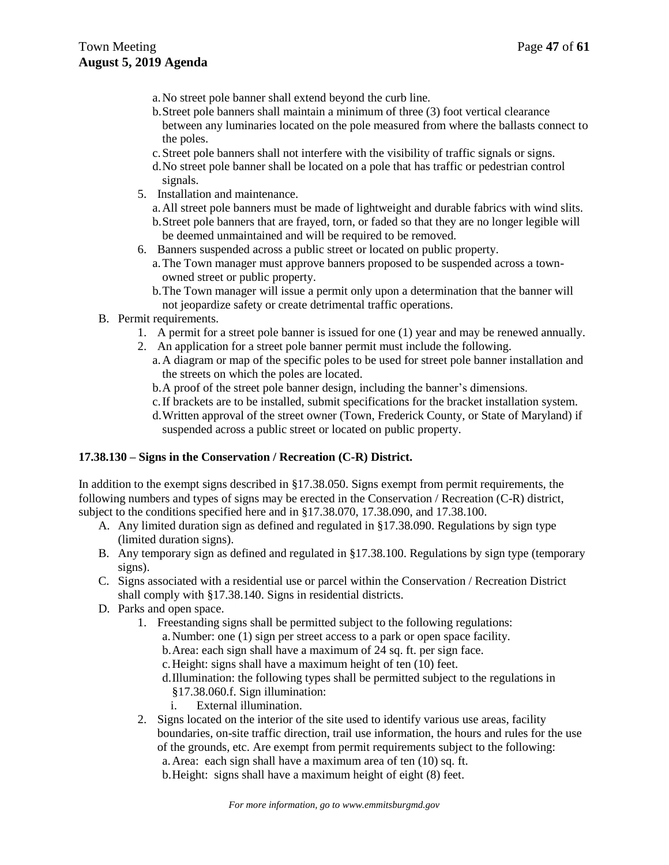- a.No street pole banner shall extend beyond the curb line.
- b.Street pole banners shall maintain a minimum of three (3) foot vertical clearance between any luminaries located on the pole measured from where the ballasts connect to the poles.
- c.Street pole banners shall not interfere with the visibility of traffic signals or signs.
- d.No street pole banner shall be located on a pole that has traffic or pedestrian control signals.
- 5. Installation and maintenance.
	- a.All street pole banners must be made of lightweight and durable fabrics with wind slits. b.Street pole banners that are frayed, torn, or faded so that they are no longer legible will be deemed unmaintained and will be required to be removed.
- 6. Banners suspended across a public street or located on public property.
	- a.The Town manager must approve banners proposed to be suspended across a townowned street or public property.
	- b.The Town manager will issue a permit only upon a determination that the banner will not jeopardize safety or create detrimental traffic operations.
- B. Permit requirements.
	- 1. A permit for a street pole banner is issued for one (1) year and may be renewed annually.
	- 2. An application for a street pole banner permit must include the following.
		- a.A diagram or map of the specific poles to be used for street pole banner installation and the streets on which the poles are located.
		- b.A proof of the street pole banner design, including the banner's dimensions.
		- c.If brackets are to be installed, submit specifications for the bracket installation system.
		- d.Written approval of the street owner (Town, Frederick County, or State of Maryland) if suspended across a public street or located on public property.

### **17.38.130 – Signs in the Conservation / Recreation (C-R) District.**

In addition to the exempt signs described in §17.38.050. Signs exempt from permit requirements, the following numbers and types of signs may be erected in the Conservation / Recreation (C-R) district, subject to the conditions specified here and in §17.38.070, 17.38.090, and 17.38.100.

- A. Any limited duration sign as defined and regulated in §17.38.090. Regulations by sign type (limited duration signs).
- B. Any temporary sign as defined and regulated in §17.38.100. Regulations by sign type (temporary signs).
- C. Signs associated with a residential use or parcel within the Conservation / Recreation District shall comply with §17.38.140. Signs in residential districts.
- D. Parks and open space.
	- 1. Freestanding signs shall be permitted subject to the following regulations: a.Number: one (1) sign per street access to a park or open space facility.
		- b.Area: each sign shall have a maximum of 24 sq. ft. per sign face.
		- c.Height: signs shall have a maximum height of ten (10) feet.
		- d.Illumination: the following types shall be permitted subject to the regulations in §17.38.060.f. Sign illumination:
			- i. External illumination.
	- 2. Signs located on the interior of the site used to identify various use areas, facility boundaries, on-site traffic direction, trail use information, the hours and rules for the use of the grounds, etc. Are exempt from permit requirements subject to the following: a.Area: each sign shall have a maximum area of ten (10) sq. ft.
		- b.Height: signs shall have a maximum height of eight (8) feet.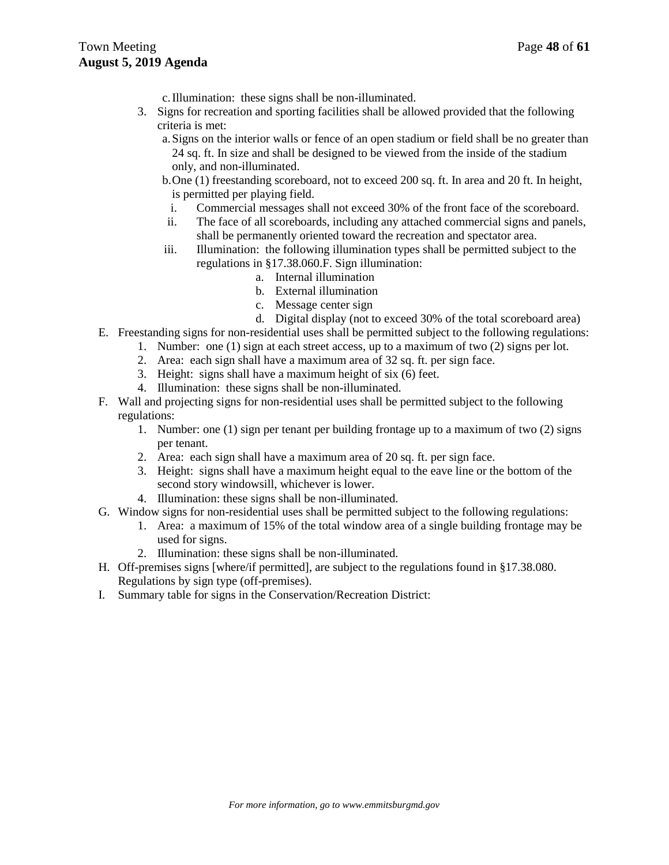- c.Illumination: these signs shall be non-illuminated.
- 3. Signs for recreation and sporting facilities shall be allowed provided that the following criteria is met:
	- a.Signs on the interior walls or fence of an open stadium or field shall be no greater than 24 sq. ft. In size and shall be designed to be viewed from the inside of the stadium only, and non-illuminated.
	- b.One (1) freestanding scoreboard, not to exceed 200 sq. ft. In area and 20 ft. In height, is permitted per playing field.
		- i. Commercial messages shall not exceed 30% of the front face of the scoreboard.
	- ii. The face of all scoreboards, including any attached commercial signs and panels, shall be permanently oriented toward the recreation and spectator area.
	- iii. Illumination: the following illumination types shall be permitted subject to the regulations in §17.38.060.F. Sign illumination:
		- a. Internal illumination
		- b. External illumination
		- c. Message center sign
		- d. Digital display (not to exceed 30% of the total scoreboard area)
- E. Freestanding signs for non-residential uses shall be permitted subject to the following regulations:
	- 1. Number: one (1) sign at each street access, up to a maximum of two (2) signs per lot.
	- 2. Area: each sign shall have a maximum area of 32 sq. ft. per sign face.
	- 3. Height: signs shall have a maximum height of six (6) feet.
	- 4. Illumination: these signs shall be non-illuminated.
- F. Wall and projecting signs for non-residential uses shall be permitted subject to the following regulations:
	- 1. Number: one (1) sign per tenant per building frontage up to a maximum of two (2) signs per tenant.
	- 2. Area: each sign shall have a maximum area of 20 sq. ft. per sign face.
	- 3. Height: signs shall have a maximum height equal to the eave line or the bottom of the second story windowsill, whichever is lower.
	- 4. Illumination: these signs shall be non-illuminated.
- G. Window signs for non-residential uses shall be permitted subject to the following regulations:
	- 1. Area: a maximum of 15% of the total window area of a single building frontage may be used for signs.
	- 2. Illumination: these signs shall be non-illuminated.
- H. Off-premises signs [where/if permitted], are subject to the regulations found in §17.38.080. Regulations by sign type (off-premises).
- I. Summary table for signs in the Conservation/Recreation District: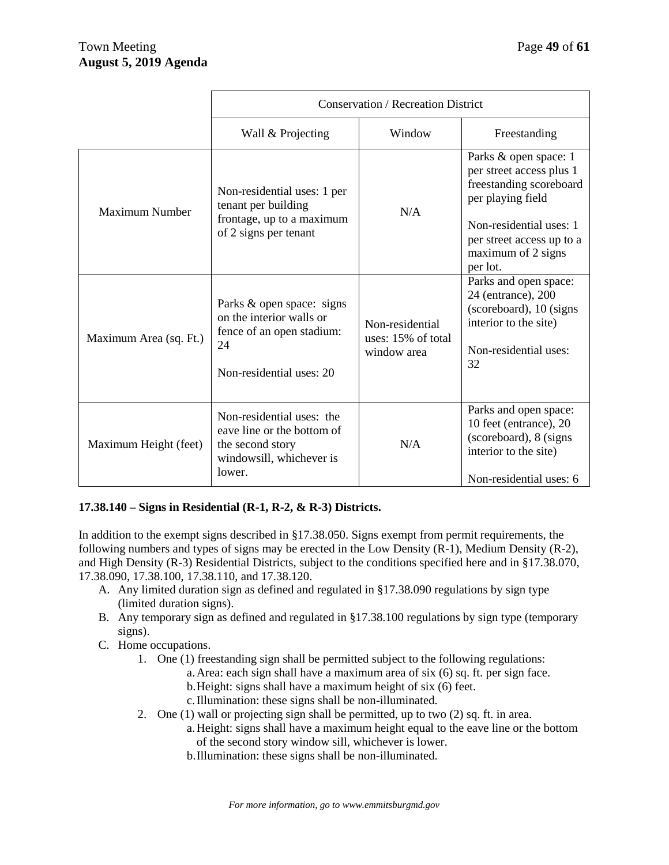|                        | <b>Conservation / Recreation District</b>                                                                            |                                                      |                                                                                                                                                                                             |  |
|------------------------|----------------------------------------------------------------------------------------------------------------------|------------------------------------------------------|---------------------------------------------------------------------------------------------------------------------------------------------------------------------------------------------|--|
|                        | Wall & Projecting                                                                                                    | Window                                               | Freestanding                                                                                                                                                                                |  |
| Maximum Number         | Non-residential uses: 1 per<br>tenant per building<br>frontage, up to a maximum<br>of 2 signs per tenant             | N/A                                                  | Parks & open space: 1<br>per street access plus 1<br>freestanding scoreboard<br>per playing field<br>Non-residential uses: 1<br>per street access up to a<br>maximum of 2 signs<br>per lot. |  |
| Maximum Area (sq. Ft.) | Parks & open space: signs<br>on the interior walls or<br>fence of an open stadium:<br>24<br>Non-residential uses: 20 | Non-residential<br>uses: 15% of total<br>window area | Parks and open space:<br>24 (entrance), 200<br>(scoreboard), 10 (signs)<br>interior to the site)<br>Non-residential uses:<br>32                                                             |  |
| Maximum Height (feet)  | Non-residential uses: the<br>eave line or the bottom of<br>the second story<br>windowsill, whichever is<br>lower.    | N/A                                                  | Parks and open space:<br>10 feet (entrance), 20<br>(scoreboard), 8 (signs)<br>interior to the site)<br>Non-residential uses: 6                                                              |  |

# **17.38.140 – Signs in Residential (R-1, R-2, & R-3) Districts.**

In addition to the exempt signs described in §17.38.050. Signs exempt from permit requirements, the following numbers and types of signs may be erected in the Low Density (R-1), Medium Density (R-2), and High Density (R-3) Residential Districts, subject to the conditions specified here and in §17.38.070, 17.38.090, 17.38.100, 17.38.110, and 17.38.120.

- A. Any limited duration sign as defined and regulated in §17.38.090 regulations by sign type (limited duration signs).
- B. Any temporary sign as defined and regulated in §17.38.100 regulations by sign type (temporary signs).
- C. Home occupations.
	- 1. One (1) freestanding sign shall be permitted subject to the following regulations:
		- a.Area: each sign shall have a maximum area of six (6) sq. ft. per sign face.
		- b.Height: signs shall have a maximum height of six (6) feet.
		- c.Illumination: these signs shall be non-illuminated.
	- 2. One (1) wall or projecting sign shall be permitted, up to two (2) sq. ft. in area.
		- a.Height: signs shall have a maximum height equal to the eave line or the bottom of the second story window sill, whichever is lower.
		- b.Illumination: these signs shall be non-illuminated.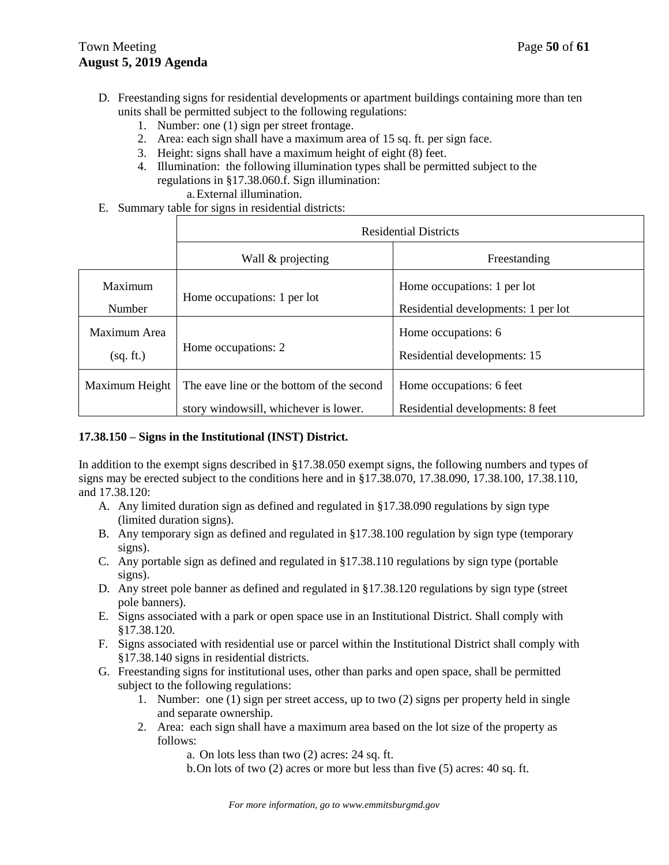- D. Freestanding signs for residential developments or apartment buildings containing more than ten units shall be permitted subject to the following regulations:
	- 1. Number: one (1) sign per street frontage.
	- 2. Area: each sign shall have a maximum area of 15 sq. ft. per sign face.
	- 3. Height: signs shall have a maximum height of eight (8) feet.
	- 4. Illumination: the following illumination types shall be permitted subject to the regulations in §17.38.060.f. Sign illumination:

a.External illumination.

E. Summary table for signs in residential districts:

|                           | <b>Residential Districts</b>                                                       |                                                                    |  |
|---------------------------|------------------------------------------------------------------------------------|--------------------------------------------------------------------|--|
|                           | Wall & projecting                                                                  | Freestanding                                                       |  |
| Maximum<br>Number         | Home occupations: 1 per lot                                                        | Home occupations: 1 per lot<br>Residential developments: 1 per lot |  |
| Maximum Area<br>(sq. ft.) | Home occupations: 2                                                                | Home occupations: 6<br>Residential developments: 15                |  |
| Maximum Height            | The eave line or the bottom of the second<br>story windowsill, whichever is lower. | Home occupations: 6 feet<br>Residential developments: 8 feet       |  |

### **17.38.150 – Signs in the Institutional (INST) District.**

In addition to the exempt signs described in §17.38.050 exempt signs, the following numbers and types of signs may be erected subject to the conditions here and in §17.38.070, 17.38.090, 17.38.100, 17.38.110, and 17.38.120:

- A. Any limited duration sign as defined and regulated in §17.38.090 regulations by sign type (limited duration signs).
- B. Any temporary sign as defined and regulated in §17.38.100 regulation by sign type (temporary signs).
- C. Any portable sign as defined and regulated in §17.38.110 regulations by sign type (portable signs).
- D. Any street pole banner as defined and regulated in §17.38.120 regulations by sign type (street pole banners).
- E. Signs associated with a park or open space use in an Institutional District. Shall comply with §17.38.120.
- F. Signs associated with residential use or parcel within the Institutional District shall comply with §17.38.140 signs in residential districts.
- G. Freestanding signs for institutional uses, other than parks and open space, shall be permitted subject to the following regulations:
	- 1. Number: one (1) sign per street access, up to two (2) signs per property held in single and separate ownership.
	- 2. Area: each sign shall have a maximum area based on the lot size of the property as follows:

a. On lots less than two (2) acres: 24 sq. ft.

b.On lots of two (2) acres or more but less than five (5) acres: 40 sq. ft.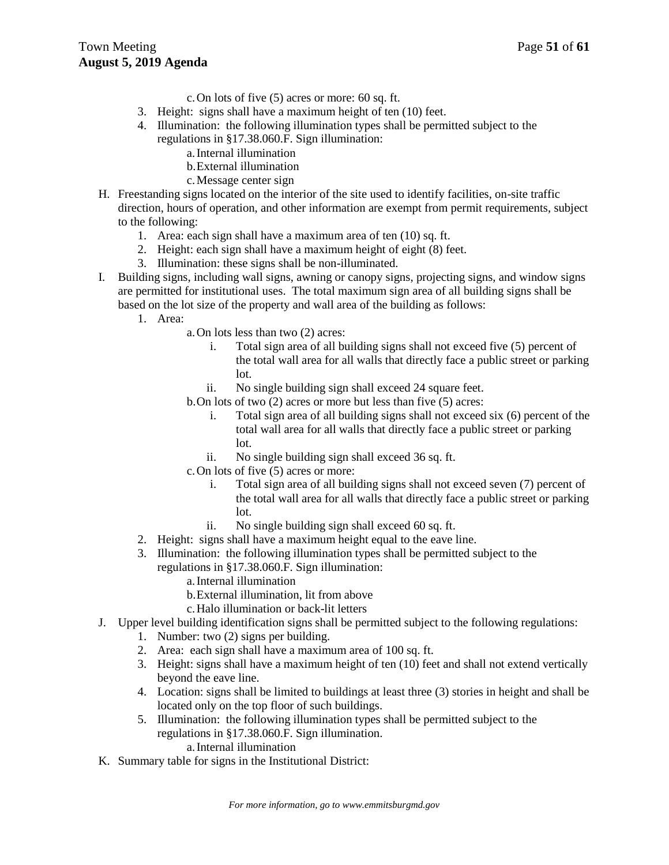- c.On lots of five (5) acres or more: 60 sq. ft.
- 3. Height: signs shall have a maximum height of ten (10) feet.
- 4. Illumination: the following illumination types shall be permitted subject to the regulations in §17.38.060.F. Sign illumination:
	- a.Internal illumination
	- b.External illumination
	- c.Message center sign
- H. Freestanding signs located on the interior of the site used to identify facilities, on-site traffic direction, hours of operation, and other information are exempt from permit requirements, subject to the following:
	- 1. Area: each sign shall have a maximum area of ten (10) sq. ft.
	- 2. Height: each sign shall have a maximum height of eight (8) feet.
	- 3. Illumination: these signs shall be non-illuminated.
- I. Building signs, including wall signs, awning or canopy signs, projecting signs, and window signs are permitted for institutional uses. The total maximum sign area of all building signs shall be based on the lot size of the property and wall area of the building as follows:
	- 1. Area:
		- a.On lots less than two (2) acres:
			- i. Total sign area of all building signs shall not exceed five (5) percent of the total wall area for all walls that directly face a public street or parking lot.
			- ii. No single building sign shall exceed 24 square feet.

b.On lots of two (2) acres or more but less than five (5) acres:

- i. Total sign area of all building signs shall not exceed six (6) percent of the total wall area for all walls that directly face a public street or parking lot.
- ii. No single building sign shall exceed 36 sq. ft.
- c.On lots of five (5) acres or more:
	- i. Total sign area of all building signs shall not exceed seven (7) percent of the total wall area for all walls that directly face a public street or parking lot.
	- ii. No single building sign shall exceed 60 sq. ft.
- 2. Height: signs shall have a maximum height equal to the eave line.
- 3. Illumination: the following illumination types shall be permitted subject to the regulations in §17.38.060.F. Sign illumination:
	- a.Internal illumination
	- b.External illumination, lit from above
	- c.Halo illumination or back-lit letters
- J. Upper level building identification signs shall be permitted subject to the following regulations:
	- 1. Number: two (2) signs per building.
	- 2. Area: each sign shall have a maximum area of 100 sq. ft.
	- 3. Height: signs shall have a maximum height of ten (10) feet and shall not extend vertically beyond the eave line.
	- 4. Location: signs shall be limited to buildings at least three (3) stories in height and shall be located only on the top floor of such buildings.
	- 5. Illumination: the following illumination types shall be permitted subject to the regulations in §17.38.060.F. Sign illumination.
		- a.Internal illumination
- K. Summary table for signs in the Institutional District: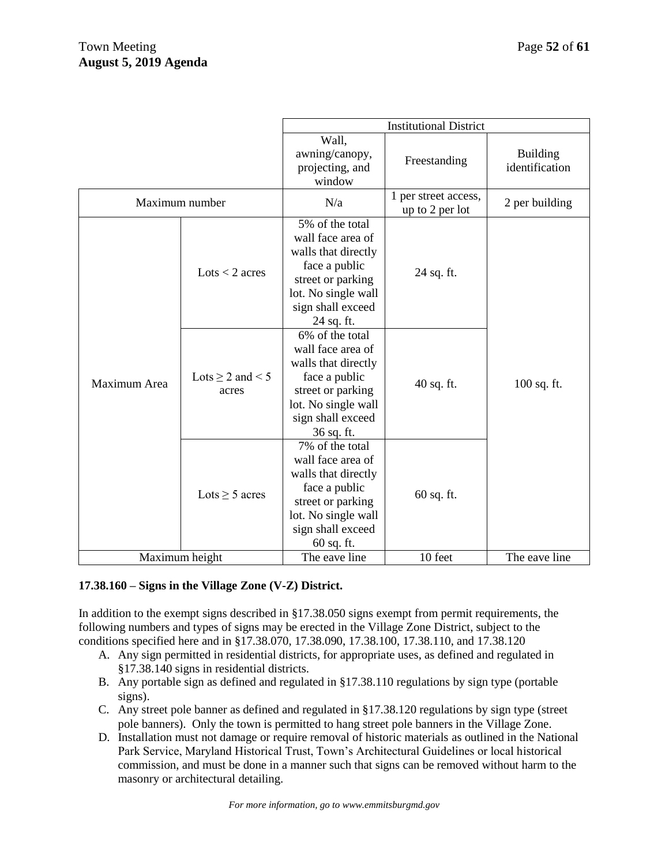|                |                                | <b>Institutional District</b>                                                                                                                               |                                         |                                   |
|----------------|--------------------------------|-------------------------------------------------------------------------------------------------------------------------------------------------------------|-----------------------------------------|-----------------------------------|
|                |                                | Wall,<br>awning/canopy,<br>projecting, and<br>window                                                                                                        | Freestanding                            | <b>Building</b><br>identification |
| Maximum number |                                | N/a                                                                                                                                                         | 1 per street access,<br>up to 2 per lot | 2 per building                    |
| Maximum Area   | $Lots < 2$ acres               | 5% of the total<br>wall face area of<br>walls that directly<br>face a public<br>street or parking<br>lot. No single wall<br>sign shall exceed<br>24 sq. ft. | 24 sq. ft.                              |                                   |
|                | Lots $\geq 2$ and < 5<br>acres | 6% of the total<br>wall face area of<br>walls that directly<br>face a public<br>street or parking<br>lot. No single wall<br>sign shall exceed<br>36 sq. ft. | $40$ sq. ft.                            | 100 sq. ft.                       |
|                | Lots $\geq$ 5 acres            | 7% of the total<br>wall face area of<br>walls that directly<br>face a public<br>street or parking<br>lot. No single wall<br>sign shall exceed<br>60 sq. ft. | $60$ sq. ft.                            |                                   |
| Maximum height |                                | The eave line                                                                                                                                               | 10 feet                                 | The eave line                     |

### **17.38.160 – Signs in the Village Zone (V-Z) District.**

In addition to the exempt signs described in §17.38.050 signs exempt from permit requirements, the following numbers and types of signs may be erected in the Village Zone District, subject to the conditions specified here and in §17.38.070, 17.38.090, 17.38.100, 17.38.110, and 17.38.120

- A. Any sign permitted in residential districts, for appropriate uses, as defined and regulated in §17.38.140 signs in residential districts.
- B. Any portable sign as defined and regulated in §17.38.110 regulations by sign type (portable signs).
- C. Any street pole banner as defined and regulated in §17.38.120 regulations by sign type (street pole banners). Only the town is permitted to hang street pole banners in the Village Zone.
- D. Installation must not damage or require removal of historic materials as outlined in the National Park Service, Maryland Historical Trust, Town's Architectural Guidelines or local historical commission, and must be done in a manner such that signs can be removed without harm to the masonry or architectural detailing.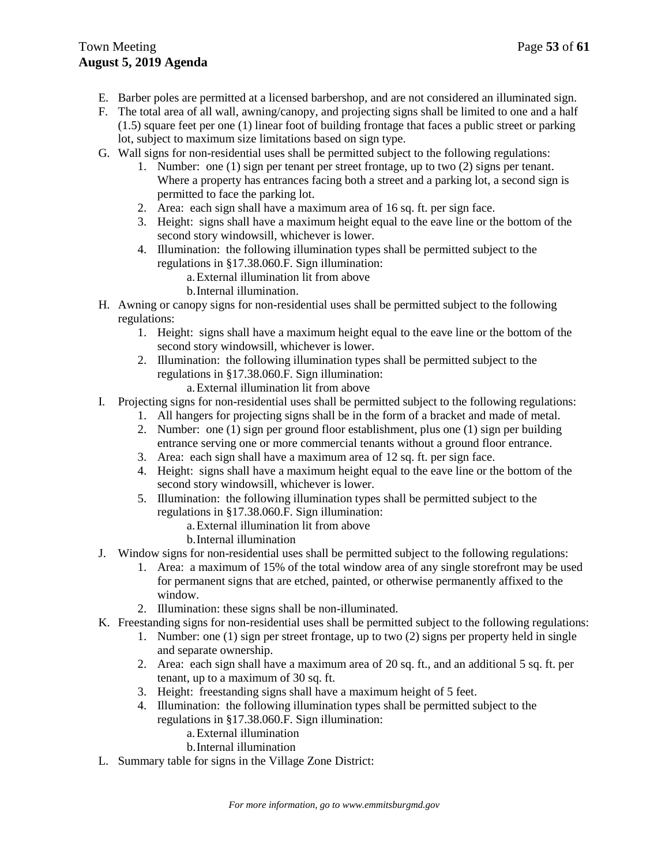- E. Barber poles are permitted at a licensed barbershop, and are not considered an illuminated sign.
- F. The total area of all wall, awning/canopy, and projecting signs shall be limited to one and a half (1.5) square feet per one (1) linear foot of building frontage that faces a public street or parking lot, subject to maximum size limitations based on sign type.
- G. Wall signs for non-residential uses shall be permitted subject to the following regulations:
	- 1. Number: one (1) sign per tenant per street frontage, up to two (2) signs per tenant. Where a property has entrances facing both a street and a parking lot, a second sign is permitted to face the parking lot.
	- 2. Area: each sign shall have a maximum area of 16 sq. ft. per sign face.
	- 3. Height: signs shall have a maximum height equal to the eave line or the bottom of the second story windowsill, whichever is lower.
	- 4. Illumination: the following illumination types shall be permitted subject to the regulations in §17.38.060.F. Sign illumination:
		- a.External illumination lit from above
		- b.Internal illumination.
- H. Awning or canopy signs for non-residential uses shall be permitted subject to the following regulations:
	- 1. Height: signs shall have a maximum height equal to the eave line or the bottom of the second story windowsill, whichever is lower.
	- 2. Illumination: the following illumination types shall be permitted subject to the regulations in §17.38.060.F. Sign illumination:
		- a.External illumination lit from above
- I. Projecting signs for non-residential uses shall be permitted subject to the following regulations:
	- 1. All hangers for projecting signs shall be in the form of a bracket and made of metal.
	- 2. Number: one (1) sign per ground floor establishment, plus one (1) sign per building entrance serving one or more commercial tenants without a ground floor entrance.
	- 3. Area: each sign shall have a maximum area of 12 sq. ft. per sign face.
	- 4. Height: signs shall have a maximum height equal to the eave line or the bottom of the second story windowsill, whichever is lower.
	- 5. Illumination: the following illumination types shall be permitted subject to the regulations in §17.38.060.F. Sign illumination:
		- a.External illumination lit from above
		- b.Internal illumination
- J. Window signs for non-residential uses shall be permitted subject to the following regulations:
	- 1. Area: a maximum of 15% of the total window area of any single storefront may be used for permanent signs that are etched, painted, or otherwise permanently affixed to the window.
	- 2. Illumination: these signs shall be non-illuminated.
- K. Freestanding signs for non-residential uses shall be permitted subject to the following regulations:
	- 1. Number: one (1) sign per street frontage, up to two (2) signs per property held in single and separate ownership.
	- 2. Area: each sign shall have a maximum area of 20 sq. ft., and an additional 5 sq. ft. per tenant, up to a maximum of 30 sq. ft.
	- 3. Height: freestanding signs shall have a maximum height of 5 feet.
	- 4. Illumination: the following illumination types shall be permitted subject to the regulations in §17.38.060.F. Sign illumination:
		- a.External illumination
			- b.Internal illumination
- L. Summary table for signs in the Village Zone District: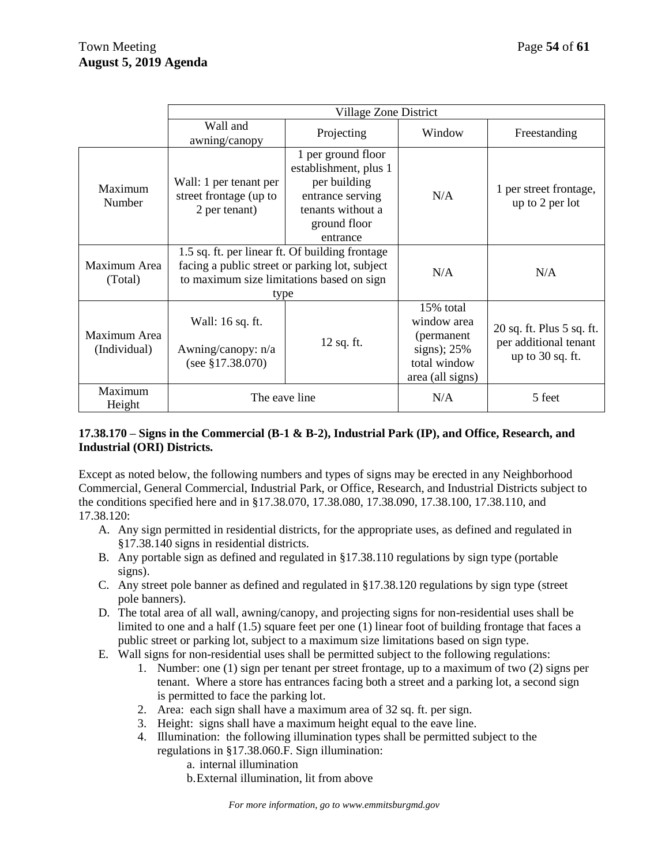|                              | Village Zone District                                                                                                                                  |                                                                                                                                  |                                                                                             |                                                                          |
|------------------------------|--------------------------------------------------------------------------------------------------------------------------------------------------------|----------------------------------------------------------------------------------------------------------------------------------|---------------------------------------------------------------------------------------------|--------------------------------------------------------------------------|
|                              | Wall and<br>awning/canopy                                                                                                                              | Projecting                                                                                                                       | Window                                                                                      | Freestanding                                                             |
| Maximum<br>Number            | Wall: 1 per tenant per<br>street frontage (up to<br>2 per tenant)                                                                                      | 1 per ground floor<br>establishment, plus 1<br>per building<br>entrance serving<br>tenants without a<br>ground floor<br>entrance | N/A                                                                                         | 1 per street frontage,<br>up to 2 per lot                                |
| Maximum Area<br>(Total)      | 1.5 sq. ft. per linear ft. Of building frontage<br>facing a public street or parking lot, subject<br>to maximum size limitations based on sign<br>type |                                                                                                                                  | N/A                                                                                         | N/A                                                                      |
| Maximum Area<br>(Individual) | Wall: 16 sq. ft.<br>Awning/canopy: n/a<br>(see $$17.38.070$ )                                                                                          | $12$ sq. ft.                                                                                                                     | 15% total<br>window area<br>(permanent<br>signs); $25%$<br>total window<br>area (all signs) | 20 sq. ft. Plus 5 sq. ft.<br>per additional tenant<br>up to $30$ sq. ft. |
| Maximum<br>Height            | The eave line                                                                                                                                          |                                                                                                                                  | N/A                                                                                         | 5 feet                                                                   |

### **17.38.170 – Signs in the Commercial (B-1 & B-2), Industrial Park (IP), and Office, Research, and Industrial (ORI) Districts.**

Except as noted below, the following numbers and types of signs may be erected in any Neighborhood Commercial, General Commercial, Industrial Park, or Office, Research, and Industrial Districts subject to the conditions specified here and in §17.38.070, 17.38.080, 17.38.090, 17.38.100, 17.38.110, and 17.38.120:

- A. Any sign permitted in residential districts, for the appropriate uses, as defined and regulated in §17.38.140 signs in residential districts.
- B. Any portable sign as defined and regulated in §17.38.110 regulations by sign type (portable signs).
- C. Any street pole banner as defined and regulated in §17.38.120 regulations by sign type (street pole banners).
- D. The total area of all wall, awning/canopy, and projecting signs for non-residential uses shall be limited to one and a half (1.5) square feet per one (1) linear foot of building frontage that faces a public street or parking lot, subject to a maximum size limitations based on sign type.
- E. Wall signs for non-residential uses shall be permitted subject to the following regulations:
	- 1. Number: one (1) sign per tenant per street frontage, up to a maximum of two (2) signs per tenant. Where a store has entrances facing both a street and a parking lot, a second sign is permitted to face the parking lot.
	- 2. Area: each sign shall have a maximum area of 32 sq. ft. per sign.
	- 3. Height: signs shall have a maximum height equal to the eave line.
	- 4. Illumination: the following illumination types shall be permitted subject to the regulations in §17.38.060.F. Sign illumination:
		- a. internal illumination
		- b.External illumination, lit from above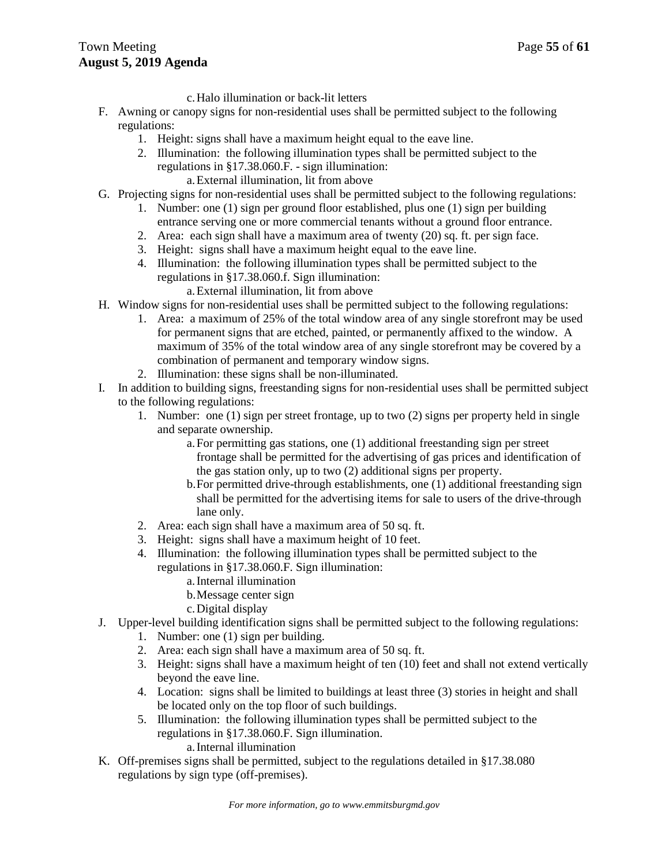c.Halo illumination or back-lit letters

- F. Awning or canopy signs for non-residential uses shall be permitted subject to the following regulations:
	- 1. Height: signs shall have a maximum height equal to the eave line.
	- 2. Illumination: the following illumination types shall be permitted subject to the regulations in §17.38.060.F. - sign illumination: a.External illumination, lit from above
- G. Projecting signs for non-residential uses shall be permitted subject to the following regulations:
	- 1. Number: one (1) sign per ground floor established, plus one (1) sign per building entrance serving one or more commercial tenants without a ground floor entrance.
	- 2. Area: each sign shall have a maximum area of twenty (20) sq. ft. per sign face.
	- 3. Height: signs shall have a maximum height equal to the eave line.
	- 4. Illumination: the following illumination types shall be permitted subject to the regulations in §17.38.060.f. Sign illumination:
		- a.External illumination, lit from above
- H. Window signs for non-residential uses shall be permitted subject to the following regulations:
	- 1. Area: a maximum of 25% of the total window area of any single storefront may be used for permanent signs that are etched, painted, or permanently affixed to the window. A maximum of 35% of the total window area of any single storefront may be covered by a combination of permanent and temporary window signs.
	- 2. Illumination: these signs shall be non-illuminated.
- I. In addition to building signs, freestanding signs for non-residential uses shall be permitted subject to the following regulations:
	- 1. Number: one (1) sign per street frontage, up to two (2) signs per property held in single and separate ownership.
		- a.For permitting gas stations, one (1) additional freestanding sign per street frontage shall be permitted for the advertising of gas prices and identification of the gas station only, up to two (2) additional signs per property.
		- b.For permitted drive-through establishments, one (1) additional freestanding sign shall be permitted for the advertising items for sale to users of the drive-through lane only.
	- 2. Area: each sign shall have a maximum area of 50 sq. ft.
	- 3. Height: signs shall have a maximum height of 10 feet.
	- 4. Illumination: the following illumination types shall be permitted subject to the regulations in §17.38.060.F. Sign illumination:
		- a.Internal illumination
		- b.Message center sign
		- c.Digital display
- J. Upper-level building identification signs shall be permitted subject to the following regulations:
	- 1. Number: one (1) sign per building.
	- 2. Area: each sign shall have a maximum area of 50 sq. ft.
	- 3. Height: signs shall have a maximum height of ten (10) feet and shall not extend vertically beyond the eave line.
	- 4. Location: signs shall be limited to buildings at least three (3) stories in height and shall be located only on the top floor of such buildings.
	- 5. Illumination: the following illumination types shall be permitted subject to the regulations in §17.38.060.F. Sign illumination.

a.Internal illumination

K. Off-premises signs shall be permitted, subject to the regulations detailed in §17.38.080 regulations by sign type (off-premises).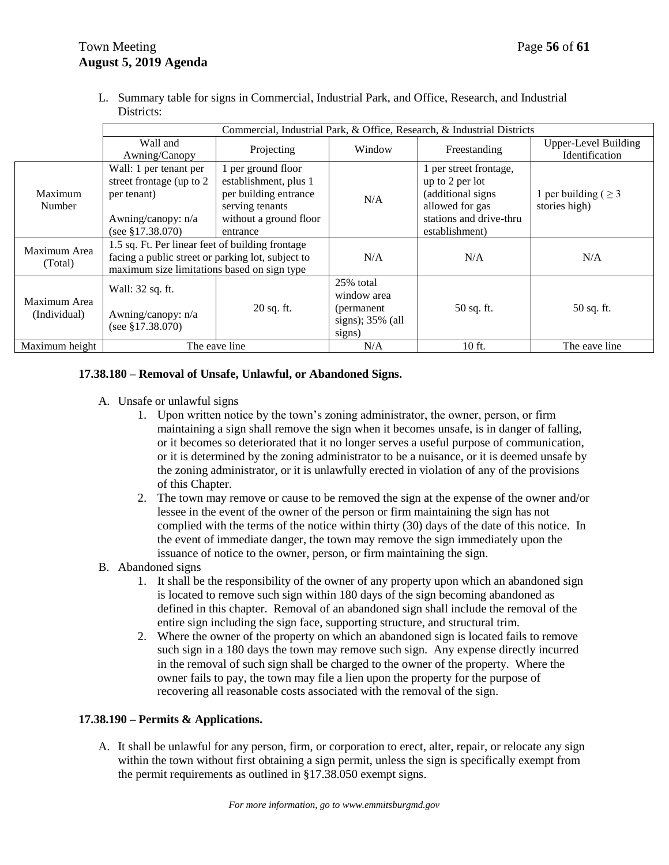L. Summary table for signs in Commercial, Industrial Park, and Office, Research, and Industrial Districts:

|                              | Commercial, Industrial Park, & Office, Research, & Industrial Districts                                                                              |                                                                                                                               |                                                                          |                                                                                                                                |                                               |
|------------------------------|------------------------------------------------------------------------------------------------------------------------------------------------------|-------------------------------------------------------------------------------------------------------------------------------|--------------------------------------------------------------------------|--------------------------------------------------------------------------------------------------------------------------------|-----------------------------------------------|
|                              | Wall and<br>Awning/Canopy                                                                                                                            | Projecting                                                                                                                    | Window                                                                   | Freestanding                                                                                                                   | <b>Upper-Level Building</b><br>Identification |
| Maximum<br>Number            | Wall: 1 per tenant per<br>street frontage (up to 2)<br>per tenant)<br>Awning/canopy: n/a<br>(see $$17.38.070$ )                                      | 1 per ground floor<br>establishment, plus 1<br>per building entrance<br>serving tenants<br>without a ground floor<br>entrance | N/A                                                                      | 1 per street frontage,<br>up to 2 per lot<br>(additional signs<br>allowed for gas<br>stations and drive-thru<br>establishment) | 1 per building ( $\geq$ 3<br>stories high)    |
| Maximum Area<br>(Total)      | 1.5 sq. Ft. Per linear feet of building frontage<br>facing a public street or parking lot, subject to<br>maximum size limitations based on sign type |                                                                                                                               | N/A                                                                      | N/A                                                                                                                            | N/A                                           |
| Maximum Area<br>(Individual) | Wall: 32 sq. ft.<br>Awning/canopy: n/a<br>(see $$17.38.070$ )                                                                                        | 20 sq. ft.                                                                                                                    | 25% total<br>window area<br>(permanent)<br>signs); $35\%$ (all<br>signs) | 50 sq. ft.                                                                                                                     | 50 sq. ft.                                    |
| Maximum height               | The eave line                                                                                                                                        |                                                                                                                               | N/A                                                                      | 10 ft.                                                                                                                         | The eave line                                 |

### **17.38.180 – Removal of Unsafe, Unlawful, or Abandoned Signs.**

- A. Unsafe or unlawful signs
	- 1. Upon written notice by the town's zoning administrator, the owner, person, or firm maintaining a sign shall remove the sign when it becomes unsafe, is in danger of falling, or it becomes so deteriorated that it no longer serves a useful purpose of communication, or it is determined by the zoning administrator to be a nuisance, or it is deemed unsafe by the zoning administrator, or it is unlawfully erected in violation of any of the provisions of this Chapter.
	- 2. The town may remove or cause to be removed the sign at the expense of the owner and/or lessee in the event of the owner of the person or firm maintaining the sign has not complied with the terms of the notice within thirty (30) days of the date of this notice. In the event of immediate danger, the town may remove the sign immediately upon the issuance of notice to the owner, person, or firm maintaining the sign.

### B. Abandoned signs

- 1. It shall be the responsibility of the owner of any property upon which an abandoned sign is located to remove such sign within 180 days of the sign becoming abandoned as defined in this chapter. Removal of an abandoned sign shall include the removal of the entire sign including the sign face, supporting structure, and structural trim.
- 2. Where the owner of the property on which an abandoned sign is located fails to remove such sign in a 180 days the town may remove such sign. Any expense directly incurred in the removal of such sign shall be charged to the owner of the property. Where the owner fails to pay, the town may file a lien upon the property for the purpose of recovering all reasonable costs associated with the removal of the sign.

### **17.38.190 – Permits & Applications.**

A. It shall be unlawful for any person, firm, or corporation to erect, alter, repair, or relocate any sign within the town without first obtaining a sign permit, unless the sign is specifically exempt from the permit requirements as outlined in §17.38.050 exempt signs.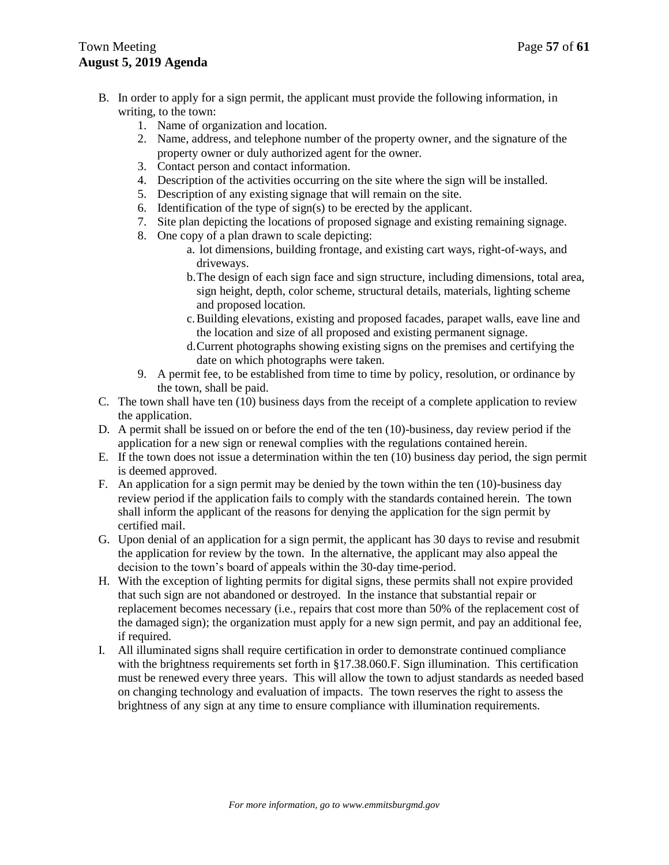# Town Meeting **Page 57** of 61 **August 5, 2019 Agenda**

- B. In order to apply for a sign permit, the applicant must provide the following information, in writing, to the town:
	- 1. Name of organization and location.
	- 2. Name, address, and telephone number of the property owner, and the signature of the property owner or duly authorized agent for the owner.
	- 3. Contact person and contact information.
	- 4. Description of the activities occurring on the site where the sign will be installed.
	- 5. Description of any existing signage that will remain on the site.
	- 6. Identification of the type of sign(s) to be erected by the applicant.
	- 7. Site plan depicting the locations of proposed signage and existing remaining signage.
	- 8. One copy of a plan drawn to scale depicting:
		- a. lot dimensions, building frontage, and existing cart ways, right-of-ways, and driveways.
		- b.The design of each sign face and sign structure, including dimensions, total area, sign height, depth, color scheme, structural details, materials, lighting scheme and proposed location.
		- c.Building elevations, existing and proposed facades, parapet walls, eave line and the location and size of all proposed and existing permanent signage.
		- d.Current photographs showing existing signs on the premises and certifying the date on which photographs were taken.
	- 9. A permit fee, to be established from time to time by policy, resolution, or ordinance by the town, shall be paid.
- C. The town shall have ten (10) business days from the receipt of a complete application to review the application.
- D. A permit shall be issued on or before the end of the ten (10)-business, day review period if the application for a new sign or renewal complies with the regulations contained herein.
- E. If the town does not issue a determination within the ten (10) business day period, the sign permit is deemed approved.
- F. An application for a sign permit may be denied by the town within the ten (10)-business day review period if the application fails to comply with the standards contained herein. The town shall inform the applicant of the reasons for denying the application for the sign permit by certified mail.
- G. Upon denial of an application for a sign permit, the applicant has 30 days to revise and resubmit the application for review by the town. In the alternative, the applicant may also appeal the decision to the town's board of appeals within the 30-day time-period.
- H. With the exception of lighting permits for digital signs, these permits shall not expire provided that such sign are not abandoned or destroyed. In the instance that substantial repair or replacement becomes necessary (i.e., repairs that cost more than 50% of the replacement cost of the damaged sign); the organization must apply for a new sign permit, and pay an additional fee, if required.
- I. All illuminated signs shall require certification in order to demonstrate continued compliance with the brightness requirements set forth in §17.38.060.F. Sign illumination. This certification must be renewed every three years. This will allow the town to adjust standards as needed based on changing technology and evaluation of impacts. The town reserves the right to assess the brightness of any sign at any time to ensure compliance with illumination requirements.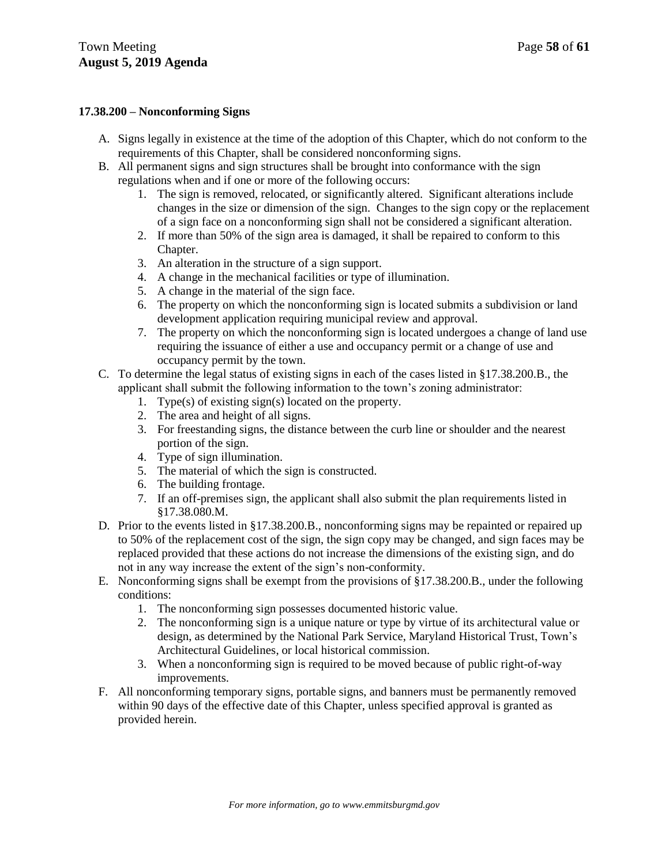### **17.38.200 – Nonconforming Signs**

- A. Signs legally in existence at the time of the adoption of this Chapter, which do not conform to the requirements of this Chapter, shall be considered nonconforming signs.
- B. All permanent signs and sign structures shall be brought into conformance with the sign regulations when and if one or more of the following occurs:
	- 1. The sign is removed, relocated, or significantly altered. Significant alterations include changes in the size or dimension of the sign. Changes to the sign copy or the replacement of a sign face on a nonconforming sign shall not be considered a significant alteration.
	- 2. If more than 50% of the sign area is damaged, it shall be repaired to conform to this Chapter.
	- 3. An alteration in the structure of a sign support.
	- 4. A change in the mechanical facilities or type of illumination.
	- 5. A change in the material of the sign face.
	- 6. The property on which the nonconforming sign is located submits a subdivision or land development application requiring municipal review and approval.
	- 7. The property on which the nonconforming sign is located undergoes a change of land use requiring the issuance of either a use and occupancy permit or a change of use and occupancy permit by the town.
- C. To determine the legal status of existing signs in each of the cases listed in §17.38.200.B., the applicant shall submit the following information to the town's zoning administrator:
	- 1. Type(s) of existing sign(s) located on the property.
	- 2. The area and height of all signs.
	- 3. For freestanding signs, the distance between the curb line or shoulder and the nearest portion of the sign.
	- 4. Type of sign illumination.
	- 5. The material of which the sign is constructed.
	- 6. The building frontage.
	- 7. If an off-premises sign, the applicant shall also submit the plan requirements listed in §17.38.080.M.
- D. Prior to the events listed in §17.38.200.B., nonconforming signs may be repainted or repaired up to 50% of the replacement cost of the sign, the sign copy may be changed, and sign faces may be replaced provided that these actions do not increase the dimensions of the existing sign, and do not in any way increase the extent of the sign's non-conformity.
- E. Nonconforming signs shall be exempt from the provisions of §17.38.200.B., under the following conditions:
	- 1. The nonconforming sign possesses documented historic value.
	- 2. The nonconforming sign is a unique nature or type by virtue of its architectural value or design, as determined by the National Park Service, Maryland Historical Trust, Town's Architectural Guidelines, or local historical commission.
	- 3. When a nonconforming sign is required to be moved because of public right-of-way improvements.
- F. All nonconforming temporary signs, portable signs, and banners must be permanently removed within 90 days of the effective date of this Chapter, unless specified approval is granted as provided herein.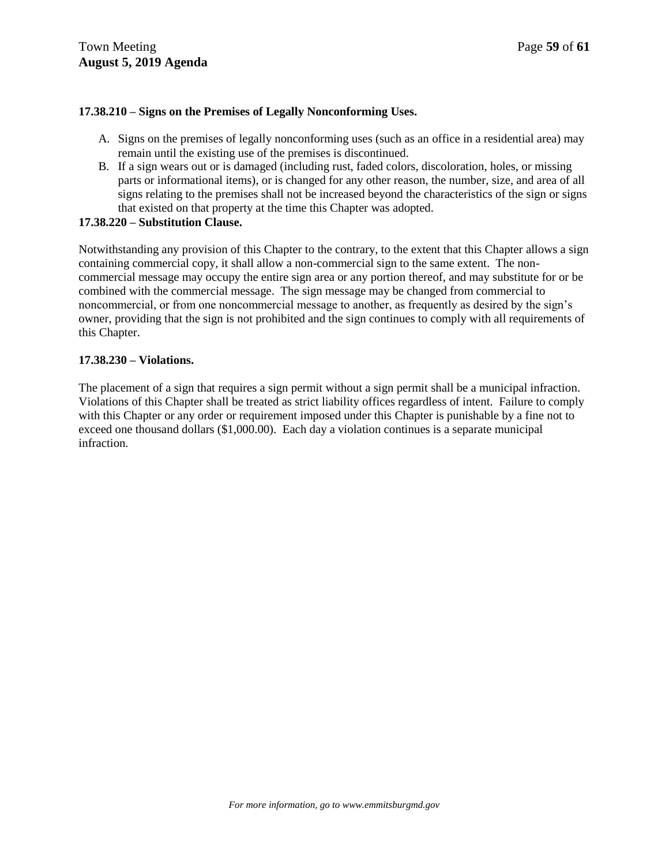### **17.38.210 – Signs on the Premises of Legally Nonconforming Uses.**

- A. Signs on the premises of legally nonconforming uses (such as an office in a residential area) may remain until the existing use of the premises is discontinued.
- B. If a sign wears out or is damaged (including rust, faded colors, discoloration, holes, or missing parts or informational items), or is changed for any other reason, the number, size, and area of all signs relating to the premises shall not be increased beyond the characteristics of the sign or signs that existed on that property at the time this Chapter was adopted.

### **17.38.220 – Substitution Clause.**

Notwithstanding any provision of this Chapter to the contrary, to the extent that this Chapter allows a sign containing commercial copy, it shall allow a non-commercial sign to the same extent. The noncommercial message may occupy the entire sign area or any portion thereof, and may substitute for or be combined with the commercial message. The sign message may be changed from commercial to noncommercial, or from one noncommercial message to another, as frequently as desired by the sign's owner, providing that the sign is not prohibited and the sign continues to comply with all requirements of this Chapter.

### **17.38.230 – Violations.**

The placement of a sign that requires a sign permit without a sign permit shall be a municipal infraction. Violations of this Chapter shall be treated as strict liability offices regardless of intent. Failure to comply with this Chapter or any order or requirement imposed under this Chapter is punishable by a fine not to exceed one thousand dollars (\$1,000.00). Each day a violation continues is a separate municipal infraction.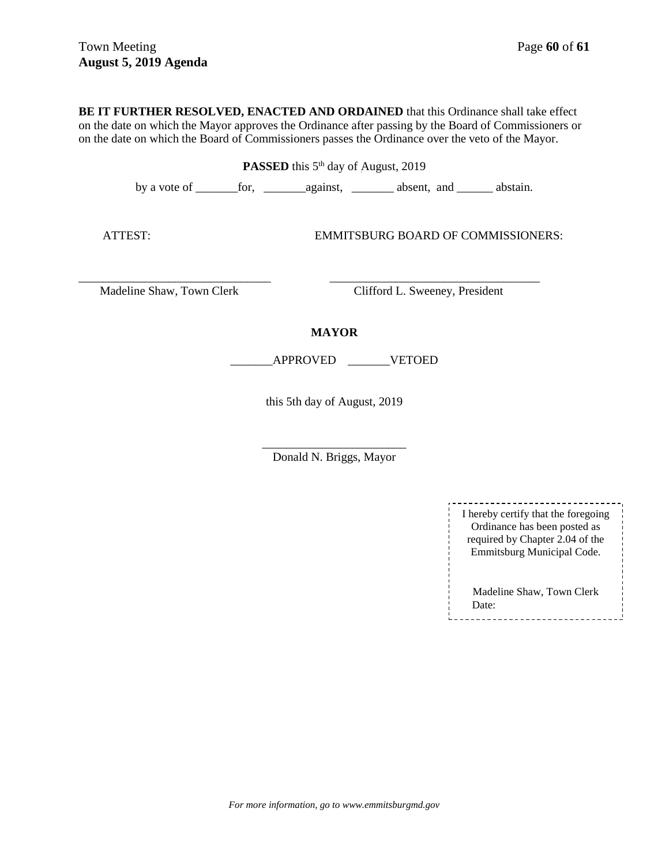**BE IT FURTHER RESOLVED, ENACTED AND ORDAINED** that this Ordinance shall take effect on the date on which the Mayor approves the Ordinance after passing by the Board of Commissioners or on the date on which the Board of Commissioners passes the Ordinance over the veto of the Mayor.

**PASSED** this 5<sup>th</sup> day of August, 2019

by a vote of \_\_\_\_\_\_\_for, \_\_\_\_\_\_\_against, \_\_\_\_\_\_\_ absent, and \_\_\_\_\_\_ abstain.

ATTEST: EMMITSBURG BOARD OF COMMISSIONERS:

Madeline Shaw, Town Clerk Clifford L. Sweeney, President

### **MAYOR**

\_\_\_\_\_\_\_\_\_\_\_\_\_\_\_\_\_\_\_\_\_\_\_\_\_\_\_\_\_\_\_\_ \_\_\_\_\_\_\_\_\_\_\_\_\_\_\_\_\_\_\_\_\_\_\_\_\_\_\_\_\_\_\_\_\_\_\_

\_\_\_\_\_\_\_APPROVED \_\_\_\_\_\_\_VETOED

this 5th day of August, 2019

\_\_\_\_\_\_\_\_\_\_\_\_\_\_\_\_\_\_\_\_\_\_\_\_ Donald N. Briggs, Mayor

> ---------------------I hereby certify that the foregoing Ordinance has been posted as required by Chapter 2.04 of the Emmitsburg Municipal Code. Madeline Shaw, Town Clerk Date: